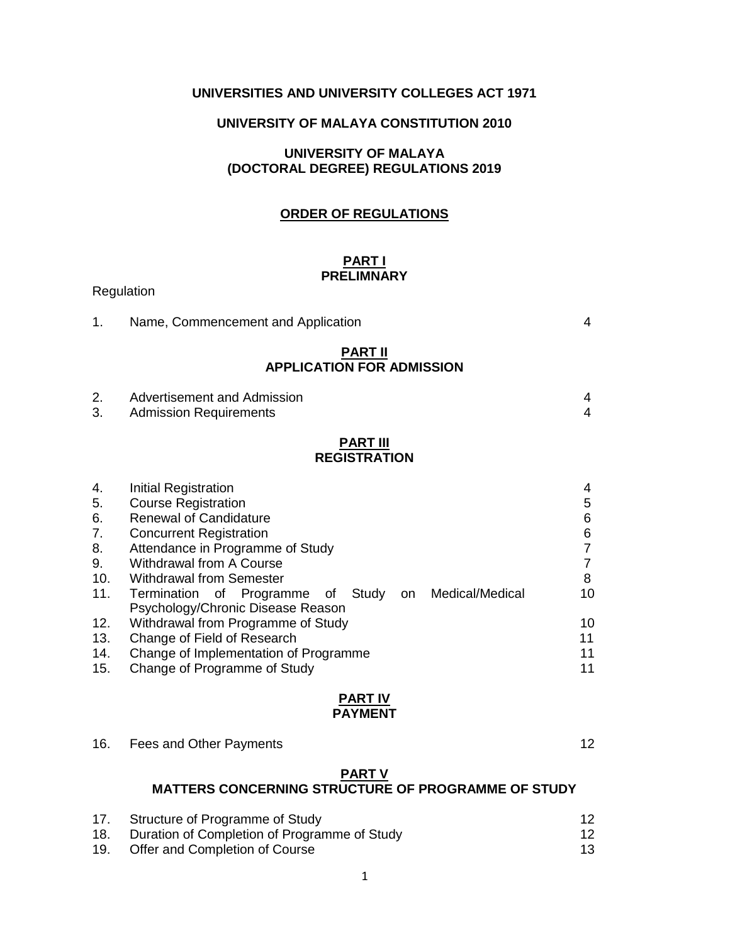# **UNIVERSITIES AND UNIVERSITY COLLEGES ACT 1971**

# **UNIVERSITY OF MALAYA CONSTITUTION 2010**

# **UNIVERSITY OF MALAYA (DOCTORAL DEGREE) REGULATIONS 2019**

### **ORDER OF REGULATIONS**

### **PART I PRELIMNARY**

| 1.                                             | Name, Commencement and Application                                                                                                                                                                                                                                                                                              | 4                                                  |
|------------------------------------------------|---------------------------------------------------------------------------------------------------------------------------------------------------------------------------------------------------------------------------------------------------------------------------------------------------------------------------------|----------------------------------------------------|
|                                                | <b>PART II</b><br><b>APPLICATION FOR ADMISSION</b>                                                                                                                                                                                                                                                                              |                                                    |
| 2.<br>3.                                       | Advertisement and Admission<br><b>Admission Requirements</b>                                                                                                                                                                                                                                                                    | 4<br>4                                             |
|                                                | <b>PART III</b><br><b>REGISTRATION</b>                                                                                                                                                                                                                                                                                          |                                                    |
| 4.<br>5.<br>6.<br>7.<br>8.<br>9.<br>10.<br>11. | Initial Registration<br><b>Course Registration</b><br><b>Renewal of Candidature</b><br><b>Concurrent Registration</b><br>Attendance in Programme of Study<br><b>Withdrawal from A Course</b><br><b>Withdrawal from Semester</b><br>Termination of Programme of Study<br>on Medical/Medical<br>Psychology/Chronic Disease Reason | 4<br>5<br>6<br>6<br>7<br>$\overline{7}$<br>8<br>10 |
| 12.                                            | Withdrawal from Programme of Study                                                                                                                                                                                                                                                                                              | 10                                                 |

Regulation

|     |                         | <b>PART IV</b><br><b>PAYMENT</b> |     |  |
|-----|-------------------------|----------------------------------|-----|--|
| 16. | Fees and Other Payments |                                  | 12. |  |

13. Change of Field of Research 2008 11 14. Change of Implementation of Programme 11 15. Change of Programme of Study 11

#### **PART V**

# **MATTERS CONCERNING STRUCTURE OF PROGRAMME OF STUDY**

| 17. | Structure of Programme of Study              |    |
|-----|----------------------------------------------|----|
| 18. | Duration of Completion of Programme of Study | 12 |
| 19. | Offer and Completion of Course               | 13 |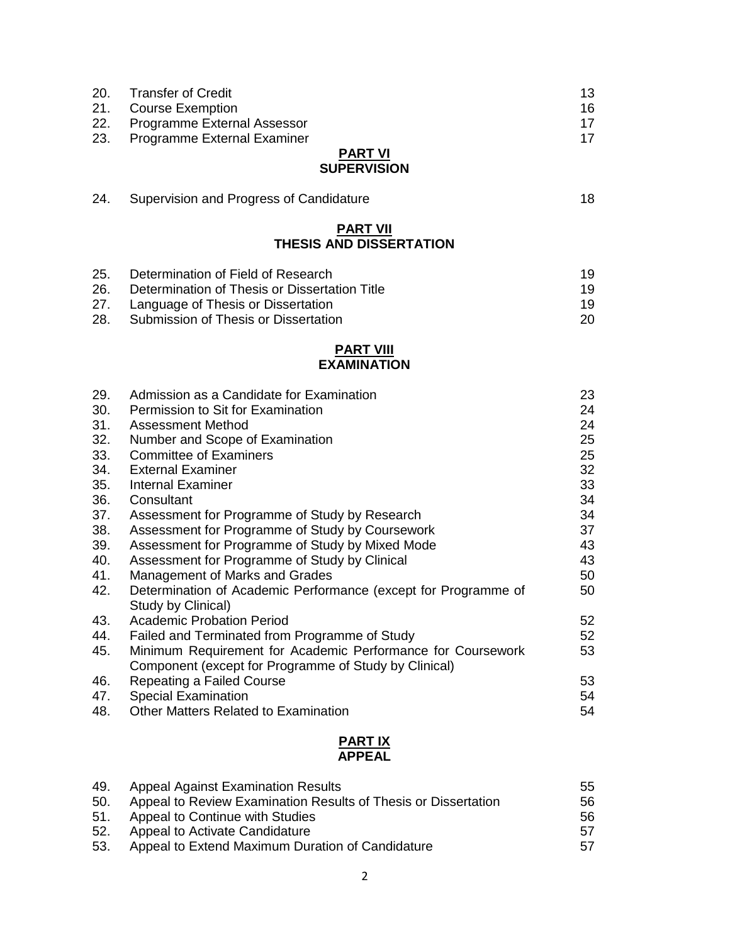| 20. | <b>Transfer of Credit</b>                     | 13 |
|-----|-----------------------------------------------|----|
| 21. | <b>Course Exemption</b>                       | 16 |
| 22. | Programme External Assessor                   | 17 |
| 23. | Programme External Examiner                   | 17 |
|     | <b>PART VI</b>                                |    |
|     | <b>SUPERVISION</b>                            |    |
| 24. | Supervision and Progress of Candidature       | 18 |
|     | <b>PART VII</b>                               |    |
|     | <b>THESIS AND DISSERTATION</b>                |    |
| 25. | Determination of Field of Research            | 19 |
| 26. | Determination of Thesis or Dissertation Title | 19 |
| 27. | Language of Thesis or Dissertation            | 19 |
| 28. | Submission of Thesis or Dissertation          | 20 |
|     | <b>PART VIII</b>                              |    |
|     | <b>EXAMINATION</b>                            |    |
| 29. | Admission as a Candidate for Examination      | 23 |
| 30. | Permission to Sit for Examination             | 24 |
| 31. | Assessment Method                             | 24 |

| 32. | Number and Scope of Examination                                | 25 |
|-----|----------------------------------------------------------------|----|
| 33. | <b>Committee of Examiners</b>                                  | 25 |
| 34. | <b>External Examiner</b>                                       | 32 |
| 35. | <b>Internal Examiner</b>                                       | 33 |
| 36. | Consultant                                                     | 34 |
| 37. | Assessment for Programme of Study by Research                  | 34 |
| 38. | Assessment for Programme of Study by Coursework                | 37 |
| 39. | Assessment for Programme of Study by Mixed Mode                | 43 |
| 40. | Assessment for Programme of Study by Clinical                  | 43 |
| 41. | Management of Marks and Grades                                 | 50 |
| 42. | Determination of Academic Performance (except for Programme of | 50 |
|     | Study by Clinical)                                             |    |
| 43. | <b>Academic Probation Period</b>                               | 52 |
| 44. | Failed and Terminated from Programme of Study                  | 52 |
| 45. | Minimum Requirement for Academic Performance for Coursework    | 53 |
|     | Component (except for Programme of Study by Clinical)          |    |
| 46. | Repeating a Failed Course                                      | 53 |
| 47. | <b>Special Examination</b>                                     | 54 |
| 48. | <b>Other Matters Related to Examination</b>                    | 54 |
|     |                                                                |    |

#### **PART IX APPEAL**

| 49. | <b>Appeal Against Examination Results</b>                      | 55 |
|-----|----------------------------------------------------------------|----|
| 50. | Appeal to Review Examination Results of Thesis or Dissertation | 56 |
| 51. | Appeal to Continue with Studies                                | 56 |
| 52. | Appeal to Activate Candidature                                 | 57 |
| 53. | Appeal to Extend Maximum Duration of Candidature               | 57 |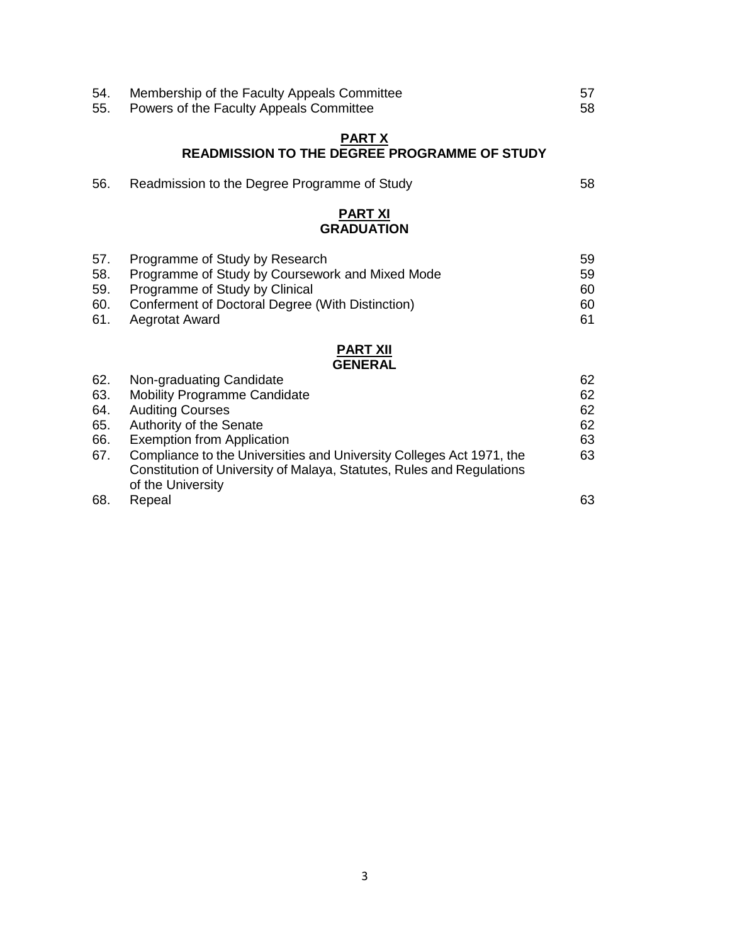| 54.<br>55.                             | Membership of the Faculty Appeals Committee<br>Powers of the Faculty Appeals Committee                                                                                                                                                                                                                      | 57<br>58                         |
|----------------------------------------|-------------------------------------------------------------------------------------------------------------------------------------------------------------------------------------------------------------------------------------------------------------------------------------------------------------|----------------------------------|
|                                        | <b>PART X</b><br><b>READMISSION TO THE DEGREE PROGRAMME OF STUDY</b>                                                                                                                                                                                                                                        |                                  |
| 56.                                    | Readmission to the Degree Programme of Study                                                                                                                                                                                                                                                                | 58                               |
|                                        | <b>PART XI</b><br><b>GRADUATION</b>                                                                                                                                                                                                                                                                         |                                  |
| 57.<br>58.<br>59.<br>60.<br>61.        | Programme of Study by Research<br>Programme of Study by Coursework and Mixed Mode<br>Programme of Study by Clinical<br>Conferment of Doctoral Degree (With Distinction)<br>Aegrotat Award                                                                                                                   | 59<br>59<br>60<br>60<br>61       |
|                                        | <b>PART XII</b><br><b>GENERAL</b>                                                                                                                                                                                                                                                                           |                                  |
| 62.<br>63.<br>64.<br>65.<br>66.<br>67. | Non-graduating Candidate<br><b>Mobility Programme Candidate</b><br><b>Auditing Courses</b><br>Authority of the Senate<br><b>Exemption from Application</b><br>Compliance to the Universities and University Colleges Act 1971, the<br>Constitution of University of Malaya, Statutes, Rules and Regulations | 62<br>62<br>62<br>62<br>63<br>63 |
| 68.                                    | of the University<br>Repeal                                                                                                                                                                                                                                                                                 | 63                               |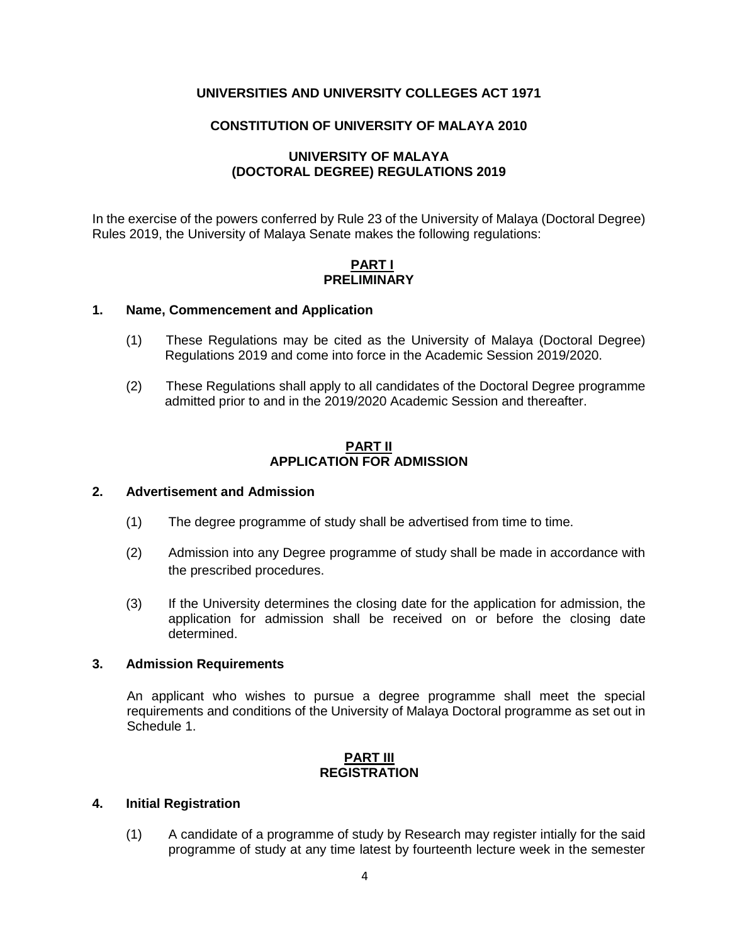# **UNIVERSITIES AND UNIVERSITY COLLEGES ACT 1971**

# **CONSTITUTION OF UNIVERSITY OF MALAYA 2010**

### **UNIVERSITY OF MALAYA (DOCTORAL DEGREE) REGULATIONS 2019**

In the exercise of the powers conferred by Rule 23 of the University of Malaya (Doctoral Degree) Rules 2019, the University of Malaya Senate makes the following regulations:

### **PART I PRELIMINARY**

### **1. Name, Commencement and Application**

- (1) These Regulations may be cited as the University of Malaya (Doctoral Degree) Regulations 2019 and come into force in the Academic Session 2019/2020.
- (2) These Regulations shall apply to all candidates of the Doctoral Degree programme admitted prior to and in the 2019/2020 Academic Session and thereafter.

### **PART II APPLICATION FOR ADMISSION**

# **2. Advertisement and Admission**

- (1) The degree programme of study shall be advertised from time to time.
- (2) Admission into any Degree programme of study shall be made in accordance with the prescribed procedures.
- (3) If the University determines the closing date for the application for admission, the application for admission shall be received on or before the closing date determined.

### **3. Admission Requirements**

An applicant who wishes to pursue a degree programme shall meet the special requirements and conditions of the University of Malaya Doctoral programme as set out in Schedule 1.

### **PART III REGISTRATION**

### **4. Initial Registration**

(1) A candidate of a programme of study by Research may register intially for the said programme of study at any time latest by fourteenth lecture week in the semester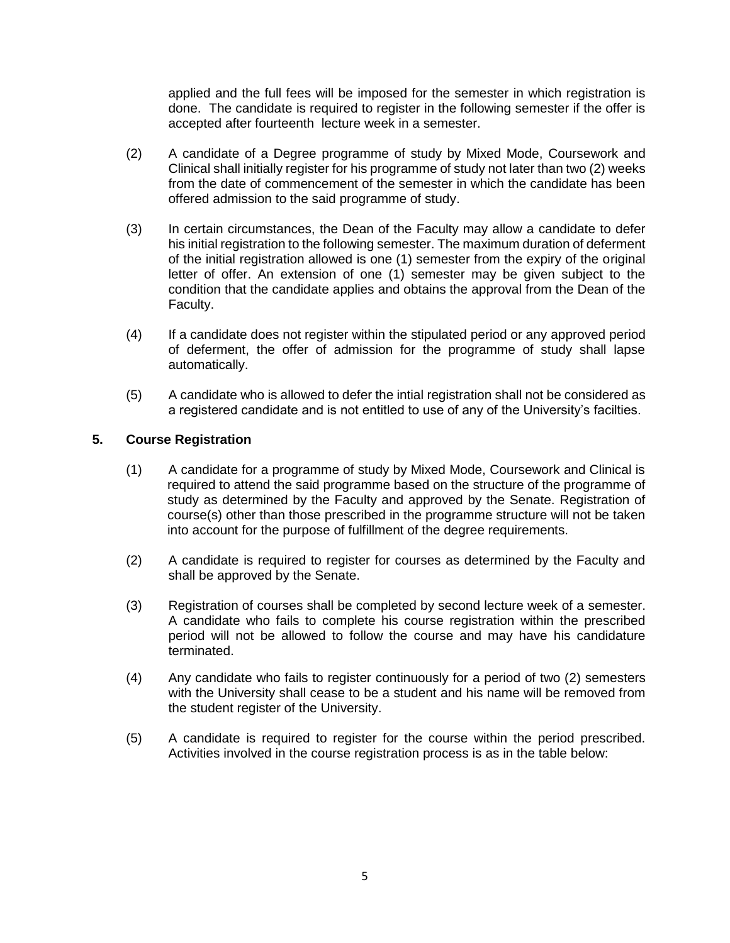applied and the full fees will be imposed for the semester in which registration is done. The candidate is required to register in the following semester if the offer is accepted after fourteenth lecture week in a semester.

- (2) A candidate of a Degree programme of study by Mixed Mode, Coursework and Clinical shall initially register for his programme of study not later than two (2) weeks from the date of commencement of the semester in which the candidate has been offered admission to the said programme of study.
- (3) In certain circumstances, the Dean of the Faculty may allow a candidate to defer his initial registration to the following semester. The maximum duration of deferment of the initial registration allowed is one (1) semester from the expiry of the original letter of offer. An extension of one (1) semester may be given subject to the condition that the candidate applies and obtains the approval from the Dean of the Faculty.
- (4) If a candidate does not register within the stipulated period or any approved period of deferment, the offer of admission for the programme of study shall lapse automatically.
- (5) A candidate who is allowed to defer the intial registration shall not be considered as a registered candidate and is not entitled to use of any of the University's facilties.

# **5. Course Registration**

- (1) A candidate for a programme of study by Mixed Mode, Coursework and Clinical is required to attend the said programme based on the structure of the programme of study as determined by the Faculty and approved by the Senate. Registration of course(s) other than those prescribed in the programme structure will not be taken into account for the purpose of fulfillment of the degree requirements.
- (2) A candidate is required to register for courses as determined by the Faculty and shall be approved by the Senate.
- (3) Registration of courses shall be completed by second lecture week of a semester. A candidate who fails to complete his course registration within the prescribed period will not be allowed to follow the course and may have his candidature terminated.
- (4) Any candidate who fails to register continuously for a period of two (2) semesters with the University shall cease to be a student and his name will be removed from the student register of the University.
- (5) A candidate is required to register for the course within the period prescribed. Activities involved in the course registration process is as in the table below: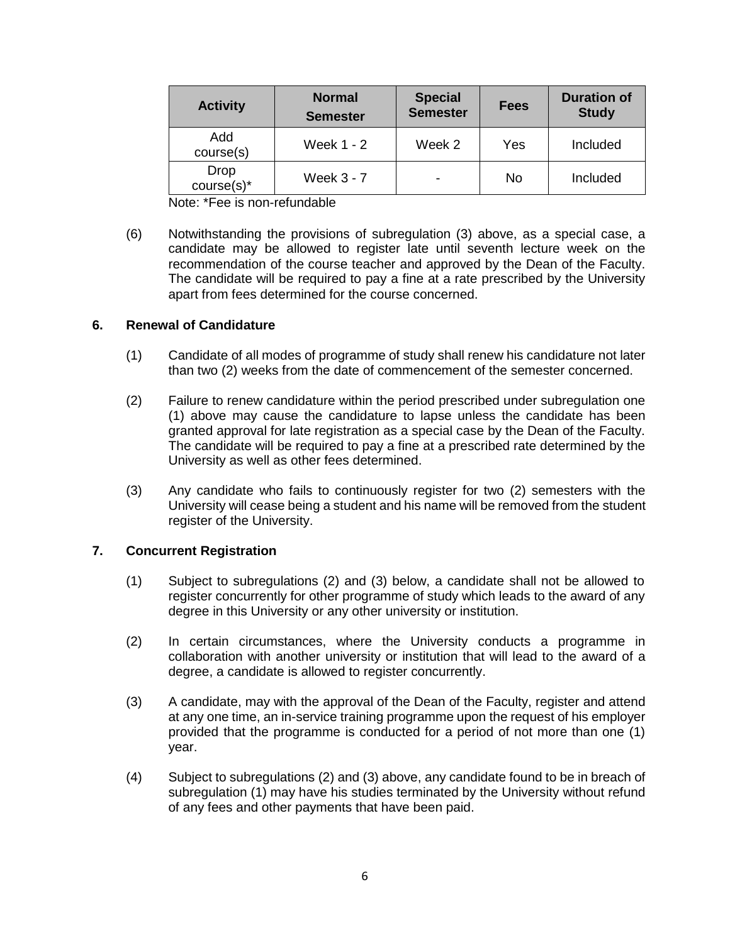| <b>Activity</b>       | <b>Normal</b><br><b>Semester</b> | <b>Special</b><br><b>Semester</b> | <b>Fees</b> | <b>Duration of</b><br><b>Study</b> |
|-----------------------|----------------------------------|-----------------------------------|-------------|------------------------------------|
| Add<br>course(s)      | <b>Week 1 - 2</b>                | Week 2                            | Yes         | Included                           |
| Drop<br>$course(s)^*$ | Week 3 - 7                       |                                   | No          | Included                           |

Note: \*Fee is non-refundable

(6) Notwithstanding the provisions of subregulation (3) above, as a special case, a candidate may be allowed to register late until seventh lecture week on the recommendation of the course teacher and approved by the Dean of the Faculty. The candidate will be required to pay a fine at a rate prescribed by the University apart from fees determined for the course concerned.

# **6. Renewal of Candidature**

- (1) Candidate of all modes of programme of study shall renew his candidature not later than two (2) weeks from the date of commencement of the semester concerned.
- (2) Failure to renew candidature within the period prescribed under subregulation one (1) above may cause the candidature to lapse unless the candidate has been granted approval for late registration as a special case by the Dean of the Faculty. The candidate will be required to pay a fine at a prescribed rate determined by the University as well as other fees determined.
- (3) Any candidate who fails to continuously register for two (2) semesters with the University will cease being a student and his name will be removed from the student register of the University.

# **7. Concurrent Registration**

- (1) Subject to subregulations (2) and (3) below, a candidate shall not be allowed to register concurrently for other programme of study which leads to the award of any degree in this University or any other university or institution.
- (2) In certain circumstances, where the University conducts a programme in collaboration with another university or institution that will lead to the award of a degree, a candidate is allowed to register concurrently.
- (3) A candidate, may with the approval of the Dean of the Faculty, register and attend at any one time, an in-service training programme upon the request of his employer provided that the programme is conducted for a period of not more than one (1) year.
- (4) Subject to subregulations (2) and (3) above, any candidate found to be in breach of subregulation (1) may have his studies terminated by the University without refund of any fees and other payments that have been paid.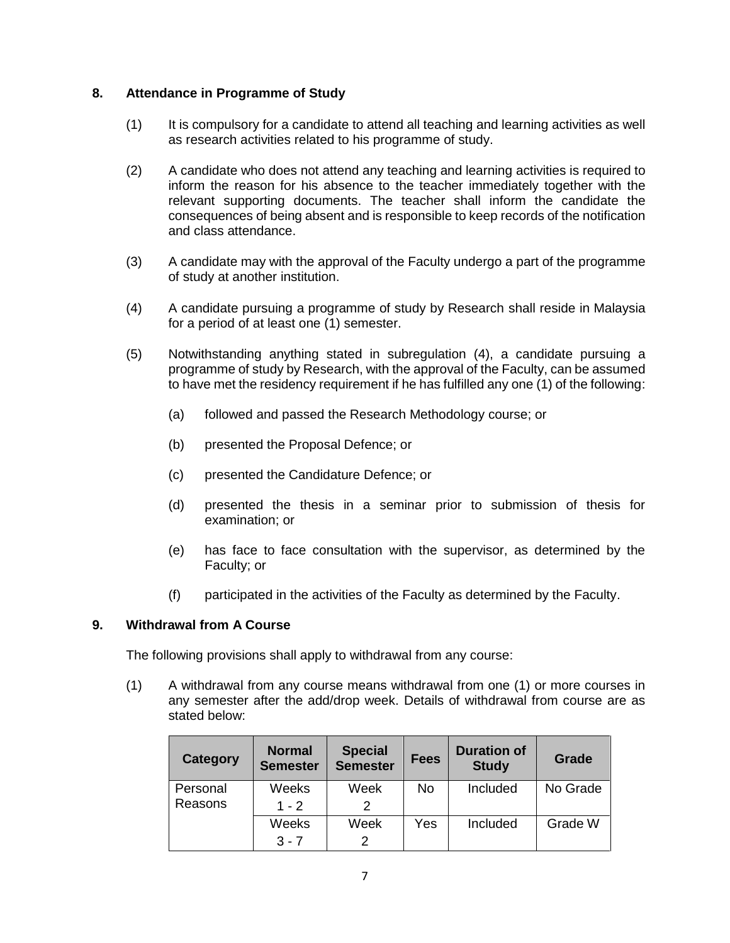# **8. Attendance in Programme of Study**

- (1) It is compulsory for a candidate to attend all teaching and learning activities as well as research activities related to his programme of study.
- (2) A candidate who does not attend any teaching and learning activities is required to inform the reason for his absence to the teacher immediately together with the relevant supporting documents. The teacher shall inform the candidate the consequences of being absent and is responsible to keep records of the notification and class attendance.
- (3) A candidate may with the approval of the Faculty undergo a part of the programme of study at another institution.
- (4) A candidate pursuing a programme of study by Research shall reside in Malaysia for a period of at least one (1) semester.
- (5) Notwithstanding anything stated in subregulation (4), a candidate pursuing a programme of study by Research, with the approval of the Faculty, can be assumed to have met the residency requirement if he has fulfilled any one (1) of the following:
	- (a) followed and passed the Research Methodology course; or
	- (b) presented the Proposal Defence; or
	- (c) presented the Candidature Defence; or
	- (d) presented the thesis in a seminar prior to submission of thesis for examination; or
	- (e) has face to face consultation with the supervisor, as determined by the Faculty; or
	- (f) participated in the activities of the Faculty as determined by the Faculty.

# **9. Withdrawal from A Course**

The following provisions shall apply to withdrawal from any course:

(1) A withdrawal from any course means withdrawal from one (1) or more courses in any semester after the add/drop week. Details of withdrawal from course are as stated below:

| Category            | <b>Normal</b><br><b>Semester</b> | <b>Special</b><br><b>Semester</b> | <b>Fees</b> | <b>Duration of</b><br><b>Study</b> | Grade    |
|---------------------|----------------------------------|-----------------------------------|-------------|------------------------------------|----------|
| Personal<br>Reasons | Weeks<br>$1 - 2$                 | Week<br>2                         | No          | Included                           | No Grade |
|                     | Weeks<br>$3 - 7$                 | Week<br>2                         | Yes         | Included                           | Grade W  |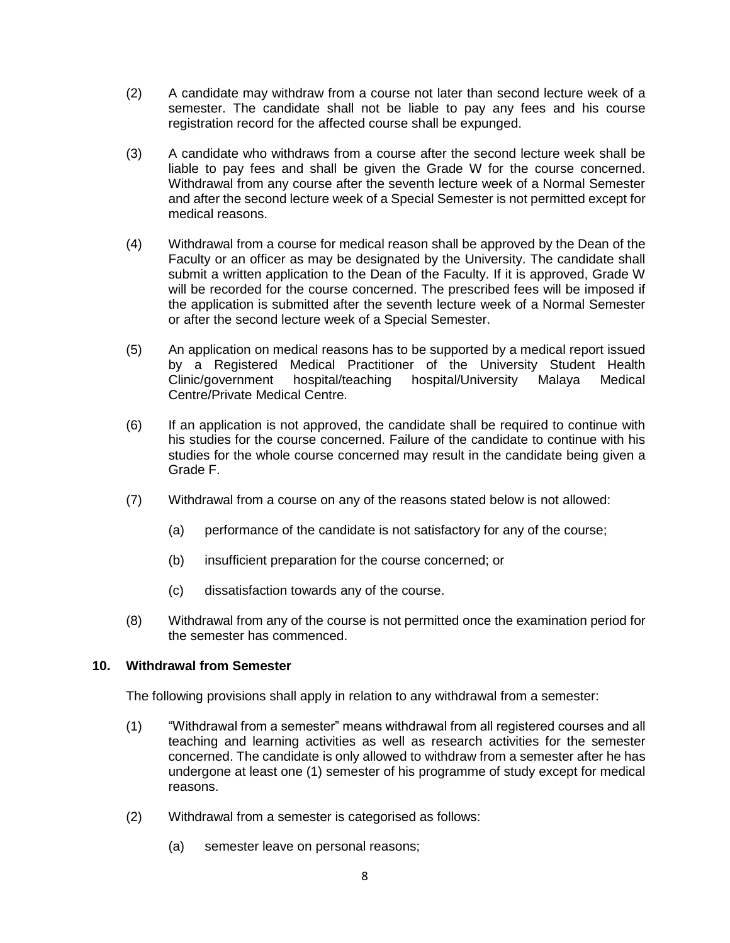- (2) A candidate may withdraw from a course not later than second lecture week of a semester. The candidate shall not be liable to pay any fees and his course registration record for the affected course shall be expunged.
- (3) A candidate who withdraws from a course after the second lecture week shall be liable to pay fees and shall be given the Grade W for the course concerned. Withdrawal from any course after the seventh lecture week of a Normal Semester and after the second lecture week of a Special Semester is not permitted except for medical reasons.
- (4) Withdrawal from a course for medical reason shall be approved by the Dean of the Faculty or an officer as may be designated by the University. The candidate shall submit a written application to the Dean of the Faculty. If it is approved, Grade W will be recorded for the course concerned. The prescribed fees will be imposed if the application is submitted after the seventh lecture week of a Normal Semester or after the second lecture week of a Special Semester.
- (5) An application on medical reasons has to be supported by a medical report issued by a Registered Medical Practitioner of the University Student Health<br>Clinic/government hospital/teaching hospital/University Malaya Medical Clinic/government hospital/teaching hospital/University Malaya Medical Centre/Private Medical Centre.
- (6) If an application is not approved, the candidate shall be required to continue with his studies for the course concerned. Failure of the candidate to continue with his studies for the whole course concerned may result in the candidate being given a Grade F.
- (7) Withdrawal from a course on any of the reasons stated below is not allowed:
	- (a) performance of the candidate is not satisfactory for any of the course;
	- (b) insufficient preparation for the course concerned; or
	- (c) dissatisfaction towards any of the course.
- (8) Withdrawal from any of the course is not permitted once the examination period for the semester has commenced.

### **10. Withdrawal from Semester**

The following provisions shall apply in relation to any withdrawal from a semester:

- (1) "Withdrawal from a semester" means withdrawal from all registered courses and all teaching and learning activities as well as research activities for the semester concerned. The candidate is only allowed to withdraw from a semester after he has undergone at least one (1) semester of his programme of study except for medical reasons.
- (2) Withdrawal from a semester is categorised as follows:
	- (a) semester leave on personal reasons;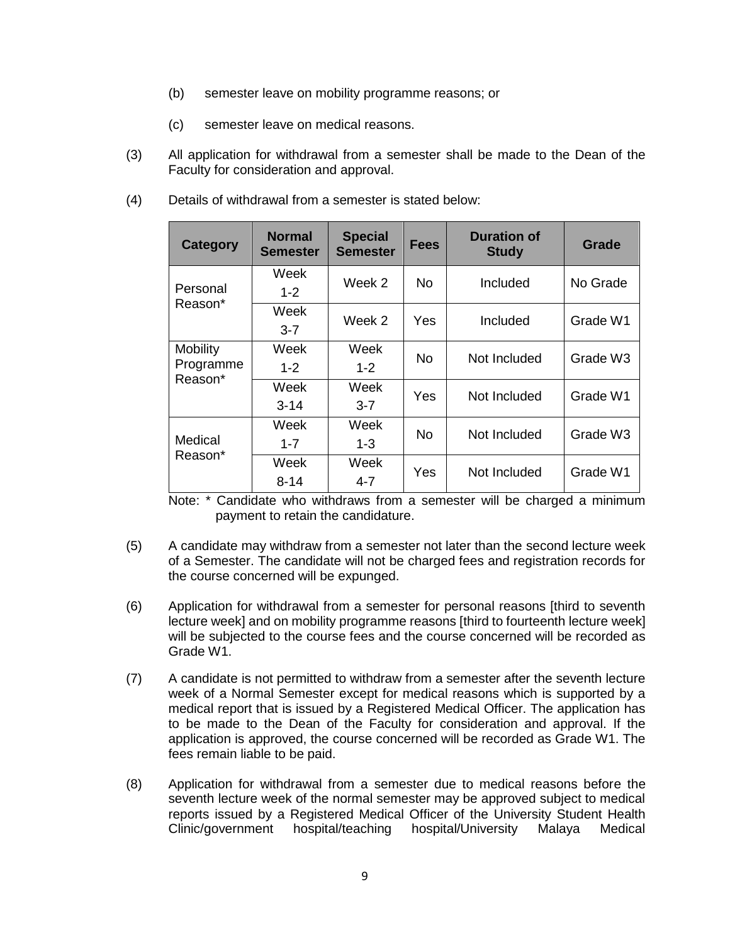- (b) semester leave on mobility programme reasons; or
- (c) semester leave on medical reasons.
- (3) All application for withdrawal from a semester shall be made to the Dean of the Faculty for consideration and approval.
- (4) Details of withdrawal from a semester is stated below:

| <b>Category</b>              | <b>Normal</b><br><b>Semester</b> | <b>Special</b><br><b>Semester</b> | <b>Fees</b> | <b>Duration of</b><br><b>Study</b> | Grade    |
|------------------------------|----------------------------------|-----------------------------------|-------------|------------------------------------|----------|
| Personal                     | Week<br>$1 - 2$                  | Week 2                            | No.         | Included                           | No Grade |
| Reason*                      | Week<br>$3 - 7$                  | Week 2                            | Yes         | Included                           | Grade W1 |
| <b>Mobility</b><br>Programme | Week<br>$1 - 2$                  | Week<br>$1 - 2$                   | No.         | Not Included                       | Grade W3 |
| Reason*                      | Week<br>$3 - 14$                 | Week<br>$3 - 7$                   | Yes         | Not Included                       | Grade W1 |
| Medical                      | Week<br>$1 - 7$                  | Week<br>1-3                       | <b>No</b>   | Not Included                       | Grade W3 |
| Reason*                      | Week<br>8-14                     | Week<br>$4 - 7$                   | Yes         | Not Included                       | Grade W1 |

Note: \* Candidate who withdraws from a semester will be charged a minimum payment to retain the candidature.

- (5) A candidate may withdraw from a semester not later than the second lecture week of a Semester. The candidate will not be charged fees and registration records for the course concerned will be expunged.
- (6) Application for withdrawal from a semester for personal reasons [third to seventh lecture week] and on mobility programme reasons [third to fourteenth lecture week] will be subjected to the course fees and the course concerned will be recorded as Grade W1.
- (7) A candidate is not permitted to withdraw from a semester after the seventh lecture week of a Normal Semester except for medical reasons which is supported by a medical report that is issued by a Registered Medical Officer. The application has to be made to the Dean of the Faculty for consideration and approval. If the application is approved, the course concerned will be recorded as Grade W1. The fees remain liable to be paid.
- (8) Application for withdrawal from a semester due to medical reasons before the seventh lecture week of the normal semester may be approved subject to medical reports issued by a Registered Medical Officer of the University Student Health Clinic/government hospital/teaching hospital/University Malaya Medical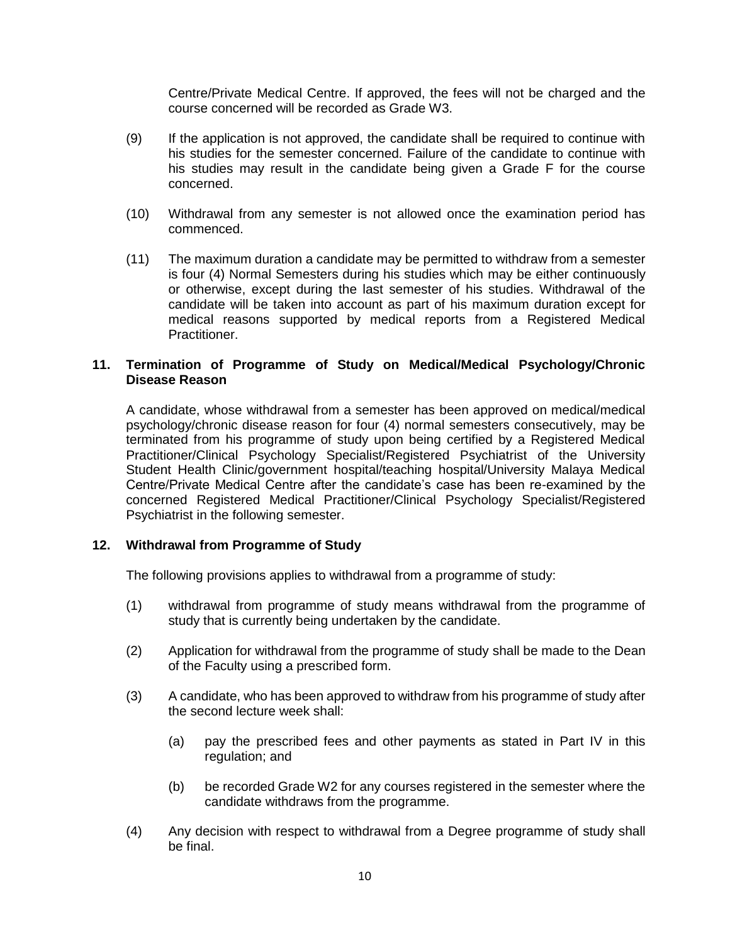Centre/Private Medical Centre. If approved, the fees will not be charged and the course concerned will be recorded as Grade W3.

- (9) If the application is not approved, the candidate shall be required to continue with his studies for the semester concerned. Failure of the candidate to continue with his studies may result in the candidate being given a Grade F for the course concerned.
- (10) Withdrawal from any semester is not allowed once the examination period has commenced.
- (11) The maximum duration a candidate may be permitted to withdraw from a semester is four (4) Normal Semesters during his studies which may be either continuously or otherwise, except during the last semester of his studies. Withdrawal of the candidate will be taken into account as part of his maximum duration except for medical reasons supported by medical reports from a Registered Medical Practitioner.

# **11. Termination of Programme of Study on Medical/Medical Psychology/Chronic Disease Reason**

A candidate, whose withdrawal from a semester has been approved on medical/medical psychology/chronic disease reason for four (4) normal semesters consecutively, may be terminated from his programme of study upon being certified by a Registered Medical Practitioner/Clinical Psychology Specialist/Registered Psychiatrist of the University Student Health Clinic/government hospital/teaching hospital/University Malaya Medical Centre/Private Medical Centre after the candidate's case has been re-examined by the concerned Registered Medical Practitioner/Clinical Psychology Specialist/Registered Psychiatrist in the following semester.

# **12. Withdrawal from Programme of Study**

The following provisions applies to withdrawal from a programme of study:

- (1) withdrawal from programme of study means withdrawal from the programme of study that is currently being undertaken by the candidate.
- (2) Application for withdrawal from the programme of study shall be made to the Dean of the Faculty using a prescribed form.
- (3) A candidate, who has been approved to withdraw from his programme of study after the second lecture week shall:
	- (a) pay the prescribed fees and other payments as stated in Part IV in this regulation; and
	- (b) be recorded Grade W2 for any courses registered in the semester where the candidate withdraws from the programme.
- (4) Any decision with respect to withdrawal from a Degree programme of study shall be final.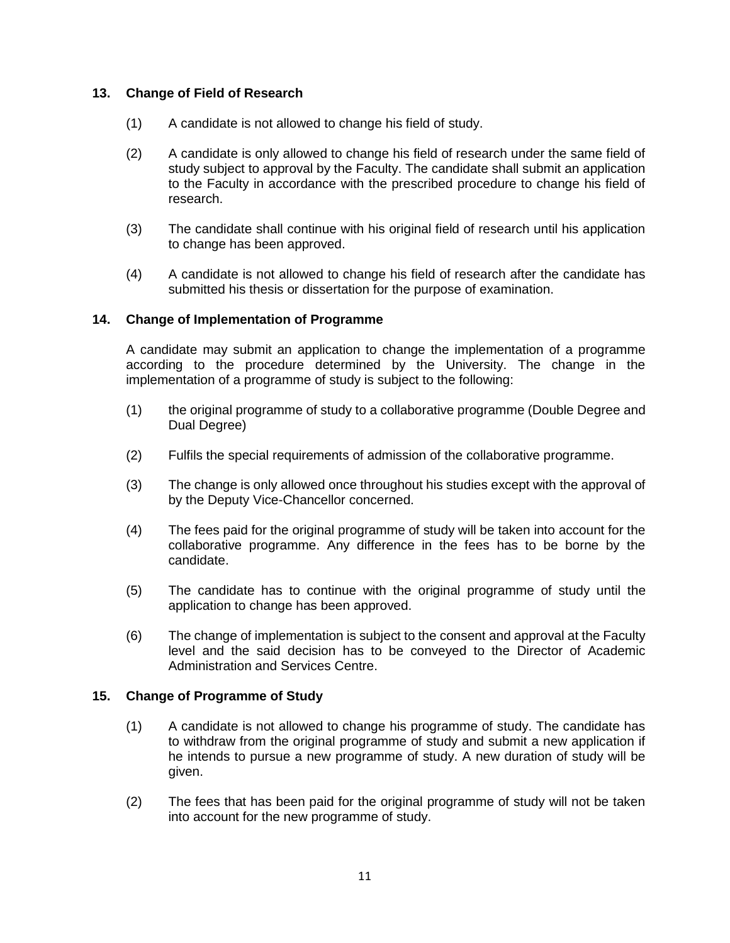# **13. Change of Field of Research**

- (1) A candidate is not allowed to change his field of study.
- (2) A candidate is only allowed to change his field of research under the same field of study subject to approval by the Faculty. The candidate shall submit an application to the Faculty in accordance with the prescribed procedure to change his field of research.
- (3) The candidate shall continue with his original field of research until his application to change has been approved.
- (4) A candidate is not allowed to change his field of research after the candidate has submitted his thesis or dissertation for the purpose of examination.

### **14. Change of Implementation of Programme**

A candidate may submit an application to change the implementation of a programme according to the procedure determined by the University. The change in the implementation of a programme of study is subject to the following:

- (1) the original programme of study to a collaborative programme (Double Degree and Dual Degree)
- (2) Fulfils the special requirements of admission of the collaborative programme.
- (3) The change is only allowed once throughout his studies except with the approval of by the Deputy Vice-Chancellor concerned.
- (4) The fees paid for the original programme of study will be taken into account for the collaborative programme. Any difference in the fees has to be borne by the candidate.
- (5) The candidate has to continue with the original programme of study until the application to change has been approved.
- (6) The change of implementation is subject to the consent and approval at the Faculty level and the said decision has to be conveyed to the Director of Academic Administration and Services Centre.

### **15. Change of Programme of Study**

- (1) A candidate is not allowed to change his programme of study. The candidate has to withdraw from the original programme of study and submit a new application if he intends to pursue a new programme of study. A new duration of study will be given.
- (2) The fees that has been paid for the original programme of study will not be taken into account for the new programme of study.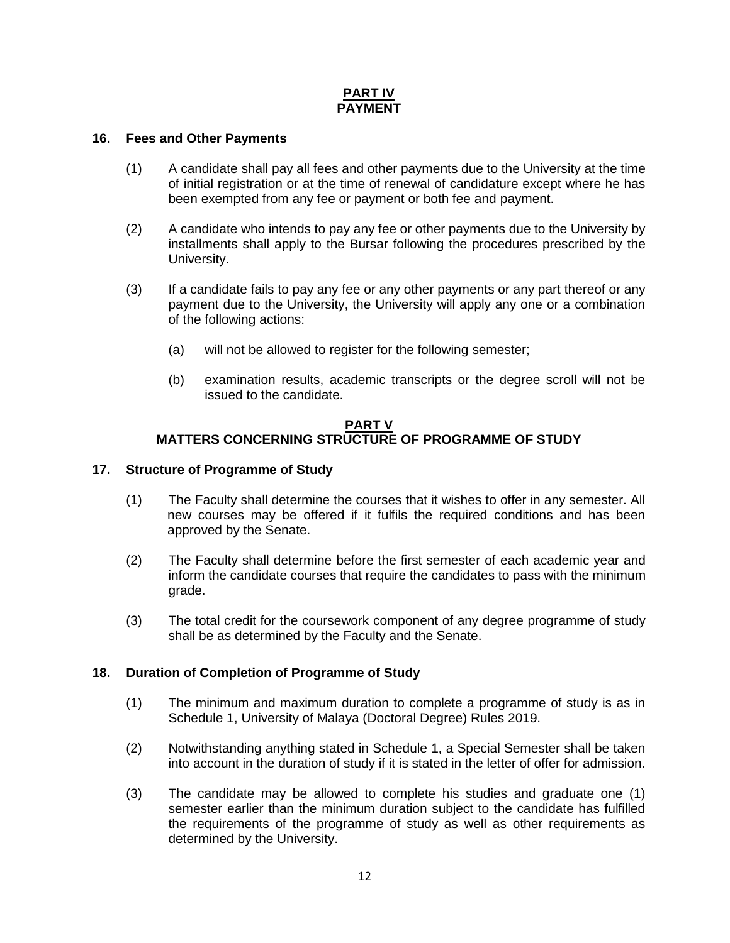# **PART IV PAYMENT**

## **16. Fees and Other Payments**

- (1) A candidate shall pay all fees and other payments due to the University at the time of initial registration or at the time of renewal of candidature except where he has been exempted from any fee or payment or both fee and payment.
- (2) A candidate who intends to pay any fee or other payments due to the University by installments shall apply to the Bursar following the procedures prescribed by the University.
- (3) If a candidate fails to pay any fee or any other payments or any part thereof or any payment due to the University, the University will apply any one or a combination of the following actions:
	- (a) will not be allowed to register for the following semester;
	- (b) examination results, academic transcripts or the degree scroll will not be issued to the candidate.

### **PART V MATTERS CONCERNING STRUCTURE OF PROGRAMME OF STUDY**

### **17. Structure of Programme of Study**

- (1) The Faculty shall determine the courses that it wishes to offer in any semester. All new courses may be offered if it fulfils the required conditions and has been approved by the Senate.
- (2) The Faculty shall determine before the first semester of each academic year and inform the candidate courses that require the candidates to pass with the minimum grade.
- (3) The total credit for the coursework component of any degree programme of study shall be as determined by the Faculty and the Senate.

# **18. Duration of Completion of Programme of Study**

- (1) The minimum and maximum duration to complete a programme of study is as in Schedule 1, University of Malaya (Doctoral Degree) Rules 2019.
- (2) Notwithstanding anything stated in Schedule 1, a Special Semester shall be taken into account in the duration of study if it is stated in the letter of offer for admission.
- (3) The candidate may be allowed to complete his studies and graduate one (1) semester earlier than the minimum duration subject to the candidate has fulfilled the requirements of the programme of study as well as other requirements as determined by the University.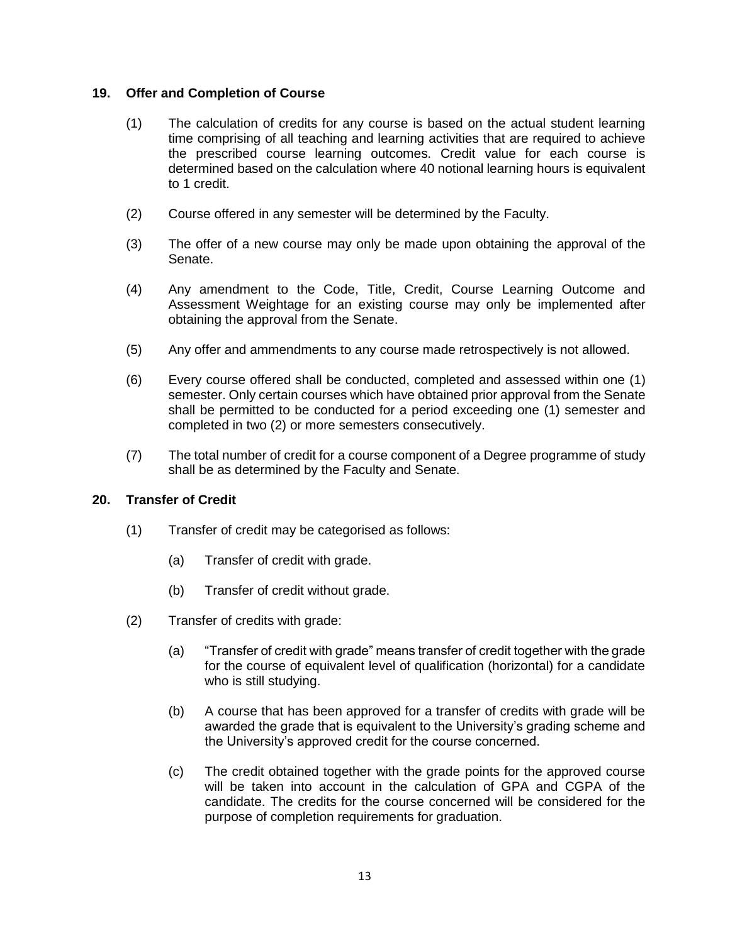## **19. Offer and Completion of Course**

- (1) The calculation of credits for any course is based on the actual student learning time comprising of all teaching and learning activities that are required to achieve the prescribed course learning outcomes. Credit value for each course is determined based on the calculation where 40 notional learning hours is equivalent to 1 credit.
- (2) Course offered in any semester will be determined by the Faculty.
- (3) The offer of a new course may only be made upon obtaining the approval of the Senate.
- (4) Any amendment to the Code, Title, Credit, Course Learning Outcome and Assessment Weightage for an existing course may only be implemented after obtaining the approval from the Senate.
- (5) Any offer and ammendments to any course made retrospectively is not allowed.
- (6) Every course offered shall be conducted, completed and assessed within one (1) semester. Only certain courses which have obtained prior approval from the Senate shall be permitted to be conducted for a period exceeding one (1) semester and completed in two (2) or more semesters consecutively.
- (7) The total number of credit for a course component of a Degree programme of study shall be as determined by the Faculty and Senate.

# **20. Transfer of Credit**

- (1) Transfer of credit may be categorised as follows:
	- (a) Transfer of credit with grade.
	- (b) Transfer of credit without grade.
- (2) Transfer of credits with grade:
	- (a) "Transfer of credit with grade" means transfer of credit together with the grade for the course of equivalent level of qualification (horizontal) for a candidate who is still studying.
	- (b) A course that has been approved for a transfer of credits with grade will be awarded the grade that is equivalent to the University's grading scheme and the University's approved credit for the course concerned.
	- (c) The credit obtained together with the grade points for the approved course will be taken into account in the calculation of GPA and CGPA of the candidate. The credits for the course concerned will be considered for the purpose of completion requirements for graduation.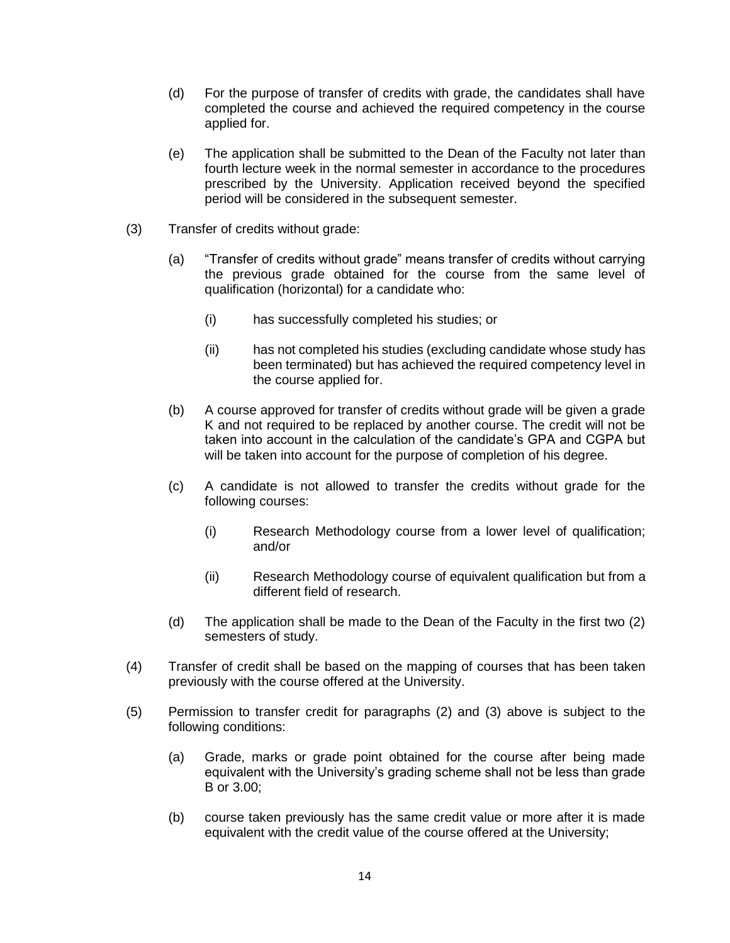- (d) For the purpose of transfer of credits with grade, the candidates shall have completed the course and achieved the required competency in the course applied for.
- (e) The application shall be submitted to the Dean of the Faculty not later than fourth lecture week in the normal semester in accordance to the procedures prescribed by the University. Application received beyond the specified period will be considered in the subsequent semester.
- (3) Transfer of credits without grade:
	- (a) "Transfer of credits without grade" means transfer of credits without carrying the previous grade obtained for the course from the same level of qualification (horizontal) for a candidate who:
		- (i) has successfully completed his studies; or
		- (ii) has not completed his studies (excluding candidate whose study has been terminated) but has achieved the required competency level in the course applied for.
	- (b) A course approved for transfer of credits without grade will be given a grade K and not required to be replaced by another course. The credit will not be taken into account in the calculation of the candidate's GPA and CGPA but will be taken into account for the purpose of completion of his degree.
	- (c) A candidate is not allowed to transfer the credits without grade for the following courses:
		- (i) Research Methodology course from a lower level of qualification; and/or
		- (ii) Research Methodology course of equivalent qualification but from a different field of research.
	- (d) The application shall be made to the Dean of the Faculty in the first two (2) semesters of study.
- (4) Transfer of credit shall be based on the mapping of courses that has been taken previously with the course offered at the University.
- (5) Permission to transfer credit for paragraphs (2) and (3) above is subject to the following conditions:
	- (a) Grade, marks or grade point obtained for the course after being made equivalent with the University's grading scheme shall not be less than grade B or 3.00;
	- (b) course taken previously has the same credit value or more after it is made equivalent with the credit value of the course offered at the University;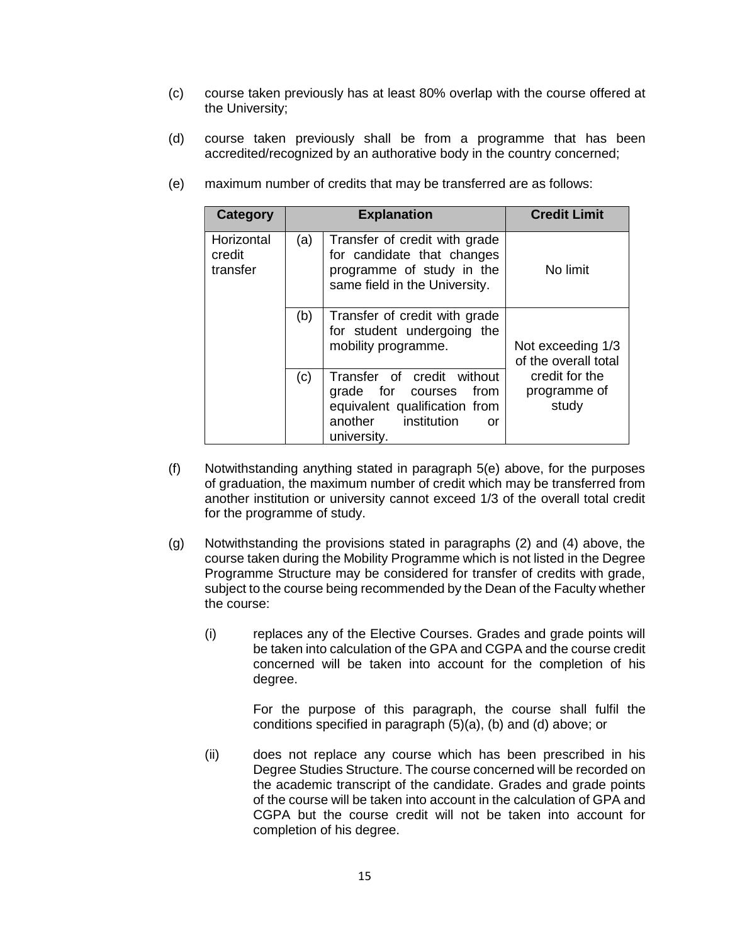- (c) course taken previously has at least 80% overlap with the course offered at the University;
- (d) course taken previously shall be from a programme that has been accredited/recognized by an authorative body in the country concerned;
	- **Category Explanation Credit Limit Horizontal** credit transfer (a) Transfer of credit with grade for candidate that changes programme of study in the same field in the University. No limit (b) Transfer of credit with grade for student undergoing the mobility programme. Not exceeding 1/3 of the overall total credit for the programme of study (c) Transfer of credit without grade for courses from equivalent qualification from another institution or university.
- (e) maximum number of credits that may be transferred are as follows:

- (f) Notwithstanding anything stated in paragraph 5(e) above, for the purposes of graduation, the maximum number of credit which may be transferred from another institution or university cannot exceed 1/3 of the overall total credit for the programme of study.
- (g) Notwithstanding the provisions stated in paragraphs (2) and (4) above, the course taken during the Mobility Programme which is not listed in the Degree Programme Structure may be considered for transfer of credits with grade, subject to the course being recommended by the Dean of the Faculty whether the course:
	- (i) replaces any of the Elective Courses. Grades and grade points will be taken into calculation of the GPA and CGPA and the course credit concerned will be taken into account for the completion of his degree.

For the purpose of this paragraph, the course shall fulfil the conditions specified in paragraph (5)(a), (b) and (d) above; or

(ii) does not replace any course which has been prescribed in his Degree Studies Structure. The course concerned will be recorded on the academic transcript of the candidate. Grades and grade points of the course will be taken into account in the calculation of GPA and CGPA but the course credit will not be taken into account for completion of his degree.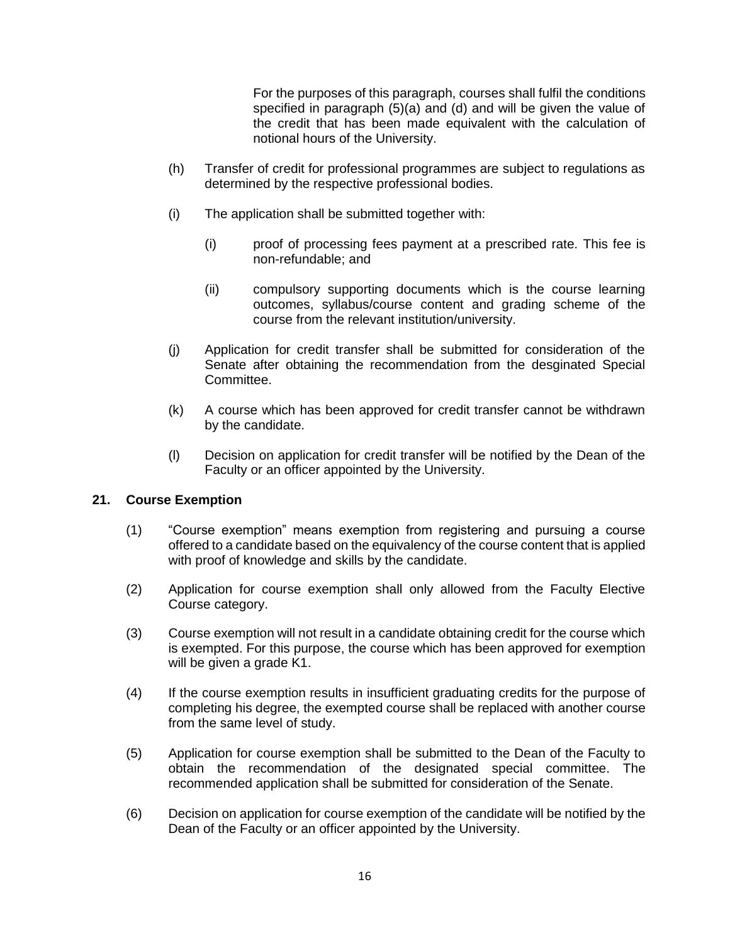For the purposes of this paragraph, courses shall fulfil the conditions specified in paragraph (5)(a) and (d) and will be given the value of the credit that has been made equivalent with the calculation of notional hours of the University.

- (h) Transfer of credit for professional programmes are subject to regulations as determined by the respective professional bodies.
- (i) The application shall be submitted together with:
	- (i) proof of processing fees payment at a prescribed rate. This fee is non-refundable; and
	- (ii) compulsory supporting documents which is the course learning outcomes, syllabus/course content and grading scheme of the course from the relevant institution/university.
- (j) Application for credit transfer shall be submitted for consideration of the Senate after obtaining the recommendation from the desginated Special Committee.
- (k) A course which has been approved for credit transfer cannot be withdrawn by the candidate.
- (l) Decision on application for credit transfer will be notified by the Dean of the Faculty or an officer appointed by the University.

# **21. Course Exemption**

- (1) "Course exemption" means exemption from registering and pursuing a course offered to a candidate based on the equivalency of the course content that is applied with proof of knowledge and skills by the candidate.
- (2) Application for course exemption shall only allowed from the Faculty Elective Course category.
- (3) Course exemption will not result in a candidate obtaining credit for the course which is exempted. For this purpose, the course which has been approved for exemption will be given a grade K1.
- (4) If the course exemption results in insufficient graduating credits for the purpose of completing his degree, the exempted course shall be replaced with another course from the same level of study.
- (5) Application for course exemption shall be submitted to the Dean of the Faculty to obtain the recommendation of the designated special committee. The recommended application shall be submitted for consideration of the Senate.
- (6) Decision on application for course exemption of the candidate will be notified by the Dean of the Faculty or an officer appointed by the University.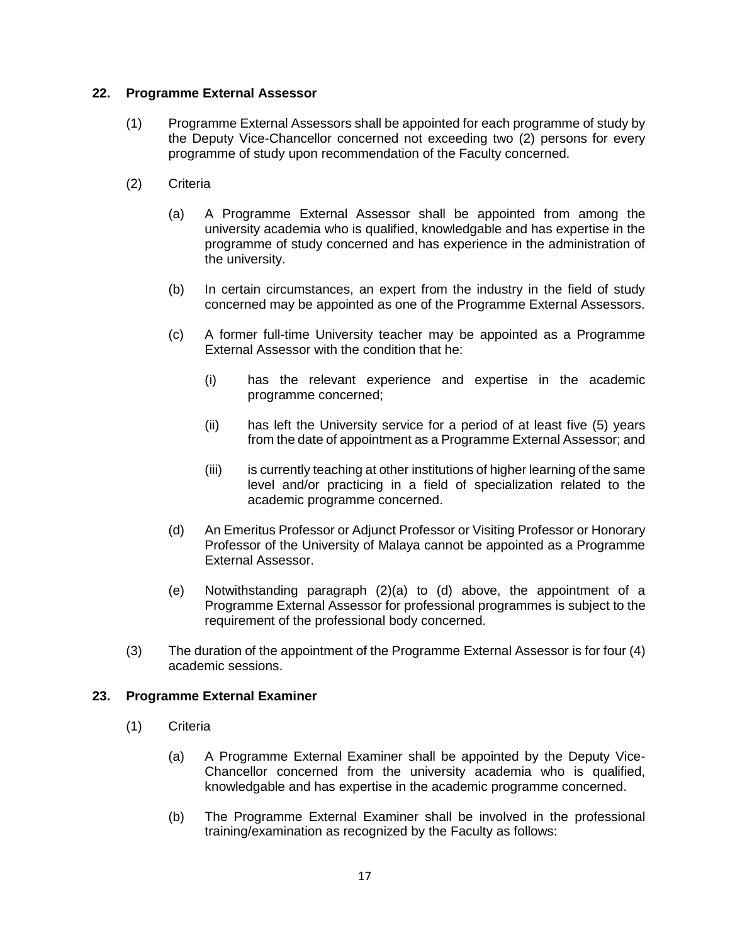## **22. Programme External Assessor**

- (1) Programme External Assessors shall be appointed for each programme of study by the Deputy Vice-Chancellor concerned not exceeding two (2) persons for every programme of study upon recommendation of the Faculty concerned.
- (2) Criteria
	- (a) A Programme External Assessor shall be appointed from among the university academia who is qualified, knowledgable and has expertise in the programme of study concerned and has experience in the administration of the university.
	- (b) In certain circumstances, an expert from the industry in the field of study concerned may be appointed as one of the Programme External Assessors.
	- (c) A former full-time University teacher may be appointed as a Programme External Assessor with the condition that he:
		- (i) has the relevant experience and expertise in the academic programme concerned;
		- (ii) has left the University service for a period of at least five (5) years from the date of appointment as a Programme External Assessor; and
		- (iii) is currently teaching at other institutions of higher learning of the same level and/or practicing in a field of specialization related to the academic programme concerned.
	- (d) An Emeritus Professor or Adjunct Professor or Visiting Professor or Honorary Professor of the University of Malaya cannot be appointed as a Programme External Assessor.
	- (e) Notwithstanding paragraph (2)(a) to (d) above, the appointment of a Programme External Assessor for professional programmes is subject to the requirement of the professional body concerned.
- (3) The duration of the appointment of the Programme External Assessor is for four (4) academic sessions.

### **23. Programme External Examiner**

- (1) Criteria
	- (a) A Programme External Examiner shall be appointed by the Deputy Vice-Chancellor concerned from the university academia who is qualified, knowledgable and has expertise in the academic programme concerned.
	- (b) The Programme External Examiner shall be involved in the professional training/examination as recognized by the Faculty as follows: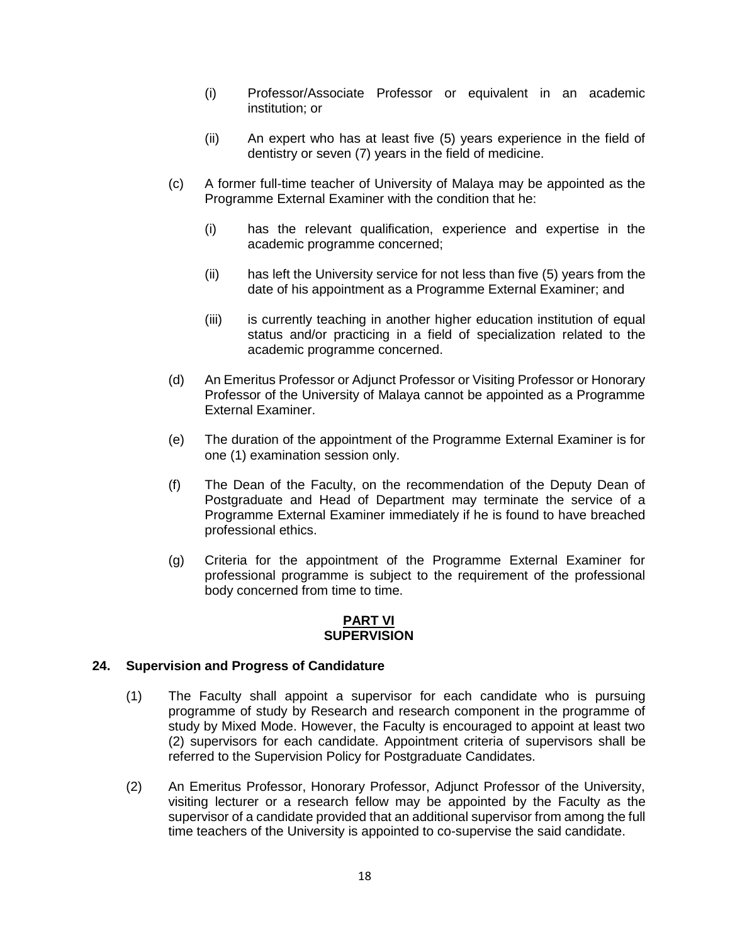- (i) Professor/Associate Professor or equivalent in an academic institution; or
- (ii) An expert who has at least five (5) years experience in the field of dentistry or seven (7) years in the field of medicine.
- (c) A former full-time teacher of University of Malaya may be appointed as the Programme External Examiner with the condition that he:
	- (i) has the relevant qualification, experience and expertise in the academic programme concerned;
	- (ii) has left the University service for not less than five (5) years from the date of his appointment as a Programme External Examiner; and
	- (iii) is currently teaching in another higher education institution of equal status and/or practicing in a field of specialization related to the academic programme concerned.
- (d) An Emeritus Professor or Adjunct Professor or Visiting Professor or Honorary Professor of the University of Malaya cannot be appointed as a Programme External Examiner.
- (e) The duration of the appointment of the Programme External Examiner is for one (1) examination session only.
- (f) The Dean of the Faculty, on the recommendation of the Deputy Dean of Postgraduate and Head of Department may terminate the service of a Programme External Examiner immediately if he is found to have breached professional ethics.
- (g) Criteria for the appointment of the Programme External Examiner for professional programme is subject to the requirement of the professional body concerned from time to time.

### **PART VI SUPERVISION**

# **24. Supervision and Progress of Candidature**

- (1) The Faculty shall appoint a supervisor for each candidate who is pursuing programme of study by Research and research component in the programme of study by Mixed Mode. However, the Faculty is encouraged to appoint at least two (2) supervisors for each candidate. Appointment criteria of supervisors shall be referred to the Supervision Policy for Postgraduate Candidates.
- (2) An Emeritus Professor, Honorary Professor, Adjunct Professor of the University, visiting lecturer or a research fellow may be appointed by the Faculty as the supervisor of a candidate provided that an additional supervisor from among the full time teachers of the University is appointed to co-supervise the said candidate.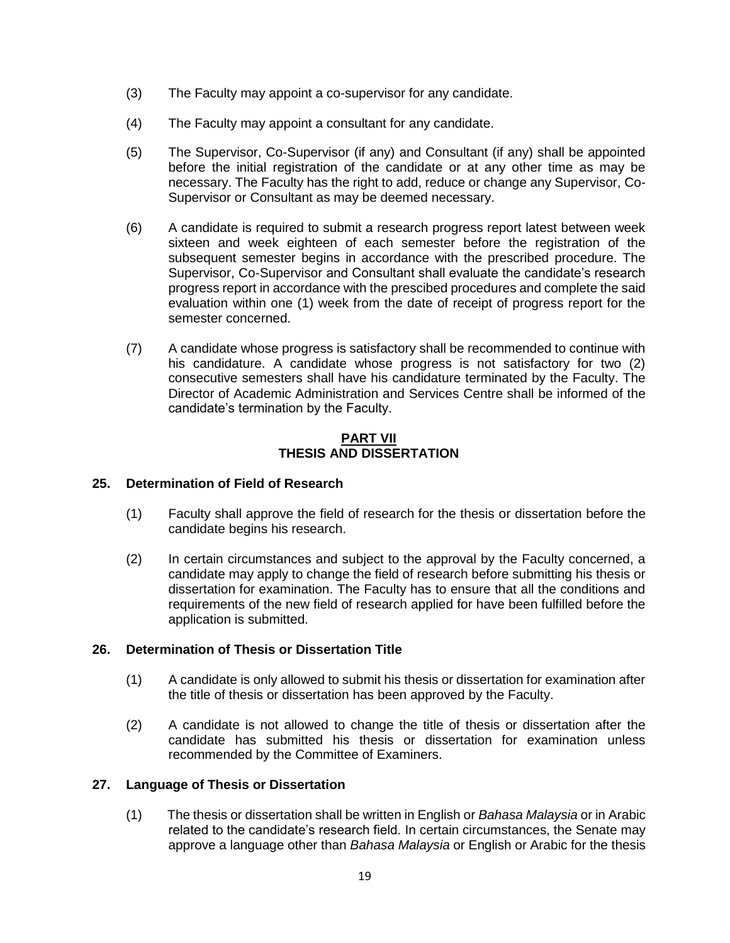- (3) The Faculty may appoint a co-supervisor for any candidate.
- (4) The Faculty may appoint a consultant for any candidate.
- (5) The Supervisor, Co-Supervisor (if any) and Consultant (if any) shall be appointed before the initial registration of the candidate or at any other time as may be necessary. The Faculty has the right to add, reduce or change any Supervisor, Co-Supervisor or Consultant as may be deemed necessary.
- (6) A candidate is required to submit a research progress report latest between week sixteen and week eighteen of each semester before the registration of the subsequent semester begins in accordance with the prescribed procedure. The Supervisor, Co-Supervisor and Consultant shall evaluate the candidate's research progress report in accordance with the prescibed procedures and complete the said evaluation within one (1) week from the date of receipt of progress report for the semester concerned.
- (7) A candidate whose progress is satisfactory shall be recommended to continue with his candidature. A candidate whose progress is not satisfactory for two (2) consecutive semesters shall have his candidature terminated by the Faculty. The Director of Academic Administration and Services Centre shall be informed of the candidate's termination by the Faculty.

## **PART VII THESIS AND DISSERTATION**

# **25. Determination of Field of Research**

- (1) Faculty shall approve the field of research for the thesis or dissertation before the candidate begins his research.
- (2) In certain circumstances and subject to the approval by the Faculty concerned, a candidate may apply to change the field of research before submitting his thesis or dissertation for examination. The Faculty has to ensure that all the conditions and requirements of the new field of research applied for have been fulfilled before the application is submitted.

# **26. Determination of Thesis or Dissertation Title**

- (1) A candidate is only allowed to submit his thesis or dissertation for examination after the title of thesis or dissertation has been approved by the Faculty.
- (2) A candidate is not allowed to change the title of thesis or dissertation after the candidate has submitted his thesis or dissertation for examination unless recommended by the Committee of Examiners.

# **27. Language of Thesis or Dissertation**

(1) The thesis or dissertation shall be written in English or *Bahasa Malaysia* or in Arabic related to the candidate's research field. In certain circumstances, the Senate may approve a language other than *Bahasa Malaysia* or English or Arabic for the thesis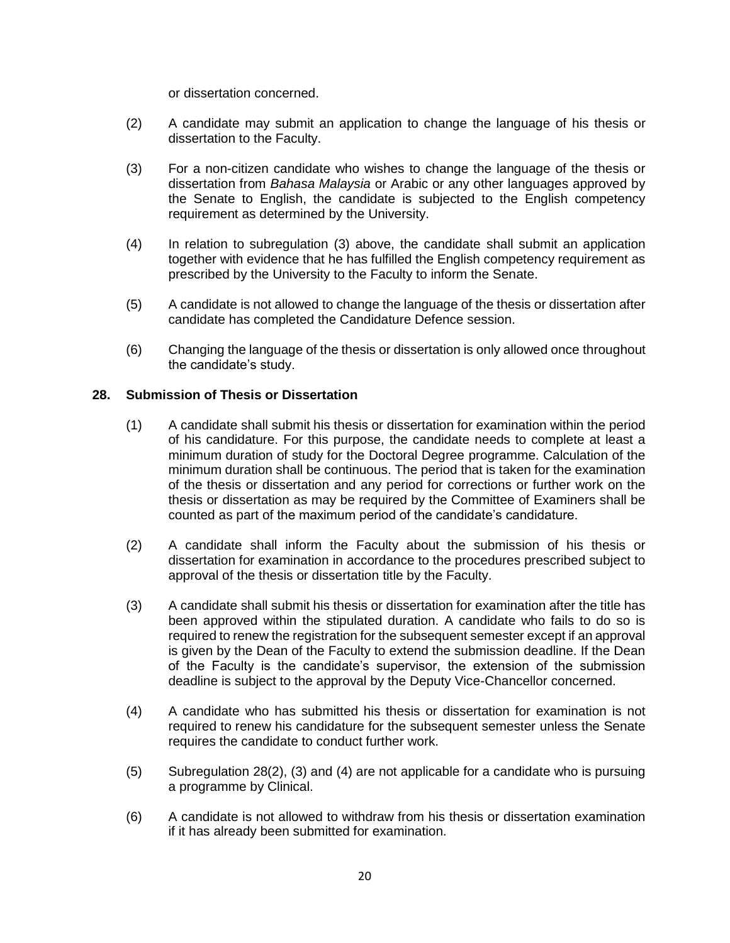or dissertation concerned.

- (2) A candidate may submit an application to change the language of his thesis or dissertation to the Faculty.
- (3) For a non-citizen candidate who wishes to change the language of the thesis or dissertation from *Bahasa Malaysia* or Arabic or any other languages approved by the Senate to English, the candidate is subjected to the English competency requirement as determined by the University.
- (4) In relation to subregulation (3) above, the candidate shall submit an application together with evidence that he has fulfilled the English competency requirement as prescribed by the University to the Faculty to inform the Senate.
- (5) A candidate is not allowed to change the language of the thesis or dissertation after candidate has completed the Candidature Defence session.
- (6) Changing the language of the thesis or dissertation is only allowed once throughout the candidate's study.

### **28. Submission of Thesis or Dissertation**

- (1) A candidate shall submit his thesis or dissertation for examination within the period of his candidature. For this purpose, the candidate needs to complete at least a minimum duration of study for the Doctoral Degree programme. Calculation of the minimum duration shall be continuous. The period that is taken for the examination of the thesis or dissertation and any period for corrections or further work on the thesis or dissertation as may be required by the Committee of Examiners shall be counted as part of the maximum period of the candidate's candidature.
- (2) A candidate shall inform the Faculty about the submission of his thesis or dissertation for examination in accordance to the procedures prescribed subject to approval of the thesis or dissertation title by the Faculty.
- (3) A candidate shall submit his thesis or dissertation for examination after the title has been approved within the stipulated duration. A candidate who fails to do so is required to renew the registration for the subsequent semester except if an approval is given by the Dean of the Faculty to extend the submission deadline. If the Dean of the Faculty is the candidate's supervisor, the extension of the submission deadline is subject to the approval by the Deputy Vice-Chancellor concerned.
- (4) A candidate who has submitted his thesis or dissertation for examination is not required to renew his candidature for the subsequent semester unless the Senate requires the candidate to conduct further work.
- (5) Subregulation 28(2), (3) and (4) are not applicable for a candidate who is pursuing a programme by Clinical.
- (6) A candidate is not allowed to withdraw from his thesis or dissertation examination if it has already been submitted for examination.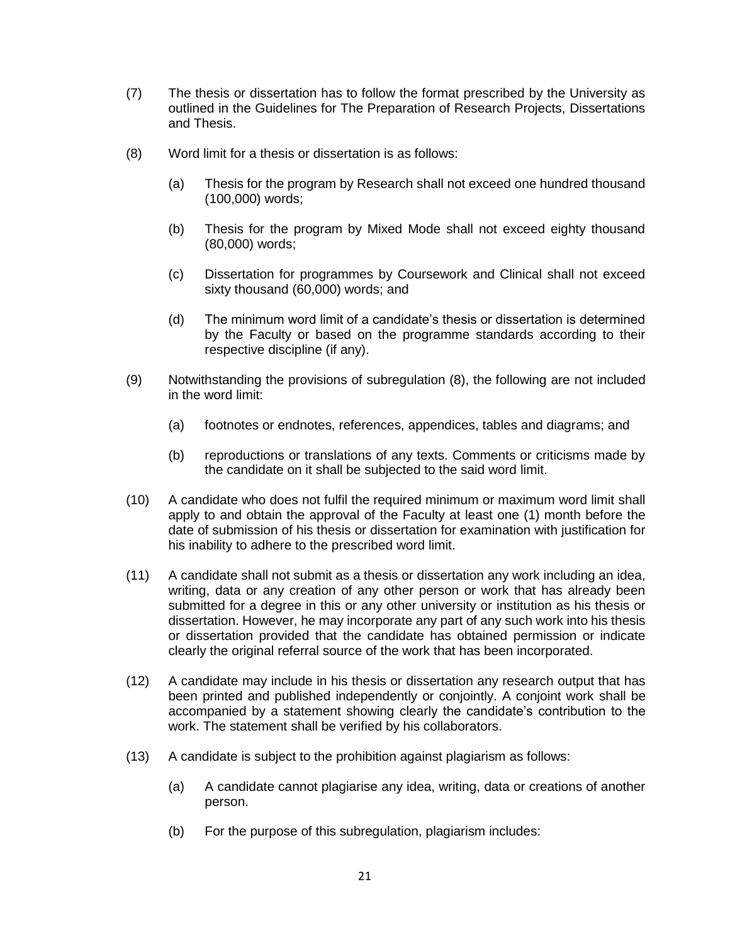- (7) The thesis or dissertation has to follow the format prescribed by the University as outlined in the Guidelines for The Preparation of Research Projects, Dissertations and Thesis.
- (8) Word limit for a thesis or dissertation is as follows:
	- (a) Thesis for the program by Research shall not exceed one hundred thousand (100,000) words;
	- (b) Thesis for the program by Mixed Mode shall not exceed eighty thousand (80,000) words;
	- (c) Dissertation for programmes by Coursework and Clinical shall not exceed sixty thousand (60,000) words; and
	- (d) The minimum word limit of a candidate's thesis or dissertation is determined by the Faculty or based on the programme standards according to their respective discipline (if any).
- (9) Notwithstanding the provisions of subregulation (8), the following are not included in the word limit:
	- (a) footnotes or endnotes, references, appendices, tables and diagrams; and
	- (b) reproductions or translations of any texts. Comments or criticisms made by the candidate on it shall be subjected to the said word limit.
- (10) A candidate who does not fulfil the required minimum or maximum word limit shall apply to and obtain the approval of the Faculty at least one (1) month before the date of submission of his thesis or dissertation for examination with justification for his inability to adhere to the prescribed word limit.
- (11) A candidate shall not submit as a thesis or dissertation any work including an idea, writing, data or any creation of any other person or work that has already been submitted for a degree in this or any other university or institution as his thesis or dissertation. However, he may incorporate any part of any such work into his thesis or dissertation provided that the candidate has obtained permission or indicate clearly the original referral source of the work that has been incorporated.
- (12) A candidate may include in his thesis or dissertation any research output that has been printed and published independently or conjointly. A conjoint work shall be accompanied by a statement showing clearly the candidate's contribution to the work. The statement shall be verified by his collaborators.
- (13) A candidate is subject to the prohibition against plagiarism as follows:
	- (a) A candidate cannot plagiarise any idea, writing, data or creations of another person.
	- (b) For the purpose of this subregulation, plagiarism includes: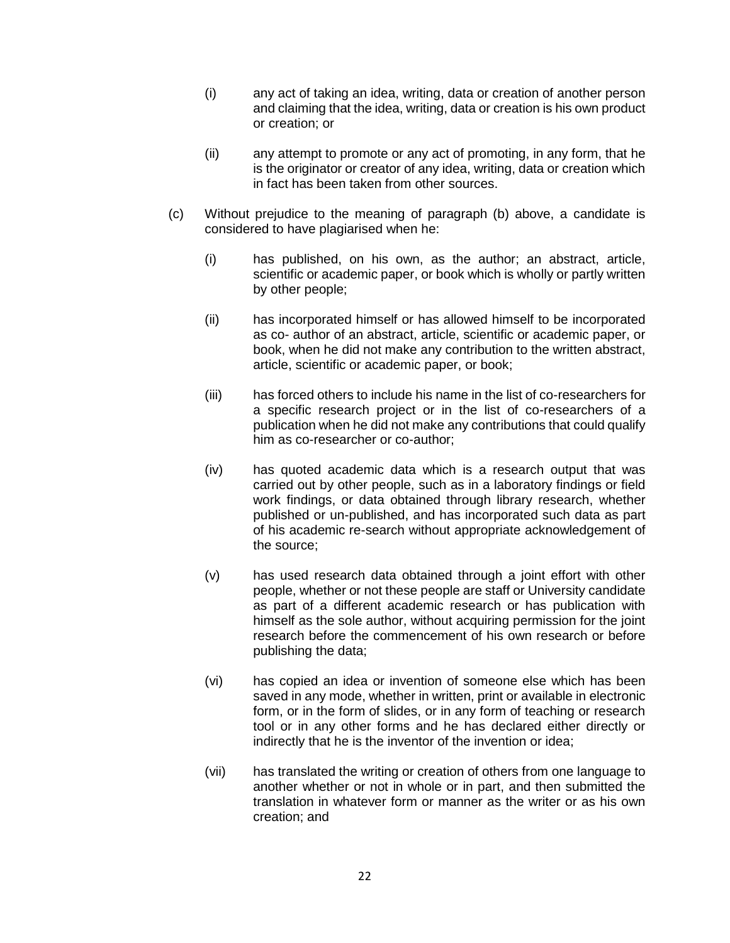- (i) any act of taking an idea, writing, data or creation of another person and claiming that the idea, writing, data or creation is his own product or creation; or
- (ii) any attempt to promote or any act of promoting, in any form, that he is the originator or creator of any idea, writing, data or creation which in fact has been taken from other sources.
- (c) Without prejudice to the meaning of paragraph (b) above, a candidate is considered to have plagiarised when he:
	- (i) has published, on his own, as the author; an abstract, article, scientific or academic paper, or book which is wholly or partly written by other people;
	- (ii) has incorporated himself or has allowed himself to be incorporated as co- author of an abstract, article, scientific or academic paper, or book, when he did not make any contribution to the written abstract, article, scientific or academic paper, or book;
	- (iii) has forced others to include his name in the list of co-researchers for a specific research project or in the list of co-researchers of a publication when he did not make any contributions that could qualify him as co-researcher or co-author;
	- (iv) has quoted academic data which is a research output that was carried out by other people, such as in a laboratory findings or field work findings, or data obtained through library research, whether published or un-published, and has incorporated such data as part of his academic re-search without appropriate acknowledgement of the source;
	- (v) has used research data obtained through a joint effort with other people, whether or not these people are staff or University candidate as part of a different academic research or has publication with himself as the sole author, without acquiring permission for the joint research before the commencement of his own research or before publishing the data;
	- (vi) has copied an idea or invention of someone else which has been saved in any mode, whether in written, print or available in electronic form, or in the form of slides, or in any form of teaching or research tool or in any other forms and he has declared either directly or indirectly that he is the inventor of the invention or idea;
	- (vii) has translated the writing or creation of others from one language to another whether or not in whole or in part, and then submitted the translation in whatever form or manner as the writer or as his own creation; and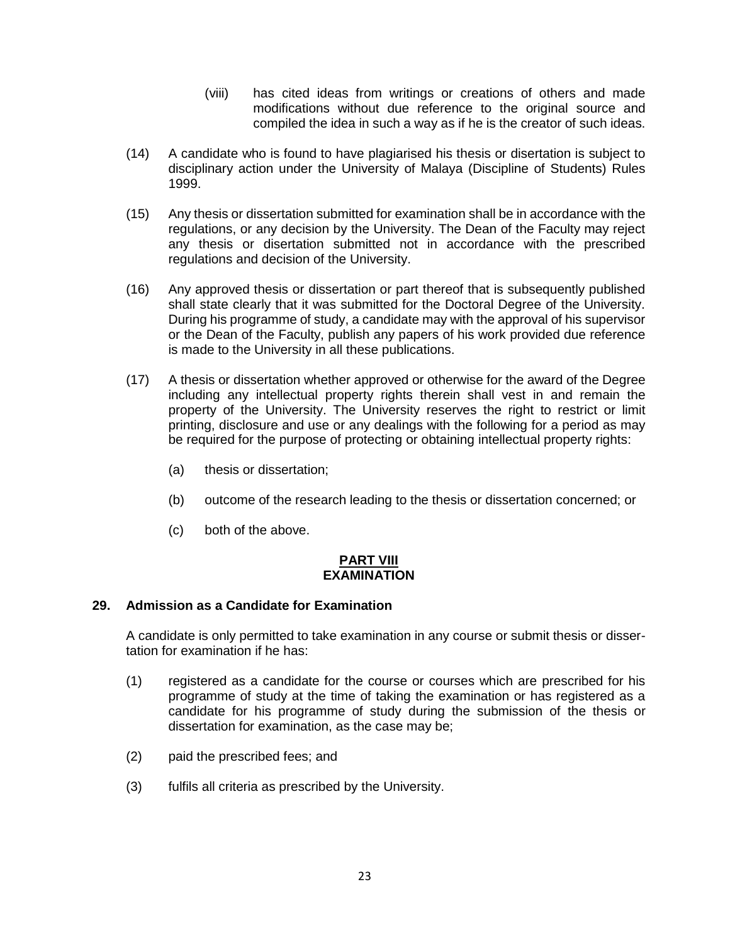- (viii) has cited ideas from writings or creations of others and made modifications without due reference to the original source and compiled the idea in such a way as if he is the creator of such ideas.
- (14) A candidate who is found to have plagiarised his thesis or disertation is subject to disciplinary action under the University of Malaya (Discipline of Students) Rules 1999.
- (15) Any thesis or dissertation submitted for examination shall be in accordance with the regulations, or any decision by the University. The Dean of the Faculty may reject any thesis or disertation submitted not in accordance with the prescribed regulations and decision of the University.
- (16) Any approved thesis or dissertation or part thereof that is subsequently published shall state clearly that it was submitted for the Doctoral Degree of the University. During his programme of study, a candidate may with the approval of his supervisor or the Dean of the Faculty, publish any papers of his work provided due reference is made to the University in all these publications.
- (17) A thesis or dissertation whether approved or otherwise for the award of the Degree including any intellectual property rights therein shall vest in and remain the property of the University. The University reserves the right to restrict or limit printing, disclosure and use or any dealings with the following for a period as may be required for the purpose of protecting or obtaining intellectual property rights:
	- (a) thesis or dissertation;
	- (b) outcome of the research leading to the thesis or dissertation concerned; or
	- (c) both of the above.

### **PART VIII EXAMINATION**

# **29. Admission as a Candidate for Examination**

A candidate is only permitted to take examination in any course or submit thesis or dissertation for examination if he has:

- (1) registered as a candidate for the course or courses which are prescribed for his programme of study at the time of taking the examination or has registered as a candidate for his programme of study during the submission of the thesis or dissertation for examination, as the case may be;
- (2) paid the prescribed fees; and
- (3) fulfils all criteria as prescribed by the University.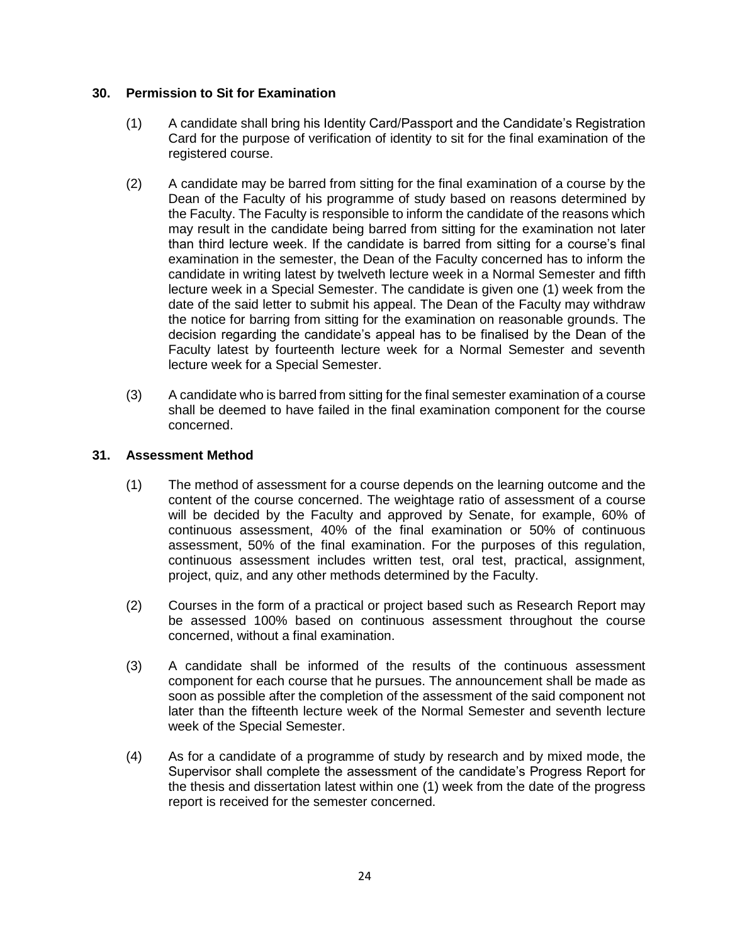# **30. Permission to Sit for Examination**

- (1) A candidate shall bring his Identity Card/Passport and the Candidate's Registration Card for the purpose of verification of identity to sit for the final examination of the registered course.
- (2) A candidate may be barred from sitting for the final examination of a course by the Dean of the Faculty of his programme of study based on reasons determined by the Faculty. The Faculty is responsible to inform the candidate of the reasons which may result in the candidate being barred from sitting for the examination not later than third lecture week. If the candidate is barred from sitting for a course's final examination in the semester, the Dean of the Faculty concerned has to inform the candidate in writing latest by twelveth lecture week in a Normal Semester and fifth lecture week in a Special Semester. The candidate is given one (1) week from the date of the said letter to submit his appeal. The Dean of the Faculty may withdraw the notice for barring from sitting for the examination on reasonable grounds. The decision regarding the candidate's appeal has to be finalised by the Dean of the Faculty latest by fourteenth lecture week for a Normal Semester and seventh lecture week for a Special Semester.
- (3) A candidate who is barred from sitting for the final semester examination of a course shall be deemed to have failed in the final examination component for the course concerned.

# **31. Assessment Method**

- (1) The method of assessment for a course depends on the learning outcome and the content of the course concerned. The weightage ratio of assessment of a course will be decided by the Faculty and approved by Senate, for example, 60% of continuous assessment, 40% of the final examination or 50% of continuous assessment, 50% of the final examination. For the purposes of this regulation, continuous assessment includes written test, oral test, practical, assignment, project, quiz, and any other methods determined by the Faculty.
- (2) Courses in the form of a practical or project based such as Research Report may be assessed 100% based on continuous assessment throughout the course concerned, without a final examination.
- (3) A candidate shall be informed of the results of the continuous assessment component for each course that he pursues. The announcement shall be made as soon as possible after the completion of the assessment of the said component not later than the fifteenth lecture week of the Normal Semester and seventh lecture week of the Special Semester.
- (4) As for a candidate of a programme of study by research and by mixed mode, the Supervisor shall complete the assessment of the candidate's Progress Report for the thesis and dissertation latest within one (1) week from the date of the progress report is received for the semester concerned.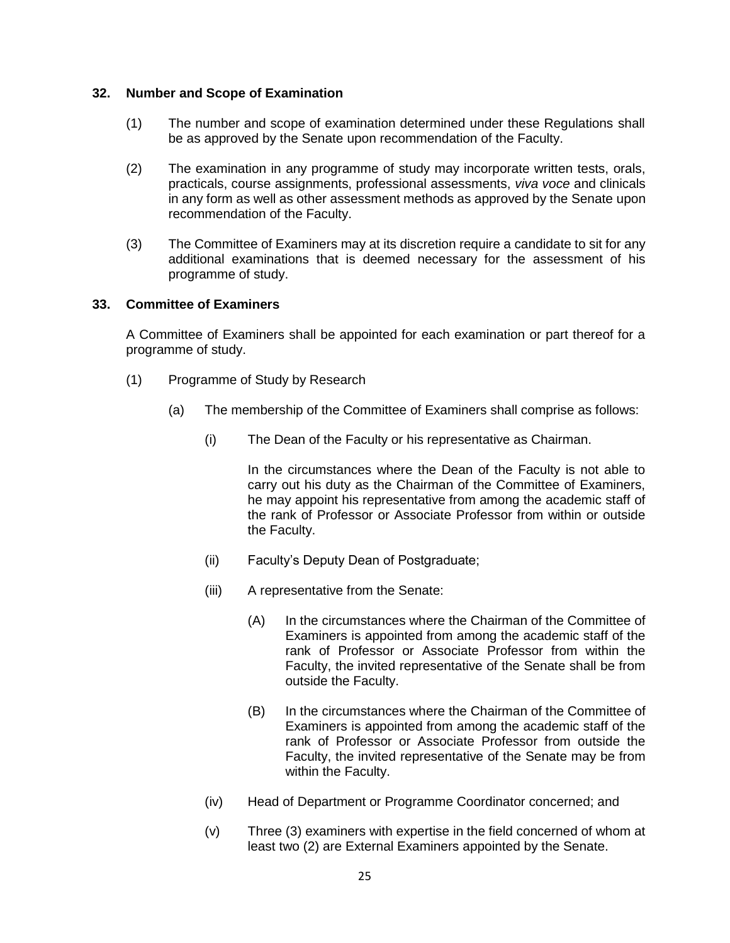### **32. Number and Scope of Examination**

- (1) The number and scope of examination determined under these Regulations shall be as approved by the Senate upon recommendation of the Faculty.
- (2) The examination in any programme of study may incorporate written tests, orals, practicals, course assignments, professional assessments, *viva voce* and clinicals in any form as well as other assessment methods as approved by the Senate upon recommendation of the Faculty.
- (3) The Committee of Examiners may at its discretion require a candidate to sit for any additional examinations that is deemed necessary for the assessment of his programme of study.

### **33. Committee of Examiners**

A Committee of Examiners shall be appointed for each examination or part thereof for a programme of study.

- (1) Programme of Study by Research
	- (a) The membership of the Committee of Examiners shall comprise as follows:
		- (i) The Dean of the Faculty or his representative as Chairman.

In the circumstances where the Dean of the Faculty is not able to carry out his duty as the Chairman of the Committee of Examiners, he may appoint his representative from among the academic staff of the rank of Professor or Associate Professor from within or outside the Faculty.

- (ii) Faculty's Deputy Dean of Postgraduate;
- (iii) A representative from the Senate:
	- (A) In the circumstances where the Chairman of the Committee of Examiners is appointed from among the academic staff of the rank of Professor or Associate Professor from within the Faculty, the invited representative of the Senate shall be from outside the Faculty.
	- (B) In the circumstances where the Chairman of the Committee of Examiners is appointed from among the academic staff of the rank of Professor or Associate Professor from outside the Faculty, the invited representative of the Senate may be from within the Faculty.
- (iv) Head of Department or Programme Coordinator concerned; and
- (v) Three (3) examiners with expertise in the field concerned of whom at least two (2) are External Examiners appointed by the Senate.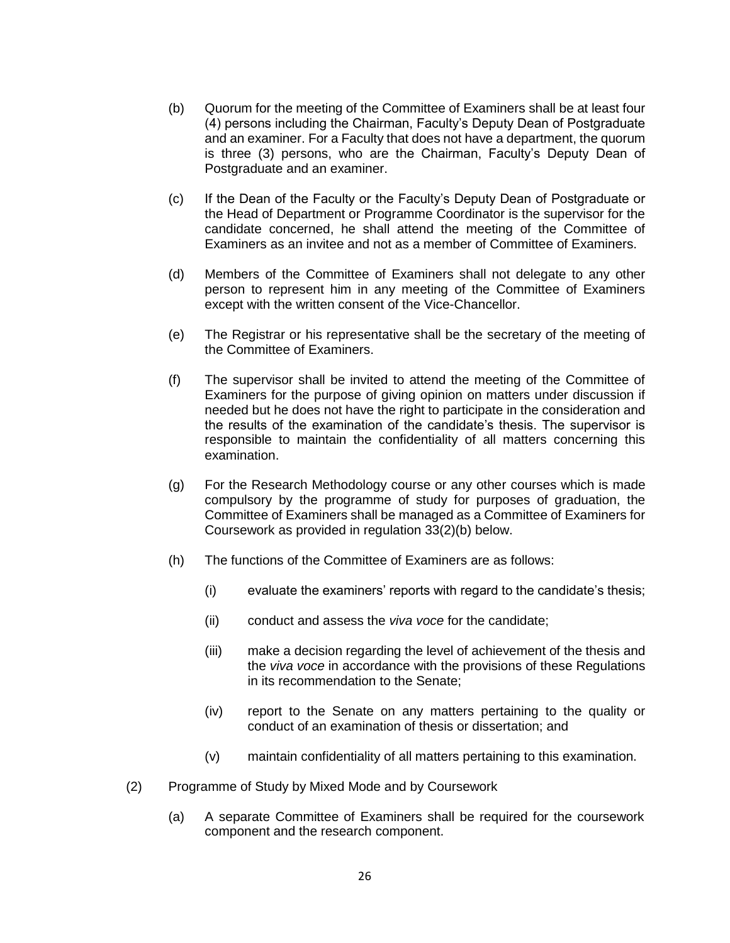- (b) Quorum for the meeting of the Committee of Examiners shall be at least four (4) persons including the Chairman, Faculty's Deputy Dean of Postgraduate and an examiner. For a Faculty that does not have a department, the quorum is three (3) persons, who are the Chairman, Faculty's Deputy Dean of Postgraduate and an examiner.
- (c) If the Dean of the Faculty or the Faculty's Deputy Dean of Postgraduate or the Head of Department or Programme Coordinator is the supervisor for the candidate concerned, he shall attend the meeting of the Committee of Examiners as an invitee and not as a member of Committee of Examiners.
- (d) Members of the Committee of Examiners shall not delegate to any other person to represent him in any meeting of the Committee of Examiners except with the written consent of the Vice-Chancellor.
- (e) The Registrar or his representative shall be the secretary of the meeting of the Committee of Examiners.
- (f) The supervisor shall be invited to attend the meeting of the Committee of Examiners for the purpose of giving opinion on matters under discussion if needed but he does not have the right to participate in the consideration and the results of the examination of the candidate's thesis. The supervisor is responsible to maintain the confidentiality of all matters concerning this examination.
- (g) For the Research Methodology course or any other courses which is made compulsory by the programme of study for purposes of graduation, the Committee of Examiners shall be managed as a Committee of Examiners for Coursework as provided in regulation 33(2)(b) below.
- (h) The functions of the Committee of Examiners are as follows:
	- (i) evaluate the examiners' reports with regard to the candidate's thesis;
	- (ii) conduct and assess the *viva voce* for the candidate;
	- (iii) make a decision regarding the level of achievement of the thesis and the *viva voce* in accordance with the provisions of these Regulations in its recommendation to the Senate;
	- (iv) report to the Senate on any matters pertaining to the quality or conduct of an examination of thesis or dissertation; and
	- (v) maintain confidentiality of all matters pertaining to this examination.
- (2) Programme of Study by Mixed Mode and by Coursework
	- (a) A separate Committee of Examiners shall be required for the coursework component and the research component.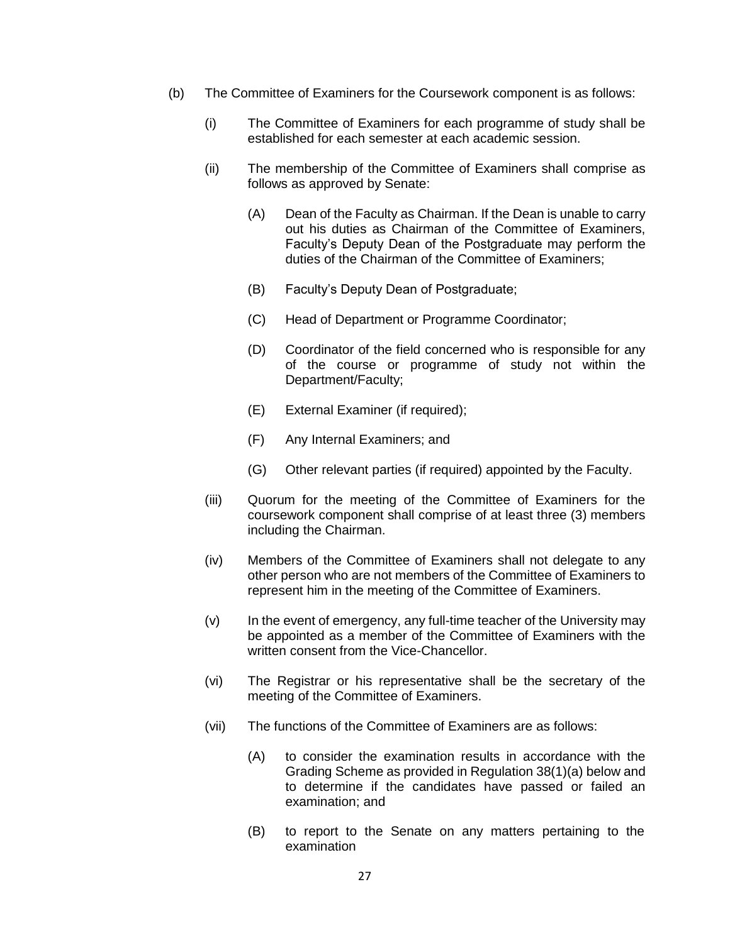- (b) The Committee of Examiners for the Coursework component is as follows:
	- (i) The Committee of Examiners for each programme of study shall be established for each semester at each academic session.
	- (ii) The membership of the Committee of Examiners shall comprise as follows as approved by Senate:
		- (A) Dean of the Faculty as Chairman. If the Dean is unable to carry out his duties as Chairman of the Committee of Examiners, Faculty's Deputy Dean of the Postgraduate may perform the duties of the Chairman of the Committee of Examiners;
		- (B) Faculty's Deputy Dean of Postgraduate;
		- (C) Head of Department or Programme Coordinator;
		- (D) Coordinator of the field concerned who is responsible for any of the course or programme of study not within the Department/Faculty;
		- (E) External Examiner (if required);
		- (F) Any Internal Examiners; and
		- (G) Other relevant parties (if required) appointed by the Faculty.
	- (iii) Quorum for the meeting of the Committee of Examiners for the coursework component shall comprise of at least three (3) members including the Chairman.
	- (iv) Members of the Committee of Examiners shall not delegate to any other person who are not members of the Committee of Examiners to represent him in the meeting of the Committee of Examiners.
	- (v) In the event of emergency, any full-time teacher of the University may be appointed as a member of the Committee of Examiners with the written consent from the Vice-Chancellor.
	- (vi) The Registrar or his representative shall be the secretary of the meeting of the Committee of Examiners.
	- (vii) The functions of the Committee of Examiners are as follows:
		- (A) to consider the examination results in accordance with the Grading Scheme as provided in Regulation 38(1)(a) below and to determine if the candidates have passed or failed an examination; and
		- (B) to report to the Senate on any matters pertaining to the examination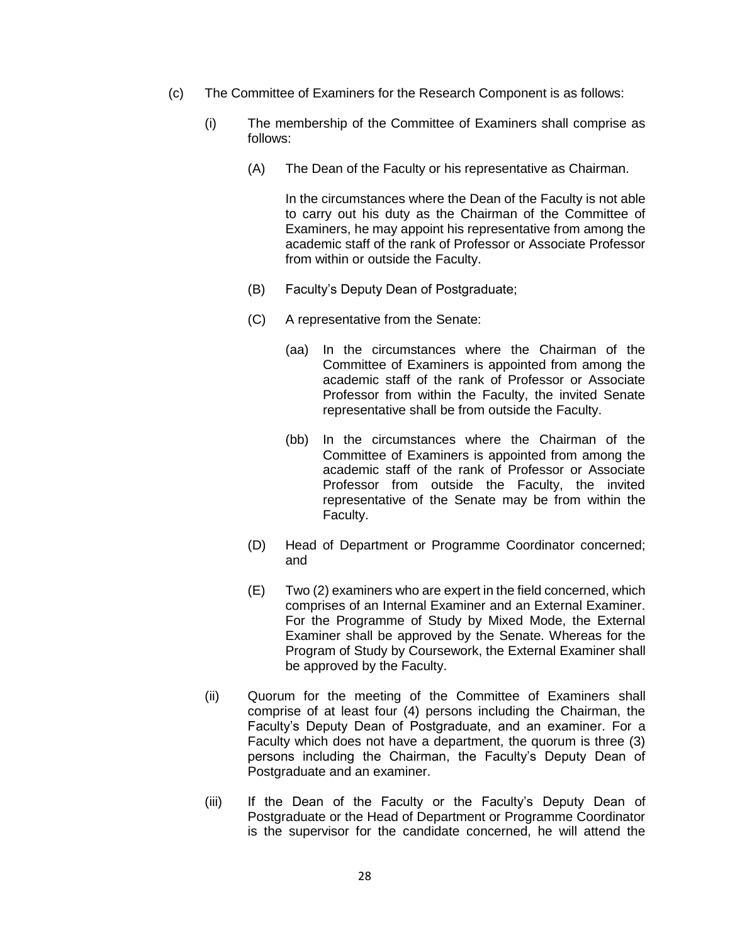- (c) The Committee of Examiners for the Research Component is as follows:
	- (i) The membership of the Committee of Examiners shall comprise as follows:
		- (A) The Dean of the Faculty or his representative as Chairman.

In the circumstances where the Dean of the Faculty is not able to carry out his duty as the Chairman of the Committee of Examiners, he may appoint his representative from among the academic staff of the rank of Professor or Associate Professor from within or outside the Faculty.

- (B) Faculty's Deputy Dean of Postgraduate;
- (C) A representative from the Senate:
	- (aa) In the circumstances where the Chairman of the Committee of Examiners is appointed from among the academic staff of the rank of Professor or Associate Professor from within the Faculty, the invited Senate representative shall be from outside the Faculty.
	- (bb) In the circumstances where the Chairman of the Committee of Examiners is appointed from among the academic staff of the rank of Professor or Associate Professor from outside the Faculty, the invited representative of the Senate may be from within the Faculty.
- (D) Head of Department or Programme Coordinator concerned; and
- (E) Two (2) examiners who are expert in the field concerned, which comprises of an Internal Examiner and an External Examiner. For the Programme of Study by Mixed Mode, the External Examiner shall be approved by the Senate. Whereas for the Program of Study by Coursework, the External Examiner shall be approved by the Faculty.
- (ii) Quorum for the meeting of the Committee of Examiners shall comprise of at least four (4) persons including the Chairman, the Faculty's Deputy Dean of Postgraduate, and an examiner. For a Faculty which does not have a department, the quorum is three (3) persons including the Chairman, the Faculty's Deputy Dean of Postgraduate and an examiner.
- (iii) If the Dean of the Faculty or the Faculty's Deputy Dean of Postgraduate or the Head of Department or Programme Coordinator is the supervisor for the candidate concerned, he will attend the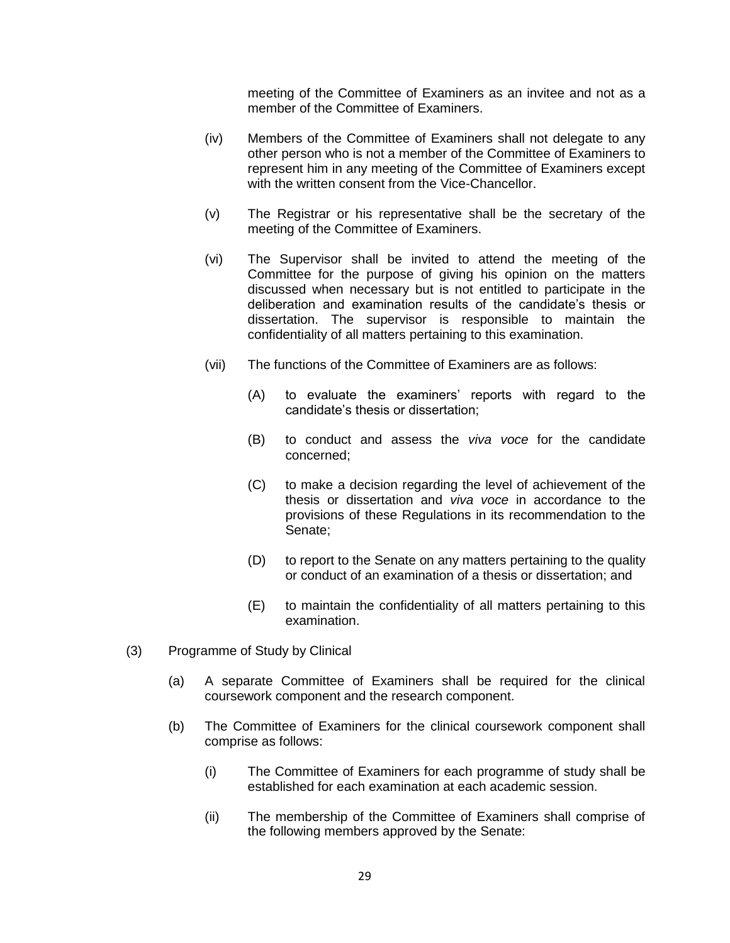meeting of the Committee of Examiners as an invitee and not as a member of the Committee of Examiners.

- (iv) Members of the Committee of Examiners shall not delegate to any other person who is not a member of the Committee of Examiners to represent him in any meeting of the Committee of Examiners except with the written consent from the Vice-Chancellor.
- (v) The Registrar or his representative shall be the secretary of the meeting of the Committee of Examiners.
- (vi) The Supervisor shall be invited to attend the meeting of the Committee for the purpose of giving his opinion on the matters discussed when necessary but is not entitled to participate in the deliberation and examination results of the candidate's thesis or dissertation. The supervisor is responsible to maintain the confidentiality of all matters pertaining to this examination.
- (vii) The functions of the Committee of Examiners are as follows:
	- (A) to evaluate the examiners' reports with regard to the candidate's thesis or dissertation;
	- (B) to conduct and assess the *viva voce* for the candidate concerned;
	- (C) to make a decision regarding the level of achievement of the thesis or dissertation and *viva voce* in accordance to the provisions of these Regulations in its recommendation to the Senate;
	- (D) to report to the Senate on any matters pertaining to the quality or conduct of an examination of a thesis or dissertation; and
	- (E) to maintain the confidentiality of all matters pertaining to this examination.
- (3) Programme of Study by Clinical
	- (a) A separate Committee of Examiners shall be required for the clinical coursework component and the research component.
	- (b) The Committee of Examiners for the clinical coursework component shall comprise as follows:
		- (i) The Committee of Examiners for each programme of study shall be established for each examination at each academic session.
		- (ii) The membership of the Committee of Examiners shall comprise of the following members approved by the Senate: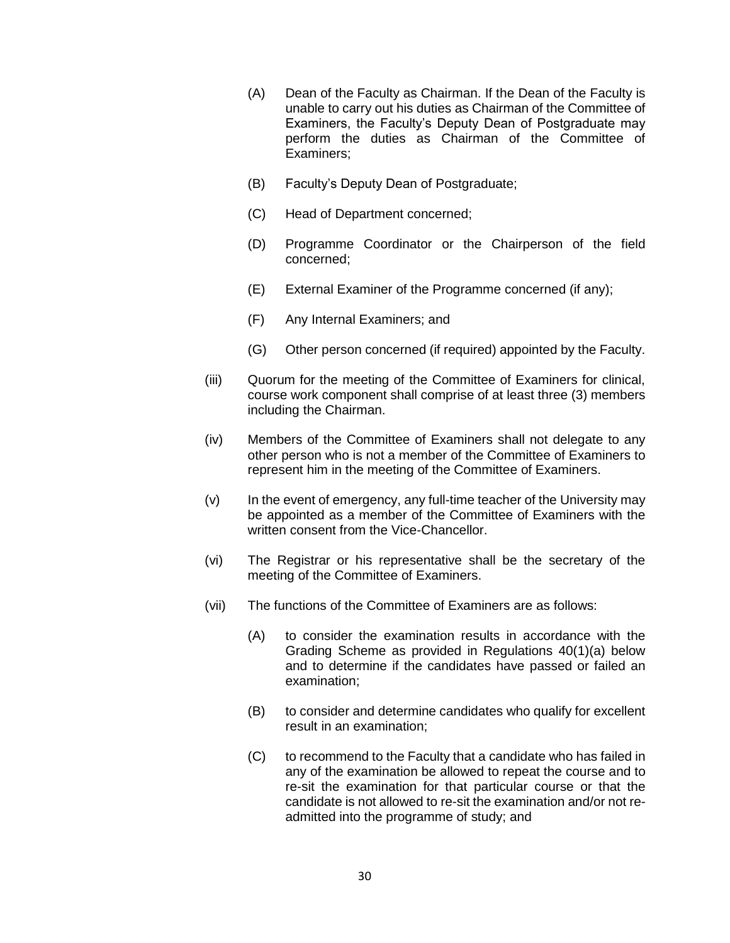- (A) Dean of the Faculty as Chairman. If the Dean of the Faculty is unable to carry out his duties as Chairman of the Committee of Examiners, the Faculty's Deputy Dean of Postgraduate may perform the duties as Chairman of the Committee of Examiners;
- (B) Faculty's Deputy Dean of Postgraduate;
- (C) Head of Department concerned;
- (D) Programme Coordinator or the Chairperson of the field concerned;
- (E) External Examiner of the Programme concerned (if any);
- (F) Any Internal Examiners; and
- (G) Other person concerned (if required) appointed by the Faculty.
- (iii) Quorum for the meeting of the Committee of Examiners for clinical, course work component shall comprise of at least three (3) members including the Chairman.
- (iv) Members of the Committee of Examiners shall not delegate to any other person who is not a member of the Committee of Examiners to represent him in the meeting of the Committee of Examiners.
- (v) In the event of emergency, any full-time teacher of the University may be appointed as a member of the Committee of Examiners with the written consent from the Vice-Chancellor.
- (vi) The Registrar or his representative shall be the secretary of the meeting of the Committee of Examiners.
- (vii) The functions of the Committee of Examiners are as follows:
	- (A) to consider the examination results in accordance with the Grading Scheme as provided in Regulations 40(1)(a) below and to determine if the candidates have passed or failed an examination;
	- (B) to consider and determine candidates who qualify for excellent result in an examination;
	- (C) to recommend to the Faculty that a candidate who has failed in any of the examination be allowed to repeat the course and to re-sit the examination for that particular course or that the candidate is not allowed to re-sit the examination and/or not readmitted into the programme of study; and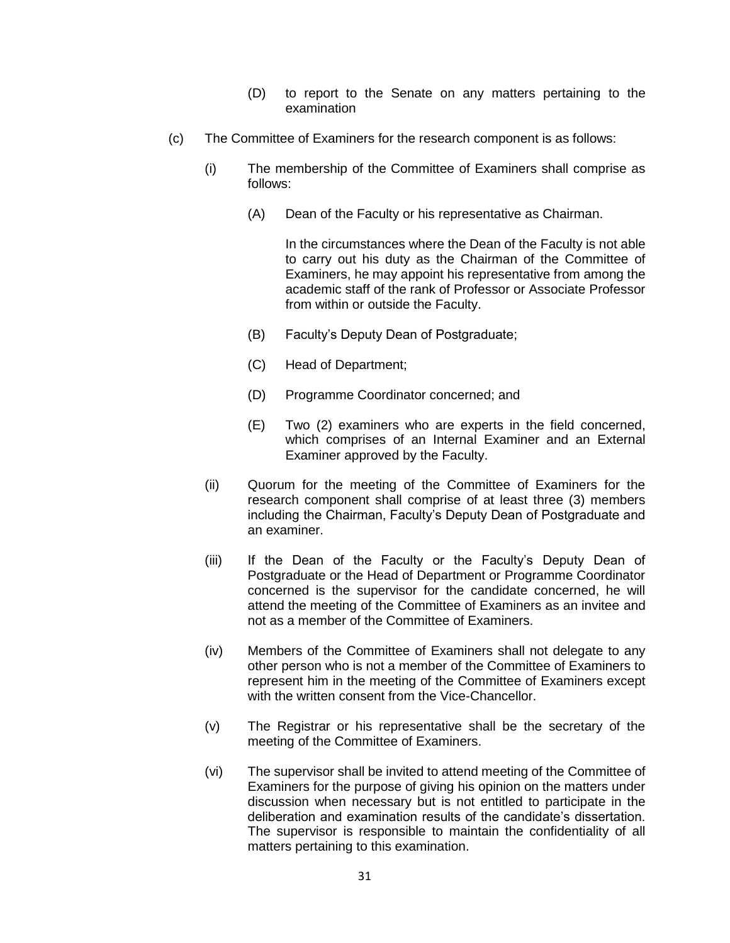- (D) to report to the Senate on any matters pertaining to the examination
- (c) The Committee of Examiners for the research component is as follows:
	- (i) The membership of the Committee of Examiners shall comprise as follows:
		- (A) Dean of the Faculty or his representative as Chairman.

In the circumstances where the Dean of the Faculty is not able to carry out his duty as the Chairman of the Committee of Examiners, he may appoint his representative from among the academic staff of the rank of Professor or Associate Professor from within or outside the Faculty.

- (B) Faculty's Deputy Dean of Postgraduate;
- (C) Head of Department;
- (D) Programme Coordinator concerned; and
- (E) Two (2) examiners who are experts in the field concerned, which comprises of an Internal Examiner and an External Examiner approved by the Faculty.
- (ii) Quorum for the meeting of the Committee of Examiners for the research component shall comprise of at least three (3) members including the Chairman, Faculty's Deputy Dean of Postgraduate and an examiner.
- (iii) If the Dean of the Faculty or the Faculty's Deputy Dean of Postgraduate or the Head of Department or Programme Coordinator concerned is the supervisor for the candidate concerned, he will attend the meeting of the Committee of Examiners as an invitee and not as a member of the Committee of Examiners.
- (iv) Members of the Committee of Examiners shall not delegate to any other person who is not a member of the Committee of Examiners to represent him in the meeting of the Committee of Examiners except with the written consent from the Vice-Chancellor.
- (v) The Registrar or his representative shall be the secretary of the meeting of the Committee of Examiners.
- (vi) The supervisor shall be invited to attend meeting of the Committee of Examiners for the purpose of giving his opinion on the matters under discussion when necessary but is not entitled to participate in the deliberation and examination results of the candidate's dissertation. The supervisor is responsible to maintain the confidentiality of all matters pertaining to this examination.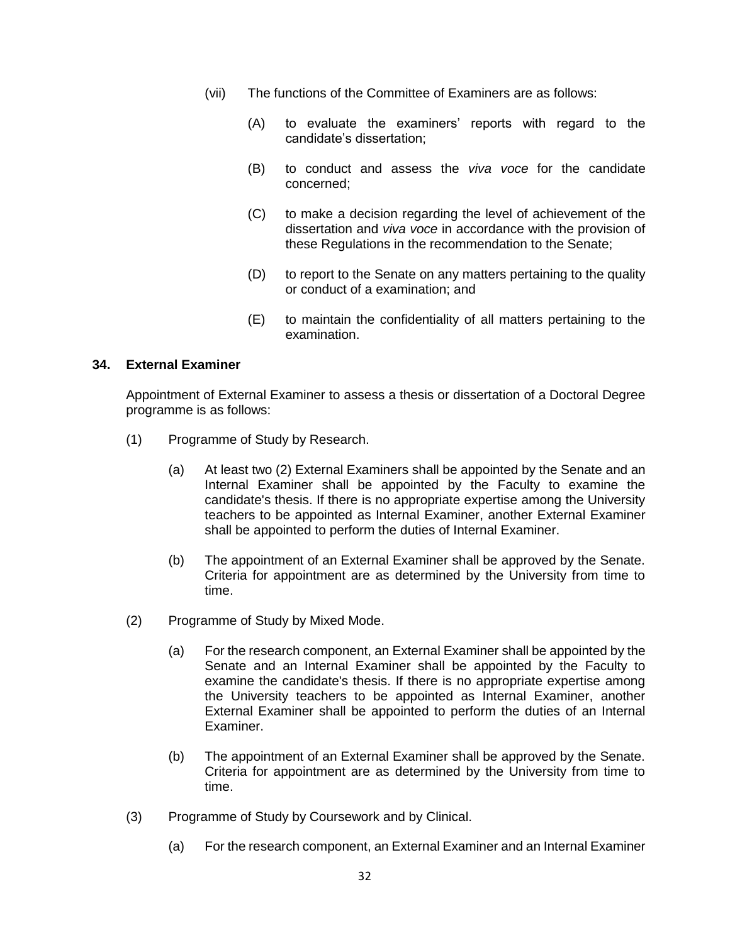- (vii) The functions of the Committee of Examiners are as follows:
	- (A) to evaluate the examiners' reports with regard to the candidate's dissertation;
	- (B) to conduct and assess the *viva voce* for the candidate concerned;
	- (C) to make a decision regarding the level of achievement of the dissertation and *viva voce* in accordance with the provision of these Regulations in the recommendation to the Senate;
	- (D) to report to the Senate on any matters pertaining to the quality or conduct of a examination; and
	- (E) to maintain the confidentiality of all matters pertaining to the examination.

# **34. External Examiner**

Appointment of External Examiner to assess a thesis or dissertation of a Doctoral Degree programme is as follows:

- (1) Programme of Study by Research.
	- (a) At least two (2) External Examiners shall be appointed by the Senate and an Internal Examiner shall be appointed by the Faculty to examine the candidate's thesis. If there is no appropriate expertise among the University teachers to be appointed as Internal Examiner, another External Examiner shall be appointed to perform the duties of Internal Examiner.
	- (b) The appointment of an External Examiner shall be approved by the Senate. Criteria for appointment are as determined by the University from time to time.
- (2) Programme of Study by Mixed Mode.
	- (a) For the research component, an External Examiner shall be appointed by the Senate and an Internal Examiner shall be appointed by the Faculty to examine the candidate's thesis. If there is no appropriate expertise among the University teachers to be appointed as Internal Examiner, another External Examiner shall be appointed to perform the duties of an Internal Examiner.
	- (b) The appointment of an External Examiner shall be approved by the Senate. Criteria for appointment are as determined by the University from time to time.
- (3) Programme of Study by Coursework and by Clinical.
	- (a) For the research component, an External Examiner and an Internal Examiner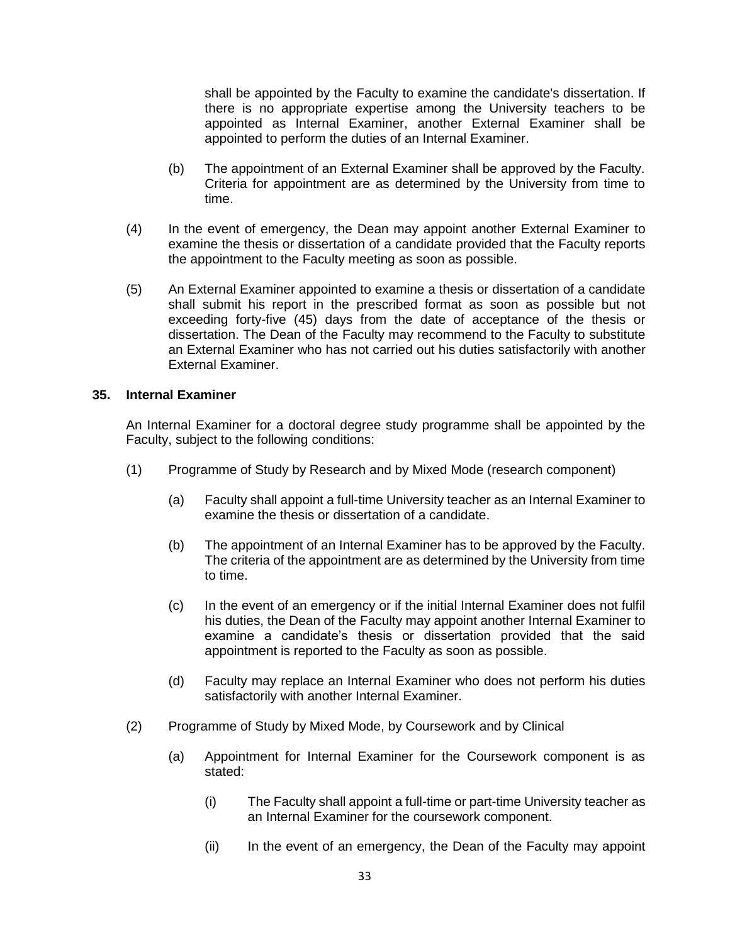shall be appointed by the Faculty to examine the candidate's dissertation. If there is no appropriate expertise among the University teachers to be appointed as Internal Examiner, another External Examiner shall be appointed to perform the duties of an Internal Examiner.

- (b) The appointment of an External Examiner shall be approved by the Faculty. Criteria for appointment are as determined by the University from time to time.
- (4) In the event of emergency, the Dean may appoint another External Examiner to examine the thesis or dissertation of a candidate provided that the Faculty reports the appointment to the Faculty meeting as soon as possible.
- (5) An External Examiner appointed to examine a thesis or dissertation of a candidate shall submit his report in the prescribed format as soon as possible but not exceeding forty-five (45) days from the date of acceptance of the thesis or dissertation. The Dean of the Faculty may recommend to the Faculty to substitute an External Examiner who has not carried out his duties satisfactorily with another External Examiner.

### **35. Internal Examiner**

An Internal Examiner for a doctoral degree study programme shall be appointed by the Faculty, subject to the following conditions:

- (1) Programme of Study by Research and by Mixed Mode (research component)
	- (a) Faculty shall appoint a full-time University teacher as an Internal Examiner to examine the thesis or dissertation of a candidate.
	- (b) The appointment of an Internal Examiner has to be approved by the Faculty. The criteria of the appointment are as determined by the University from time to time.
	- (c) In the event of an emergency or if the initial Internal Examiner does not fulfil his duties, the Dean of the Faculty may appoint another Internal Examiner to examine a candidate's thesis or dissertation provided that the said appointment is reported to the Faculty as soon as possible.
	- (d) Faculty may replace an Internal Examiner who does not perform his duties satisfactorily with another Internal Examiner.
- (2) Programme of Study by Mixed Mode, by Coursework and by Clinical
	- (a) Appointment for Internal Examiner for the Coursework component is as stated:
		- (i) The Faculty shall appoint a full-time or part-time University teacher as an Internal Examiner for the coursework component.
		- (ii) In the event of an emergency, the Dean of the Faculty may appoint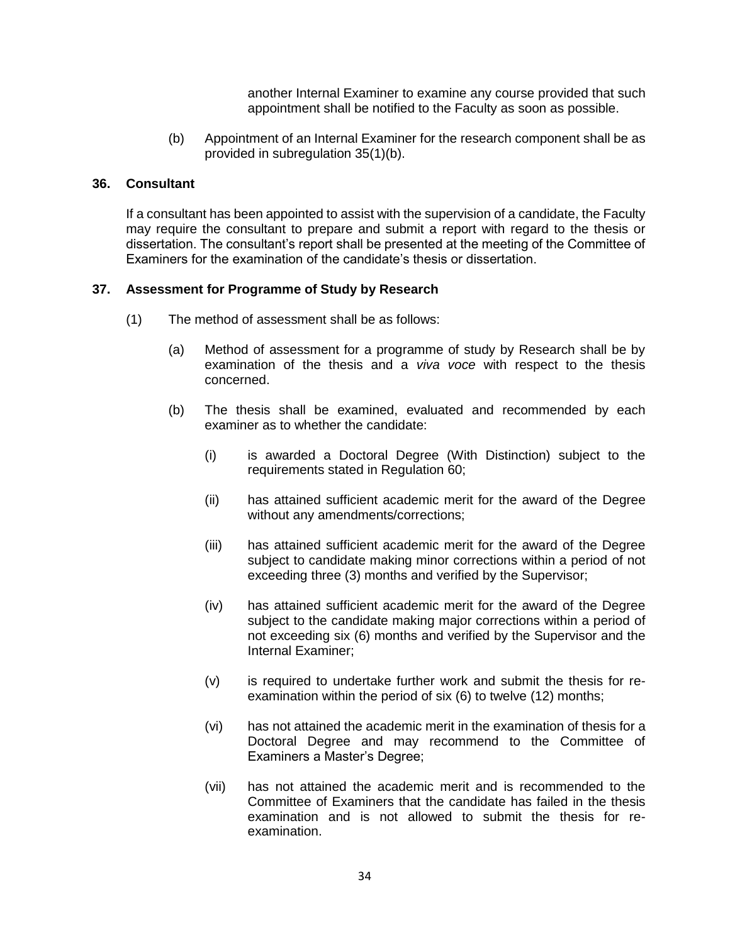another Internal Examiner to examine any course provided that such appointment shall be notified to the Faculty as soon as possible.

(b) Appointment of an Internal Examiner for the research component shall be as provided in subregulation 35(1)(b).

### **36. Consultant**

If a consultant has been appointed to assist with the supervision of a candidate, the Faculty may require the consultant to prepare and submit a report with regard to the thesis or dissertation. The consultant's report shall be presented at the meeting of the Committee of Examiners for the examination of the candidate's thesis or dissertation.

### **37. Assessment for Programme of Study by Research**

- (1) The method of assessment shall be as follows:
	- (a) Method of assessment for a programme of study by Research shall be by examination of the thesis and a *viva voce* with respect to the thesis concerned.
	- (b) The thesis shall be examined, evaluated and recommended by each examiner as to whether the candidate:
		- (i) is awarded a Doctoral Degree (With Distinction) subject to the requirements stated in Regulation 60;
		- (ii) has attained sufficient academic merit for the award of the Degree without any amendments/corrections;
		- (iii) has attained sufficient academic merit for the award of the Degree subject to candidate making minor corrections within a period of not exceeding three (3) months and verified by the Supervisor;
		- (iv) has attained sufficient academic merit for the award of the Degree subject to the candidate making major corrections within a period of not exceeding six (6) months and verified by the Supervisor and the Internal Examiner;
		- (v) is required to undertake further work and submit the thesis for reexamination within the period of six (6) to twelve (12) months;
		- (vi) has not attained the academic merit in the examination of thesis for a Doctoral Degree and may recommend to the Committee of Examiners a Master's Degree;
		- (vii) has not attained the academic merit and is recommended to the Committee of Examiners that the candidate has failed in the thesis examination and is not allowed to submit the thesis for reexamination.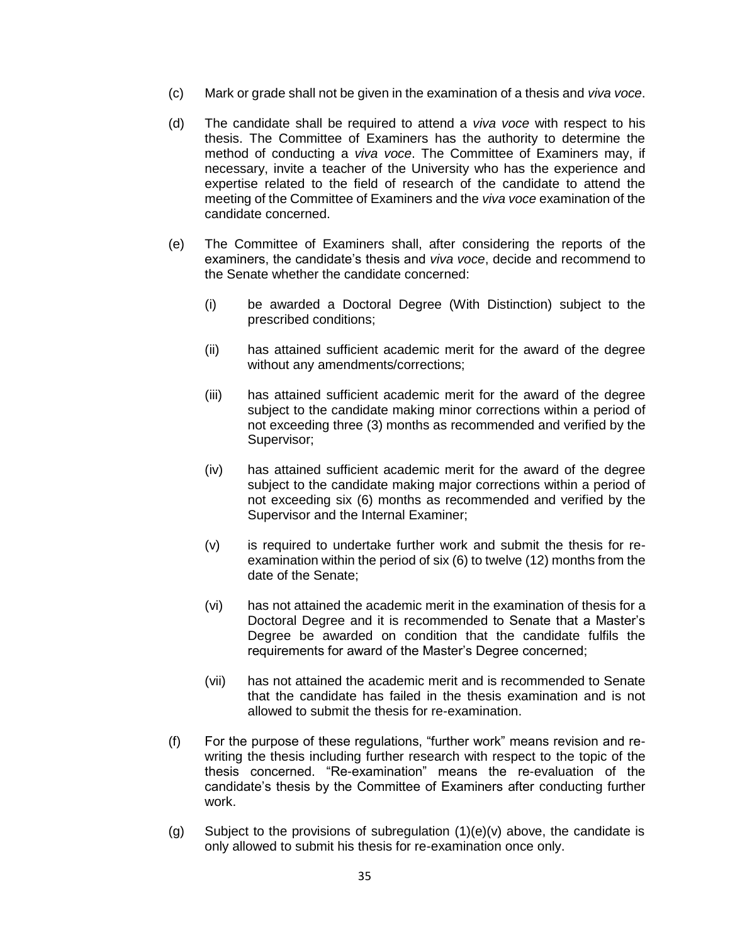- (c) Mark or grade shall not be given in the examination of a thesis and *viva voce*.
- (d) The candidate shall be required to attend a *viva voce* with respect to his thesis. The Committee of Examiners has the authority to determine the method of conducting a *viva voce*. The Committee of Examiners may, if necessary, invite a teacher of the University who has the experience and expertise related to the field of research of the candidate to attend the meeting of the Committee of Examiners and the *viva voce* examination of the candidate concerned.
- (e) The Committee of Examiners shall, after considering the reports of the examiners, the candidate's thesis and *viva voce*, decide and recommend to the Senate whether the candidate concerned:
	- (i) be awarded a Doctoral Degree (With Distinction) subject to the prescribed conditions;
	- (ii) has attained sufficient academic merit for the award of the degree without any amendments/corrections;
	- (iii) has attained sufficient academic merit for the award of the degree subject to the candidate making minor corrections within a period of not exceeding three (3) months as recommended and verified by the Supervisor;
	- (iv) has attained sufficient academic merit for the award of the degree subject to the candidate making major corrections within a period of not exceeding six (6) months as recommended and verified by the Supervisor and the Internal Examiner;
	- (v) is required to undertake further work and submit the thesis for reexamination within the period of six (6) to twelve (12) months from the date of the Senate;
	- (vi) has not attained the academic merit in the examination of thesis for a Doctoral Degree and it is recommended to Senate that a Master's Degree be awarded on condition that the candidate fulfils the requirements for award of the Master's Degree concerned;
	- (vii) has not attained the academic merit and is recommended to Senate that the candidate has failed in the thesis examination and is not allowed to submit the thesis for re-examination.
- (f) For the purpose of these regulations, "further work" means revision and rewriting the thesis including further research with respect to the topic of the thesis concerned. "Re-examination" means the re-evaluation of the candidate's thesis by the Committee of Examiners after conducting further work.
- (g) Subject to the provisions of subregulation  $(1)(e)(v)$  above, the candidate is only allowed to submit his thesis for re-examination once only.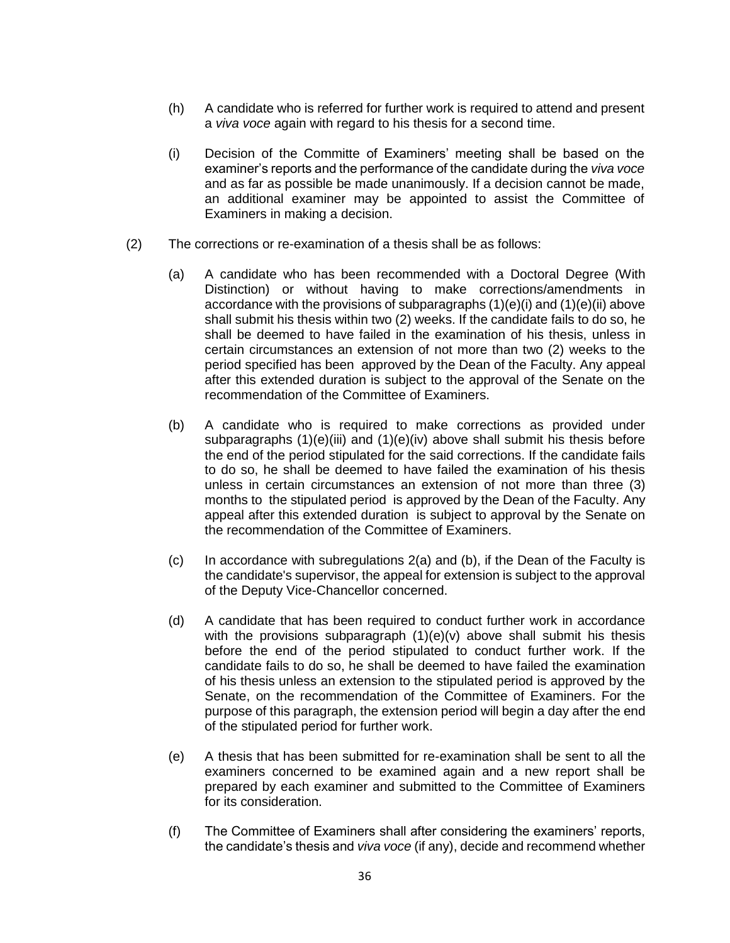- (h) A candidate who is referred for further work is required to attend and present a *viva voce* again with regard to his thesis for a second time.
- (i) Decision of the Committe of Examiners' meeting shall be based on the examiner's reports and the performance of the candidate during the *viva voce* and as far as possible be made unanimously. If a decision cannot be made, an additional examiner may be appointed to assist the Committee of Examiners in making a decision.
- (2) The corrections or re-examination of a thesis shall be as follows:
	- (a) A candidate who has been recommended with a Doctoral Degree (With Distinction) or without having to make corrections/amendments in accordance with the provisions of subparagraphs (1)(e)(i) and (1)(e)(ii) above shall submit his thesis within two (2) weeks. If the candidate fails to do so, he shall be deemed to have failed in the examination of his thesis, unless in certain circumstances an extension of not more than two (2) weeks to the period specified has been approved by the Dean of the Faculty. Any appeal after this extended duration is subject to the approval of the Senate on the recommendation of the Committee of Examiners.
	- (b) A candidate who is required to make corrections as provided under subparagraphs (1)(e)(iii) and (1)(e)(iv) above shall submit his thesis before the end of the period stipulated for the said corrections. If the candidate fails to do so, he shall be deemed to have failed the examination of his thesis unless in certain circumstances an extension of not more than three (3) months to the stipulated period is approved by the Dean of the Faculty. Any appeal after this extended duration is subject to approval by the Senate on the recommendation of the Committee of Examiners.
	- (c) In accordance with subregulations 2(a) and (b), if the Dean of the Faculty is the candidate's supervisor, the appeal for extension is subject to the approval of the Deputy Vice-Chancellor concerned.
	- (d) A candidate that has been required to conduct further work in accordance with the provisions subparagraph (1)(e)(v) above shall submit his thesis before the end of the period stipulated to conduct further work. If the candidate fails to do so, he shall be deemed to have failed the examination of his thesis unless an extension to the stipulated period is approved by the Senate, on the recommendation of the Committee of Examiners. For the purpose of this paragraph, the extension period will begin a day after the end of the stipulated period for further work.
	- (e) A thesis that has been submitted for re-examination shall be sent to all the examiners concerned to be examined again and a new report shall be prepared by each examiner and submitted to the Committee of Examiners for its consideration.
	- (f) The Committee of Examiners shall after considering the examiners' reports, the candidate's thesis and *viva voce* (if any), decide and recommend whether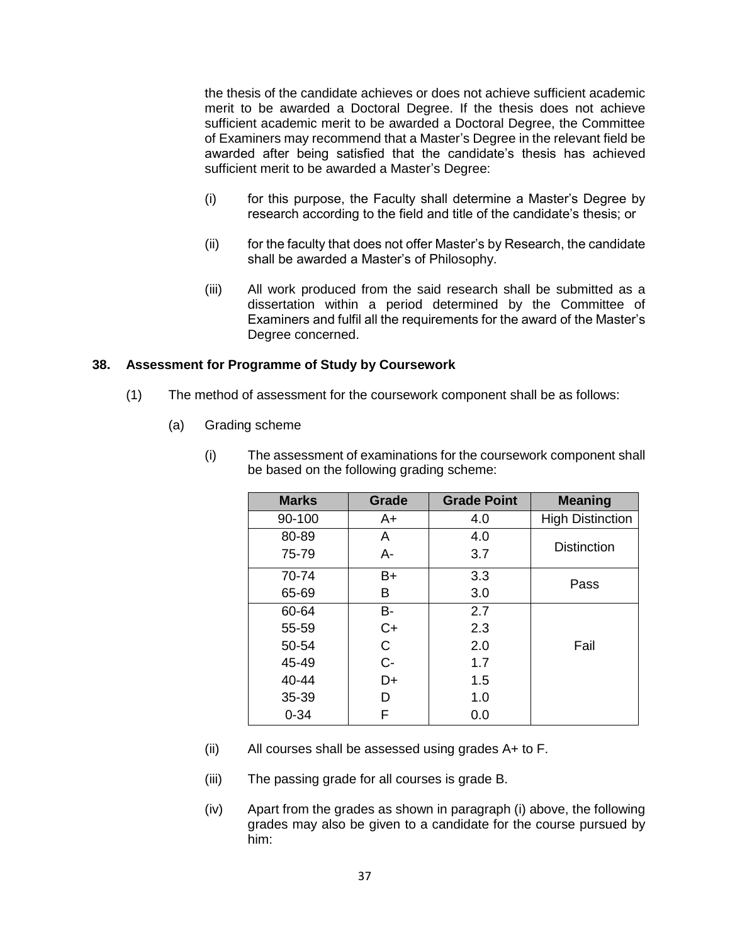the thesis of the candidate achieves or does not achieve sufficient academic merit to be awarded a Doctoral Degree. If the thesis does not achieve sufficient academic merit to be awarded a Doctoral Degree, the Committee of Examiners may recommend that a Master's Degree in the relevant field be awarded after being satisfied that the candidate's thesis has achieved sufficient merit to be awarded a Master's Degree:

- (i) for this purpose, the Faculty shall determine a Master's Degree by research according to the field and title of the candidate's thesis; or
- (ii) for the faculty that does not offer Master's by Research, the candidate shall be awarded a Master's of Philosophy.
- (iii) All work produced from the said research shall be submitted as a dissertation within a period determined by the Committee of Examiners and fulfil all the requirements for the award of the Master's Degree concerned.

#### **38. Assessment for Programme of Study by Coursework**

- (1) The method of assessment for the coursework component shall be as follows:
	- (a) Grading scheme

| <b>Marks</b> | Grade | <b>Grade Point</b> | <b>Meaning</b>          |  |
|--------------|-------|--------------------|-------------------------|--|
| 90-100       | A+    | 4.0                | <b>High Distinction</b> |  |
| 80-89        | A     | 4.0                | <b>Distinction</b>      |  |
| 75-79        | $A -$ | 3.7                |                         |  |
| 70-74        | $B+$  | 3.3                | Pass                    |  |
| 65-69        | в     | 3.0                |                         |  |
| 60-64        | B-    | 2.7                |                         |  |
| 55-59        | $C+$  | 2.3                |                         |  |
| 50-54        | C     | 2.0                | Fail                    |  |
| 45-49        | $C -$ | 1.7                |                         |  |
| 40-44        | D+    | 1.5                |                         |  |
| 35-39        | D     | 1.0                |                         |  |
| $0 - 34$     | F     | 0.0                |                         |  |

(i) The assessment of examinations for the coursework component shall be based on the following grading scheme:

- (ii) All courses shall be assessed using grades A+ to F.
- (iii) The passing grade for all courses is grade B.
- (iv) Apart from the grades as shown in paragraph (i) above, the following grades may also be given to a candidate for the course pursued by him: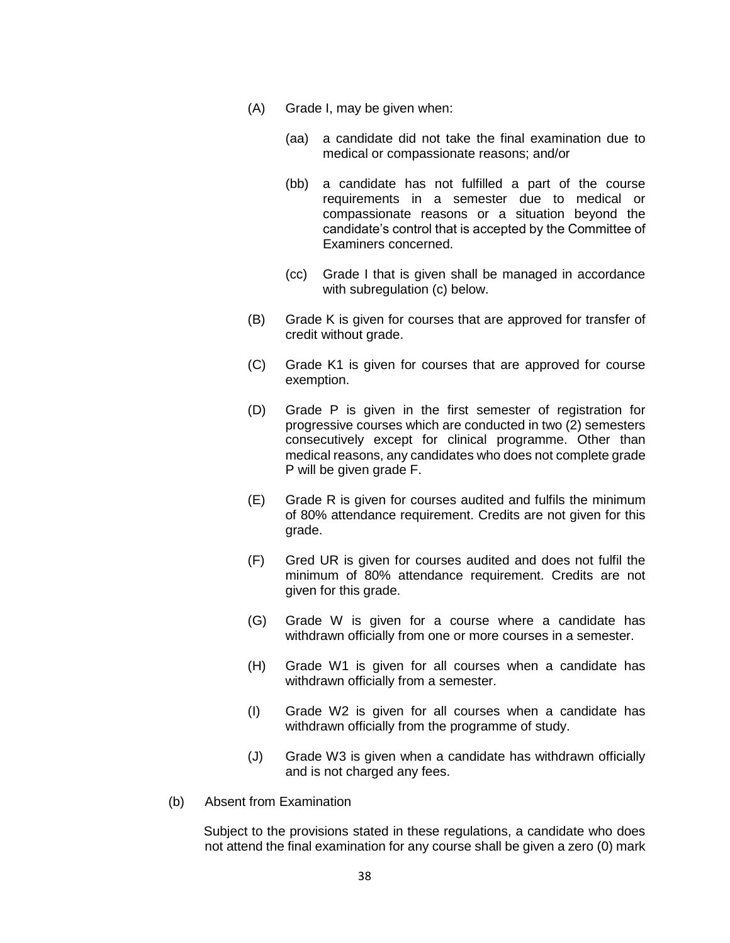- (A) Grade I, may be given when:
	- (aa) a candidate did not take the final examination due to medical or compassionate reasons; and/or
	- (bb) a candidate has not fulfilled a part of the course requirements in a semester due to medical or compassionate reasons or a situation beyond the candidate's control that is accepted by the Committee of Examiners concerned.
	- (cc) Grade I that is given shall be managed in accordance with subregulation (c) below.
- (B) Grade K is given for courses that are approved for transfer of credit without grade.
- (C) Grade K1 is given for courses that are approved for course exemption.
- (D) Grade P is given in the first semester of registration for progressive courses which are conducted in two (2) semesters consecutively except for clinical programme. Other than medical reasons, any candidates who does not complete grade P will be given grade F.
- (E) Grade R is given for courses audited and fulfils the minimum of 80% attendance requirement. Credits are not given for this grade.
- (F) Gred UR is given for courses audited and does not fulfil the minimum of 80% attendance requirement. Credits are not given for this grade.
- (G) Grade W is given for a course where a candidate has withdrawn officially from one or more courses in a semester.
- (H) Grade W1 is given for all courses when a candidate has withdrawn officially from a semester.
- (I) Grade W2 is given for all courses when a candidate has withdrawn officially from the programme of study.
- (J) Grade W3 is given when a candidate has withdrawn officially and is not charged any fees.
- (b) Absent from Examination

Subject to the provisions stated in these regulations, a candidate who does not attend the final examination for any course shall be given a zero (0) mark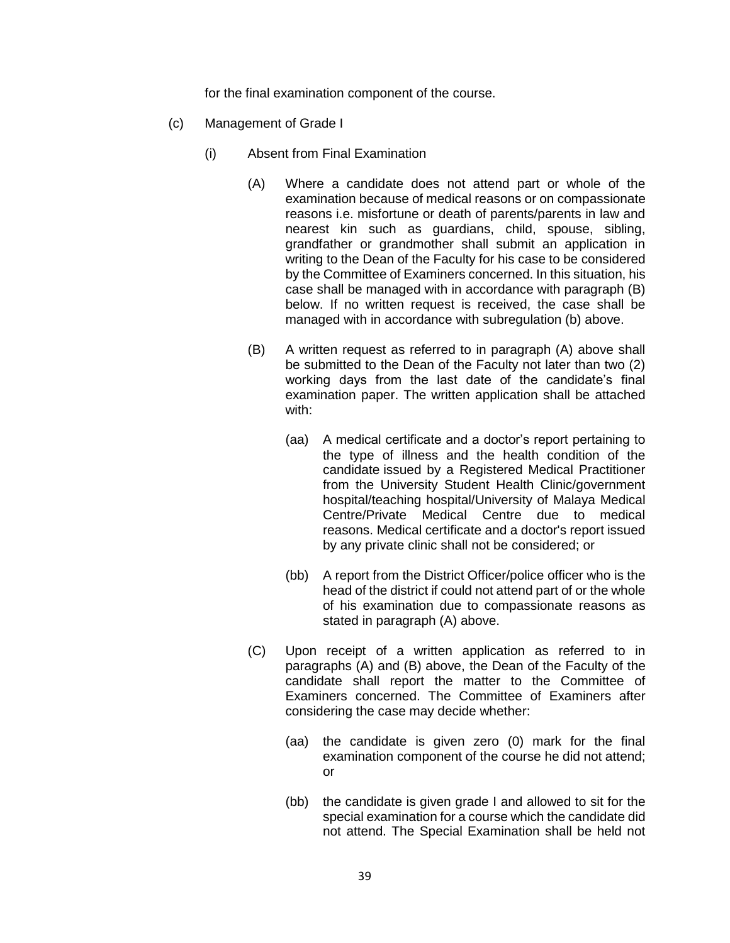for the final examination component of the course.

- (c) Management of Grade I
	- (i) Absent from Final Examination
		- (A) Where a candidate does not attend part or whole of the examination because of medical reasons or on compassionate reasons i.e. misfortune or death of parents/parents in law and nearest kin such as guardians, child, spouse, sibling, grandfather or grandmother shall submit an application in writing to the Dean of the Faculty for his case to be considered by the Committee of Examiners concerned. In this situation, his case shall be managed with in accordance with paragraph (B) below. If no written request is received, the case shall be managed with in accordance with subregulation (b) above.
		- (B) A written request as referred to in paragraph (A) above shall be submitted to the Dean of the Faculty not later than two (2) working days from the last date of the candidate's final examination paper. The written application shall be attached with:
			- (aa) A medical certificate and a doctor's report pertaining to the type of illness and the health condition of the candidate issued by a Registered Medical Practitioner from the University Student Health Clinic/government hospital/teaching hospital/University of Malaya Medical Centre/Private Medical Centre due to medical reasons. Medical certificate and a doctor's report issued by any private clinic shall not be considered; or
			- (bb) A report from the District Officer/police officer who is the head of the district if could not attend part of or the whole of his examination due to compassionate reasons as stated in paragraph (A) above.
		- (C) Upon receipt of a written application as referred to in paragraphs (A) and (B) above, the Dean of the Faculty of the candidate shall report the matter to the Committee of Examiners concerned. The Committee of Examiners after considering the case may decide whether:
			- (aa) the candidate is given zero (0) mark for the final examination component of the course he did not attend; or
			- (bb) the candidate is given grade I and allowed to sit for the special examination for a course which the candidate did not attend. The Special Examination shall be held not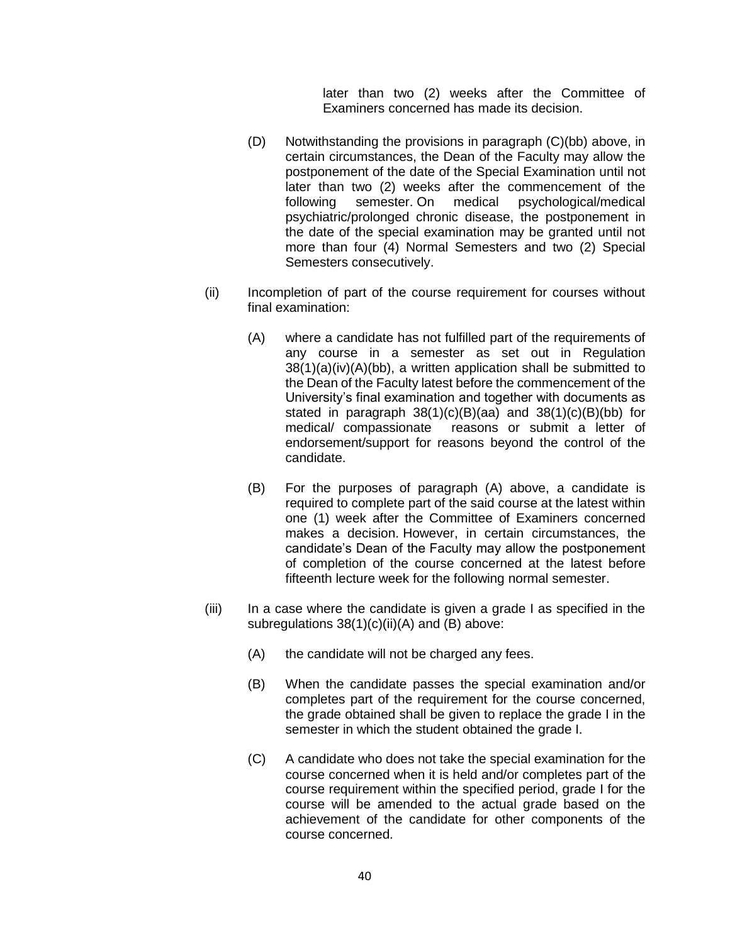later than two (2) weeks after the Committee of Examiners concerned has made its decision.

- (D) Notwithstanding the provisions in paragraph (C)(bb) above, in certain circumstances, the Dean of the Faculty may allow the postponement of the date of the Special Examination until not later than two (2) weeks after the commencement of the following semester. On medical psychological/medical psychiatric/prolonged chronic disease, the postponement in the date of the special examination may be granted until not more than four (4) Normal Semesters and two (2) Special Semesters consecutively.
- (ii) Incompletion of part of the course requirement for courses without final examination:
	- (A) where a candidate has not fulfilled part of the requirements of any course in a semester as set out in Regulation 38(1)(a)(iv)(A)(bb), a written application shall be submitted to the Dean of the Faculty latest before the commencement of the University's final examination and together with documents as stated in paragraph 38(1)(c)(B)(aa) and 38(1)(c)(B)(bb) for medical/ compassionate reasons or submit a letter of endorsement/support for reasons beyond the control of the candidate.
	- (B) For the purposes of paragraph (A) above, a candidate is required to complete part of the said course at the latest within one (1) week after the Committee of Examiners concerned makes a decision. However, in certain circumstances, the candidate's Dean of the Faculty may allow the postponement of completion of the course concerned at the latest before fifteenth lecture week for the following normal semester.
- (iii) In a case where the candidate is given a grade I as specified in the subregulations 38(1)(c)(ii)(A) and (B) above:
	- (A) the candidate will not be charged any fees.
	- (B) When the candidate passes the special examination and/or completes part of the requirement for the course concerned, the grade obtained shall be given to replace the grade I in the semester in which the student obtained the grade I.
	- (C) A candidate who does not take the special examination for the course concerned when it is held and/or completes part of the course requirement within the specified period, grade I for the course will be amended to the actual grade based on the achievement of the candidate for other components of the course concerned.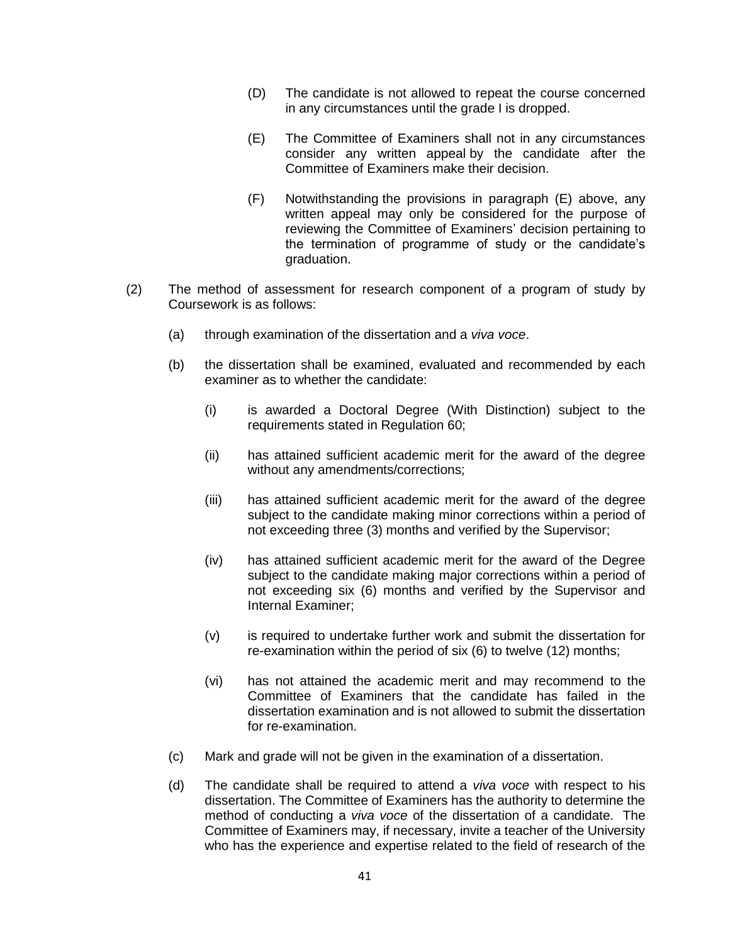- (D) The candidate is not allowed to repeat the course concerned in any circumstances until the grade I is dropped.
- (E) The Committee of Examiners shall not in any circumstances consider any written appeal by the candidate after the Committee of Examiners make their decision.
- (F) Notwithstanding the provisions in paragraph (E) above, any written appeal may only be considered for the purpose of reviewing the Committee of Examiners' decision pertaining to the termination of programme of study or the candidate's graduation.
- (2) The method of assessment for research component of a program of study by Coursework is as follows:
	- (a) through examination of the dissertation and a *viva voce*.
	- (b) the dissertation shall be examined, evaluated and recommended by each examiner as to whether the candidate:
		- (i) is awarded a Doctoral Degree (With Distinction) subject to the requirements stated in Regulation 60;
		- (ii) has attained sufficient academic merit for the award of the degree without any amendments/corrections;
		- (iii) has attained sufficient academic merit for the award of the degree subject to the candidate making minor corrections within a period of not exceeding three (3) months and verified by the Supervisor;
		- (iv) has attained sufficient academic merit for the award of the Degree subject to the candidate making major corrections within a period of not exceeding six (6) months and verified by the Supervisor and Internal Examiner;
		- (v) is required to undertake further work and submit the dissertation for re-examination within the period of six (6) to twelve (12) months;
		- (vi) has not attained the academic merit and may recommend to the Committee of Examiners that the candidate has failed in the dissertation examination and is not allowed to submit the dissertation for re-examination.
	- (c) Mark and grade will not be given in the examination of a dissertation.
	- (d) The candidate shall be required to attend a *viva voce* with respect to his dissertation. The Committee of Examiners has the authority to determine the method of conducting a *viva voce* of the dissertation of a candidate. The Committee of Examiners may, if necessary, invite a teacher of the University who has the experience and expertise related to the field of research of the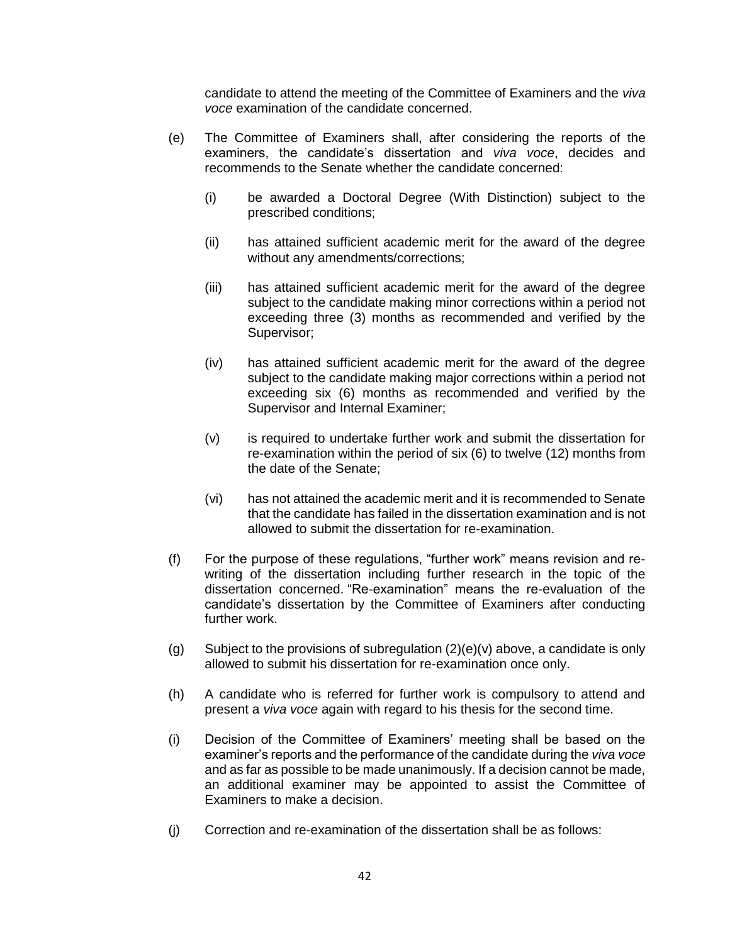candidate to attend the meeting of the Committee of Examiners and the *viva voce* examination of the candidate concerned.

- (e) The Committee of Examiners shall, after considering the reports of the examiners, the candidate's dissertation and *viva voce*, decides and recommends to the Senate whether the candidate concerned:
	- (i) be awarded a Doctoral Degree (With Distinction) subject to the prescribed conditions;
	- (ii) has attained sufficient academic merit for the award of the degree without any amendments/corrections;
	- (iii) has attained sufficient academic merit for the award of the degree subject to the candidate making minor corrections within a period not exceeding three (3) months as recommended and verified by the Supervisor;
	- (iv) has attained sufficient academic merit for the award of the degree subject to the candidate making major corrections within a period not exceeding six (6) months as recommended and verified by the Supervisor and Internal Examiner;
	- (v) is required to undertake further work and submit the dissertation for re-examination within the period of six (6) to twelve (12) months from the date of the Senate;
	- (vi) has not attained the academic merit and it is recommended to Senate that the candidate has failed in the dissertation examination and is not allowed to submit the dissertation for re-examination.
- (f) For the purpose of these regulations, "further work" means revision and rewriting of the dissertation including further research in the topic of the dissertation concerned. "Re-examination" means the re-evaluation of the candidate's dissertation by the Committee of Examiners after conducting further work.
- (g) Subject to the provisions of subregulation  $(2)(e)(v)$  above, a candidate is only allowed to submit his dissertation for re-examination once only.
- (h) A candidate who is referred for further work is compulsory to attend and present a *viva voce* again with regard to his thesis for the second time.
- (i) Decision of the Committee of Examiners' meeting shall be based on the examiner's reports and the performance of the candidate during the *viva voce* and as far as possible to be made unanimously. If a decision cannot be made, an additional examiner may be appointed to assist the Committee of Examiners to make a decision.
- (j) Correction and re-examination of the dissertation shall be as follows: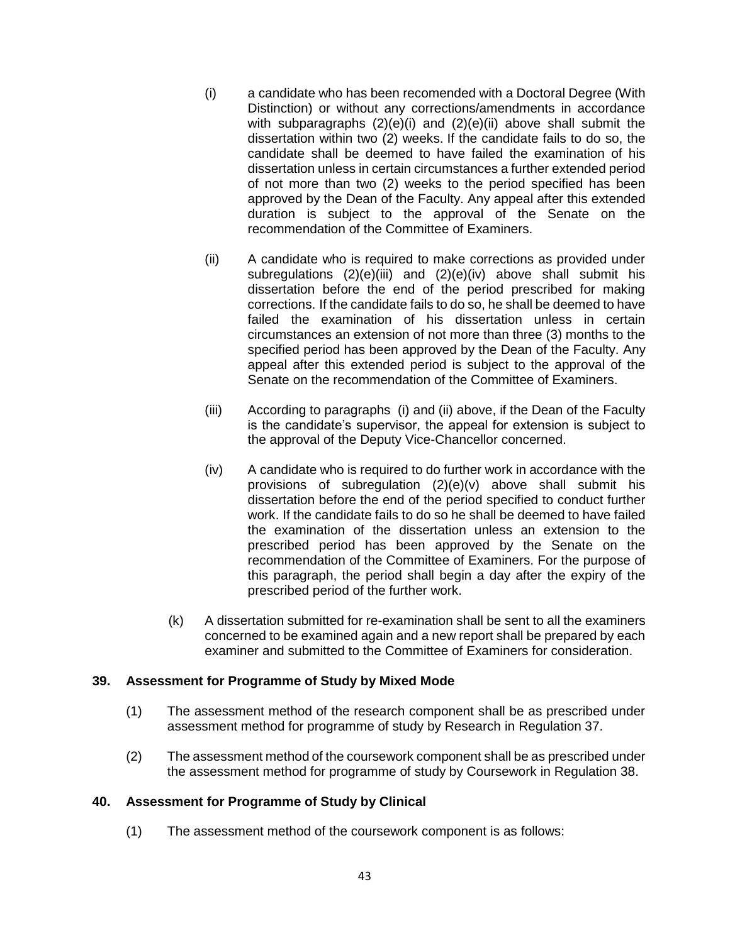- (i) a candidate who has been recomended with a Doctoral Degree (With Distinction) or without any corrections/amendments in accordance with subparagraphs  $(2)(e)(i)$  and  $(2)(e)(ii)$  above shall submit the dissertation within two (2) weeks. If the candidate fails to do so, the candidate shall be deemed to have failed the examination of his dissertation unless in certain circumstances a further extended period of not more than two (2) weeks to the period specified has been approved by the Dean of the Faculty. Any appeal after this extended duration is subject to the approval of the Senate on the recommendation of the Committee of Examiners.
- (ii) A candidate who is required to make corrections as provided under subregulations  $(2)(e)(iii)$  and  $(2)(e)(iv)$  above shall submit his dissertation before the end of the period prescribed for making corrections. If the candidate fails to do so, he shall be deemed to have failed the examination of his dissertation unless in certain circumstances an extension of not more than three (3) months to the specified period has been approved by the Dean of the Faculty. Any appeal after this extended period is subject to the approval of the Senate on the recommendation of the Committee of Examiners.
- (iii) According to paragraphs (i) and (ii) above, if the Dean of the Faculty is the candidate's supervisor, the appeal for extension is subject to the approval of the Deputy Vice-Chancellor concerned.
- (iv) A candidate who is required to do further work in accordance with the provisions of subregulation (2)(e)(v) above shall submit his dissertation before the end of the period specified to conduct further work. If the candidate fails to do so he shall be deemed to have failed the examination of the dissertation unless an extension to the prescribed period has been approved by the Senate on the recommendation of the Committee of Examiners. For the purpose of this paragraph, the period shall begin a day after the expiry of the prescribed period of the further work.
- (k) A dissertation submitted for re-examination shall be sent to all the examiners concerned to be examined again and a new report shall be prepared by each examiner and submitted to the Committee of Examiners for consideration.

## **39. Assessment for Programme of Study by Mixed Mode**

- (1) The assessment method of the research component shall be as prescribed under assessment method for programme of study by Research in Regulation 37.
- (2) The assessment method of the coursework component shall be as prescribed under the assessment method for programme of study by Coursework in Regulation 38.

#### **40. Assessment for Programme of Study by Clinical**

(1) The assessment method of the coursework component is as follows: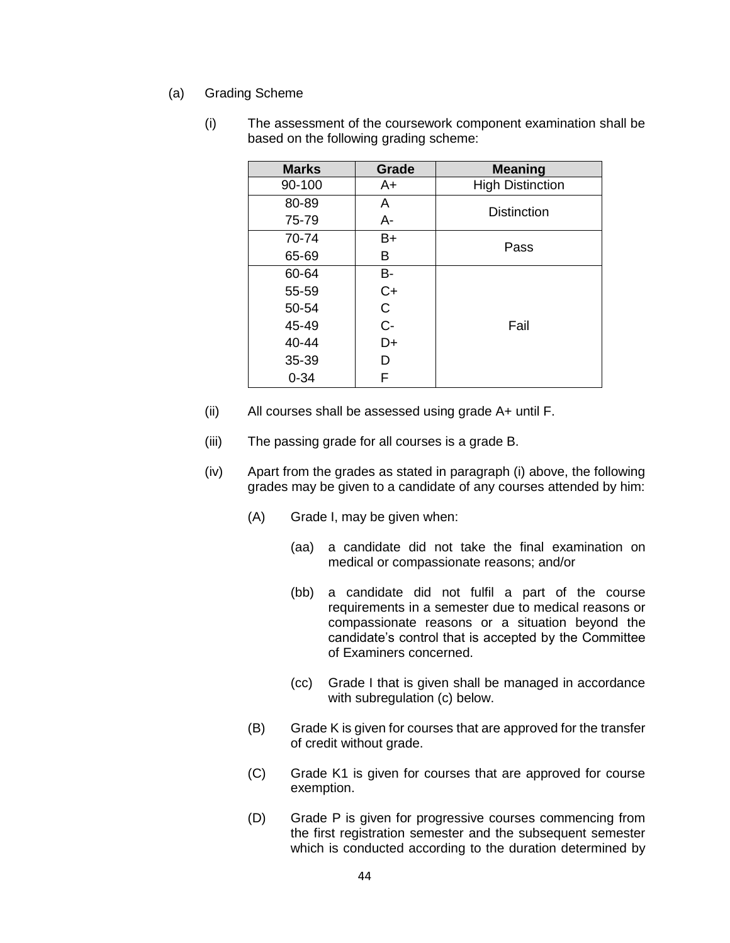(a) Grading Scheme

| <b>Marks</b> | Grade       | <b>Meaning</b>          |  |  |
|--------------|-------------|-------------------------|--|--|
| 90-100       | A+          | <b>High Distinction</b> |  |  |
| 80-89        | A           | <b>Distinction</b>      |  |  |
| 75-79        | A-          |                         |  |  |
| 70-74        | $B+$        | Pass                    |  |  |
| 65-69        | в           |                         |  |  |
| 60-64        | В-          |                         |  |  |
| 55-59        | $C+$        |                         |  |  |
| 50-54        | $\mathsf C$ |                         |  |  |
| 45-49        | $C -$       | Fail                    |  |  |
| 40-44        | D+          |                         |  |  |
| 35-39        | D           |                         |  |  |
| $0 - 34$     | F           |                         |  |  |

(i) The assessment of the coursework component examination shall be based on the following grading scheme:

- (ii) All courses shall be assessed using grade A+ until F.
- (iii) The passing grade for all courses is a grade B.
- (iv) Apart from the grades as stated in paragraph (i) above, the following grades may be given to a candidate of any courses attended by him:
	- (A) Grade I, may be given when:
		- (aa) a candidate did not take the final examination on medical or compassionate reasons; and/or
		- (bb) a candidate did not fulfil a part of the course requirements in a semester due to medical reasons or compassionate reasons or a situation beyond the candidate's control that is accepted by the Committee of Examiners concerned.
		- (cc) Grade I that is given shall be managed in accordance with subregulation (c) below.
	- (B) Grade K is given for courses that are approved for the transfer of credit without grade.
	- (C) Grade K1 is given for courses that are approved for course exemption.
	- (D) Grade P is given for progressive courses commencing from the first registration semester and the subsequent semester which is conducted according to the duration determined by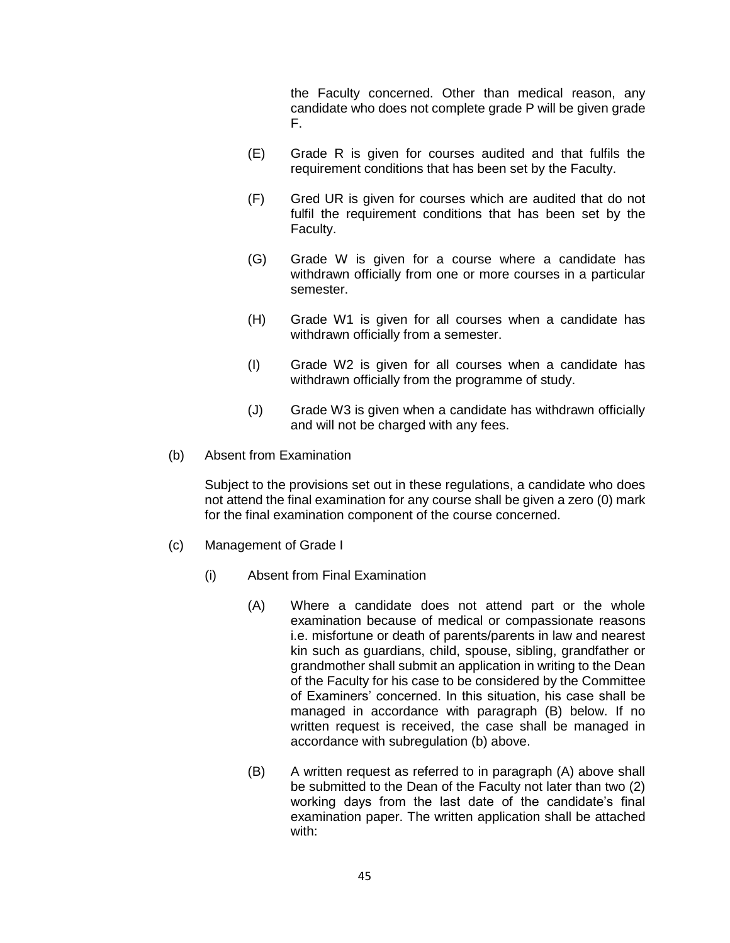the Faculty concerned. Other than medical reason, any candidate who does not complete grade P will be given grade F.

- (E) Grade R is given for courses audited and that fulfils the requirement conditions that has been set by the Faculty.
- (F) Gred UR is given for courses which are audited that do not fulfil the requirement conditions that has been set by the Faculty.
- (G) Grade W is given for a course where a candidate has withdrawn officially from one or more courses in a particular semester.
- (H) Grade W1 is given for all courses when a candidate has withdrawn officially from a semester.
- (I) Grade W2 is given for all courses when a candidate has withdrawn officially from the programme of study.
- (J) Grade W3 is given when a candidate has withdrawn officially and will not be charged with any fees.
- (b) Absent from Examination

Subject to the provisions set out in these regulations, a candidate who does not attend the final examination for any course shall be given a zero (0) mark for the final examination component of the course concerned.

- (c) Management of Grade I
	- (i) Absent from Final Examination
		- (A) Where a candidate does not attend part or the whole examination because of medical or compassionate reasons i.e. misfortune or death of parents/parents in law and nearest kin such as guardians, child, spouse, sibling, grandfather or grandmother shall submit an application in writing to the Dean of the Faculty for his case to be considered by the Committee of Examiners' concerned. In this situation, his case shall be managed in accordance with paragraph (B) below. If no written request is received, the case shall be managed in accordance with subregulation (b) above.
		- (B) A written request as referred to in paragraph (A) above shall be submitted to the Dean of the Faculty not later than two (2) working days from the last date of the candidate's final examination paper. The written application shall be attached with: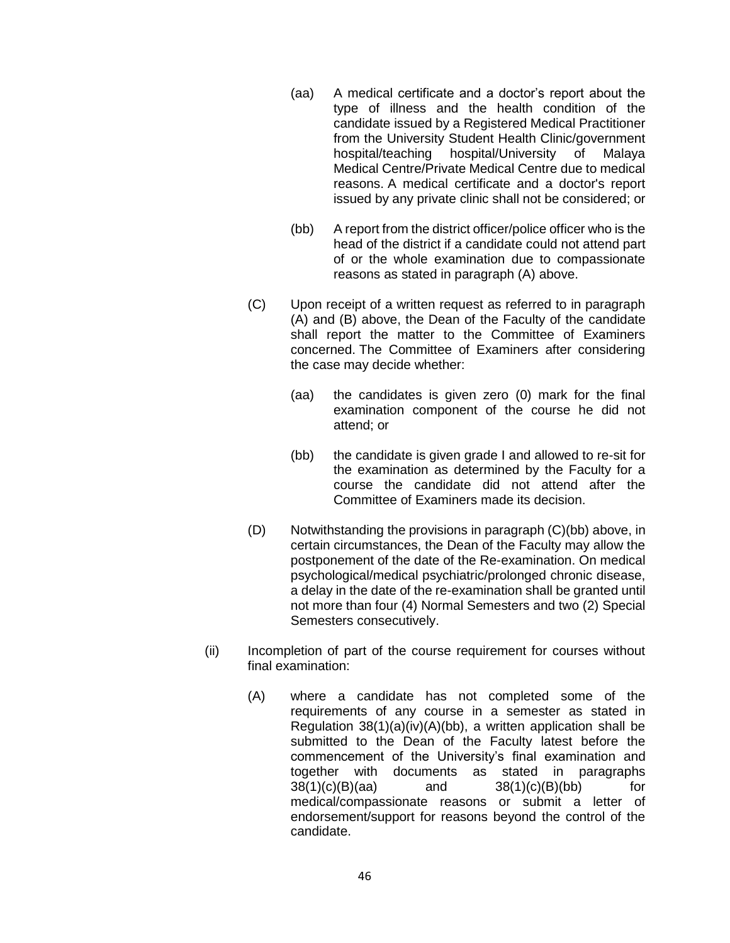- (aa) A medical certificate and a doctor's report about the type of illness and the health condition of the candidate issued by a Registered Medical Practitioner from the University Student Health Clinic/government hospital/teaching hospital/University of Malaya Medical Centre/Private Medical Centre due to medical reasons. A medical certificate and a doctor's report issued by any private clinic shall not be considered; or
- (bb) A report from the district officer/police officer who is the head of the district if a candidate could not attend part of or the whole examination due to compassionate reasons as stated in paragraph (A) above.
- (C) Upon receipt of a written request as referred to in paragraph (A) and (B) above, the Dean of the Faculty of the candidate shall report the matter to the Committee of Examiners concerned. The Committee of Examiners after considering the case may decide whether:
	- (aa) the candidates is given zero (0) mark for the final examination component of the course he did not attend; or
	- (bb) the candidate is given grade I and allowed to re-sit for the examination as determined by the Faculty for a course the candidate did not attend after the Committee of Examiners made its decision.
- (D) Notwithstanding the provisions in paragraph (C)(bb) above, in certain circumstances, the Dean of the Faculty may allow the postponement of the date of the Re-examination. On medical psychological/medical psychiatric/prolonged chronic disease, a delay in the date of the re-examination shall be granted until not more than four (4) Normal Semesters and two (2) Special Semesters consecutively.
- (ii) Incompletion of part of the course requirement for courses without final examination:
	- (A) where a candidate has not completed some of the requirements of any course in a semester as stated in Regulation 38(1)(a)(iv)(A)(bb), a written application shall be submitted to the Dean of the Faculty latest before the commencement of the University's final examination and together with documents as stated in paragraphs 38(1)(c)(B)(aa) and 38(1)(c)(B)(bb) for medical/compassionate reasons or submit a letter of endorsement/support for reasons beyond the control of the candidate.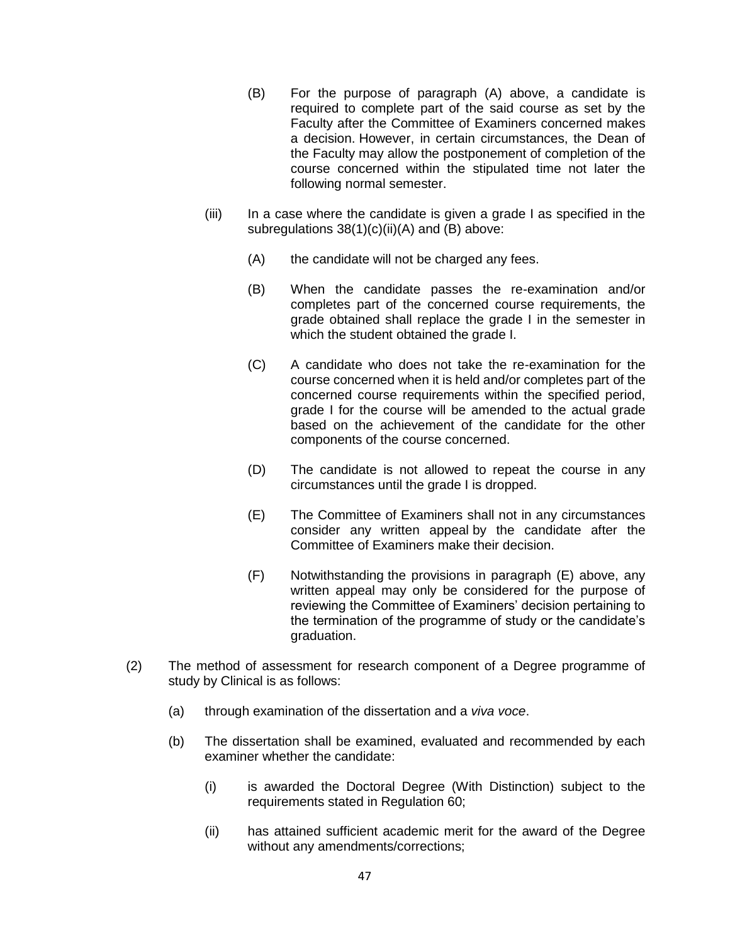- (B) For the purpose of paragraph (A) above, a candidate is required to complete part of the said course as set by the Faculty after the Committee of Examiners concerned makes a decision. However, in certain circumstances, the Dean of the Faculty may allow the postponement of completion of the course concerned within the stipulated time not later the following normal semester.
- (iii) In a case where the candidate is given a grade I as specified in the subregulations 38(1)(c)(ii)(A) and (B) above:
	- (A) the candidate will not be charged any fees.
	- (B) When the candidate passes the re-examination and/or completes part of the concerned course requirements, the grade obtained shall replace the grade I in the semester in which the student obtained the grade I.
	- (C) A candidate who does not take the re-examination for the course concerned when it is held and/or completes part of the concerned course requirements within the specified period, grade I for the course will be amended to the actual grade based on the achievement of the candidate for the other components of the course concerned.
	- (D) The candidate is not allowed to repeat the course in any circumstances until the grade I is dropped.
	- (E) The Committee of Examiners shall not in any circumstances consider any written appeal by the candidate after the Committee of Examiners make their decision.
	- (F) Notwithstanding the provisions in paragraph (E) above, any written appeal may only be considered for the purpose of reviewing the Committee of Examiners' decision pertaining to the termination of the programme of study or the candidate's graduation.
- (2) The method of assessment for research component of a Degree programme of study by Clinical is as follows:
	- (a) through examination of the dissertation and a *viva voce*.
	- (b) The dissertation shall be examined, evaluated and recommended by each examiner whether the candidate:
		- (i) is awarded the Doctoral Degree (With Distinction) subject to the requirements stated in Regulation 60;
		- (ii) has attained sufficient academic merit for the award of the Degree without any amendments/corrections;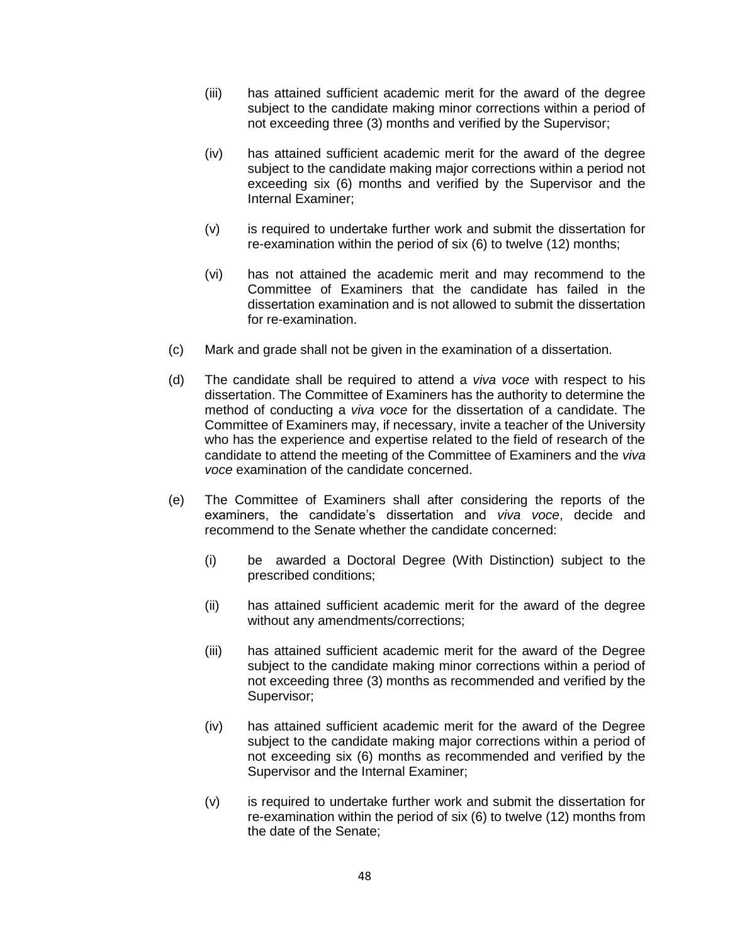- (iii) has attained sufficient academic merit for the award of the degree subject to the candidate making minor corrections within a period of not exceeding three (3) months and verified by the Supervisor;
- (iv) has attained sufficient academic merit for the award of the degree subject to the candidate making major corrections within a period not exceeding six (6) months and verified by the Supervisor and the Internal Examiner;
- (v) is required to undertake further work and submit the dissertation for re-examination within the period of six (6) to twelve (12) months;
- (vi) has not attained the academic merit and may recommend to the Committee of Examiners that the candidate has failed in the dissertation examination and is not allowed to submit the dissertation for re-examination.
- (c) Mark and grade shall not be given in the examination of a dissertation.
- (d) The candidate shall be required to attend a *viva voce* with respect to his dissertation. The Committee of Examiners has the authority to determine the method of conducting a *viva voce* for the dissertation of a candidate. The Committee of Examiners may, if necessary, invite a teacher of the University who has the experience and expertise related to the field of research of the candidate to attend the meeting of the Committee of Examiners and the *viva voce* examination of the candidate concerned.
- (e) The Committee of Examiners shall after considering the reports of the examiners, the candidate's dissertation and *viva voce*, decide and recommend to the Senate whether the candidate concerned:
	- (i) be awarded a Doctoral Degree (With Distinction) subject to the prescribed conditions;
	- (ii) has attained sufficient academic merit for the award of the degree without any amendments/corrections;
	- (iii) has attained sufficient academic merit for the award of the Degree subject to the candidate making minor corrections within a period of not exceeding three (3) months as recommended and verified by the Supervisor;
	- (iv) has attained sufficient academic merit for the award of the Degree subject to the candidate making major corrections within a period of not exceeding six (6) months as recommended and verified by the Supervisor and the Internal Examiner;
	- (v) is required to undertake further work and submit the dissertation for re-examination within the period of six (6) to twelve (12) months from the date of the Senate;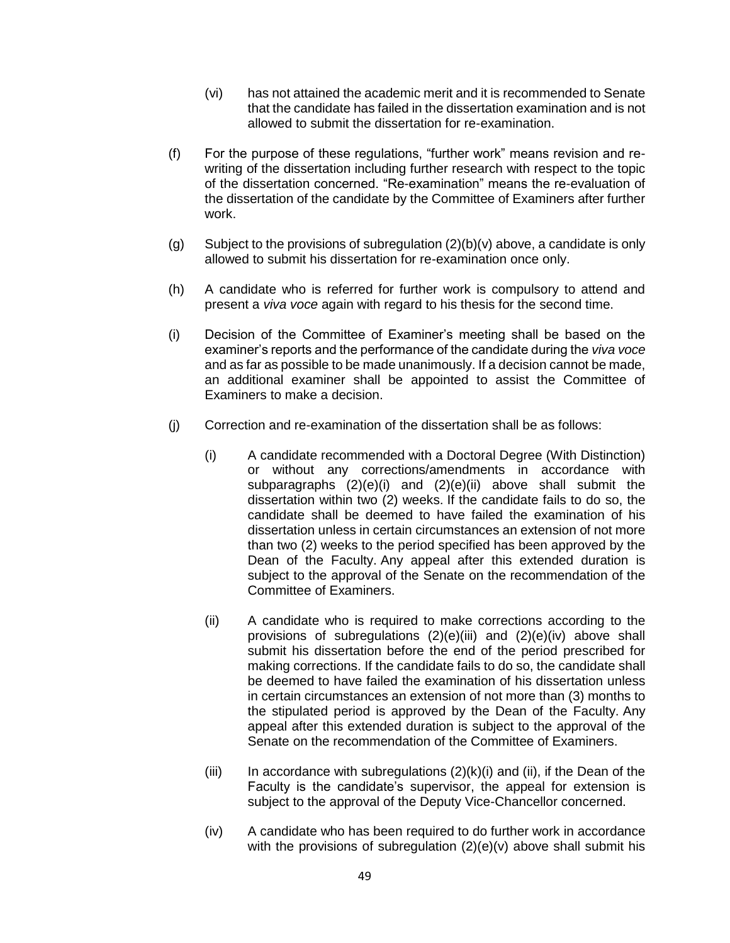- (vi) has not attained the academic merit and it is recommended to Senate that the candidate has failed in the dissertation examination and is not allowed to submit the dissertation for re-examination.
- (f) For the purpose of these regulations, "further work" means revision and rewriting of the dissertation including further research with respect to the topic of the dissertation concerned. "Re-examination" means the re-evaluation of the dissertation of the candidate by the Committee of Examiners after further work.
- (g) Subject to the provisions of subregulation  $(2)(b)(v)$  above, a candidate is only allowed to submit his dissertation for re-examination once only.
- (h) A candidate who is referred for further work is compulsory to attend and present a *viva voce* again with regard to his thesis for the second time.
- (i) Decision of the Committee of Examiner's meeting shall be based on the examiner's reports and the performance of the candidate during the *viva voce* and as far as possible to be made unanimously. If a decision cannot be made, an additional examiner shall be appointed to assist the Committee of Examiners to make a decision.
- (j) Correction and re-examination of the dissertation shall be as follows:
	- (i) A candidate recommended with a Doctoral Degree (With Distinction) or without any corrections/amendments in accordance with subparagraphs (2)(e)(i) and (2)(e)(ii) above shall submit the dissertation within two (2) weeks. If the candidate fails to do so, the candidate shall be deemed to have failed the examination of his dissertation unless in certain circumstances an extension of not more than two (2) weeks to the period specified has been approved by the Dean of the Faculty. Any appeal after this extended duration is subject to the approval of the Senate on the recommendation of the Committee of Examiners.
	- (ii) A candidate who is required to make corrections according to the provisions of subregulations (2)(e)(iii) and (2)(e)(iv) above shall submit his dissertation before the end of the period prescribed for making corrections. If the candidate fails to do so, the candidate shall be deemed to have failed the examination of his dissertation unless in certain circumstances an extension of not more than (3) months to the stipulated period is approved by the Dean of the Faculty. Any appeal after this extended duration is subject to the approval of the Senate on the recommendation of the Committee of Examiners.
	- (iii) In accordance with subregulations  $(2)(k)(i)$  and (ii), if the Dean of the Faculty is the candidate's supervisor, the appeal for extension is subject to the approval of the Deputy Vice-Chancellor concerned.
	- (iv) A candidate who has been required to do further work in accordance with the provisions of subregulation (2)(e)(v) above shall submit his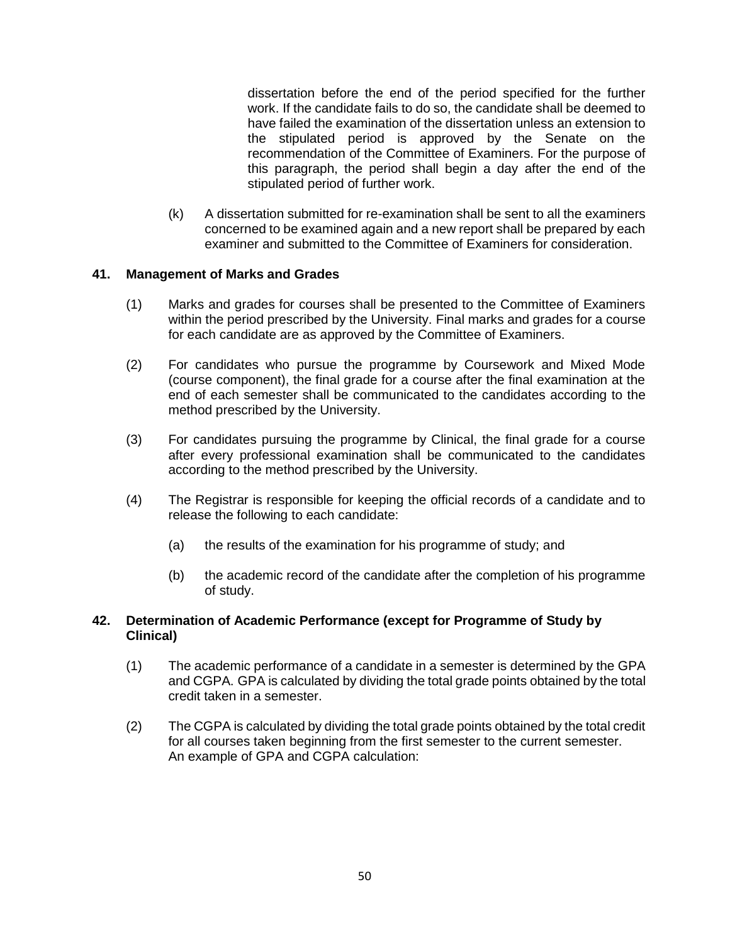dissertation before the end of the period specified for the further work. If the candidate fails to do so, the candidate shall be deemed to have failed the examination of the dissertation unless an extension to the stipulated period is approved by the Senate on the recommendation of the Committee of Examiners. For the purpose of this paragraph, the period shall begin a day after the end of the stipulated period of further work.

(k) A dissertation submitted for re-examination shall be sent to all the examiners concerned to be examined again and a new report shall be prepared by each examiner and submitted to the Committee of Examiners for consideration.

### **41. Management of Marks and Grades**

- (1) Marks and grades for courses shall be presented to the Committee of Examiners within the period prescribed by the University. Final marks and grades for a course for each candidate are as approved by the Committee of Examiners.
- (2) For candidates who pursue the programme by Coursework and Mixed Mode (course component), the final grade for a course after the final examination at the end of each semester shall be communicated to the candidates according to the method prescribed by the University.
- (3) For candidates pursuing the programme by Clinical, the final grade for a course after every professional examination shall be communicated to the candidates according to the method prescribed by the University.
- (4) The Registrar is responsible for keeping the official records of a candidate and to release the following to each candidate:
	- (a) the results of the examination for his programme of study; and
	- (b) the academic record of the candidate after the completion of his programme of study.

### **42. Determination of Academic Performance (except for Programme of Study by Clinical)**

- (1) The academic performance of a candidate in a semester is determined by the GPA and CGPA. GPA is calculated by dividing the total grade points obtained by the total credit taken in a semester.
- (2) The CGPA is calculated by dividing the total grade points obtained by the total credit for all courses taken beginning from the first semester to the current semester. An example of GPA and CGPA calculation: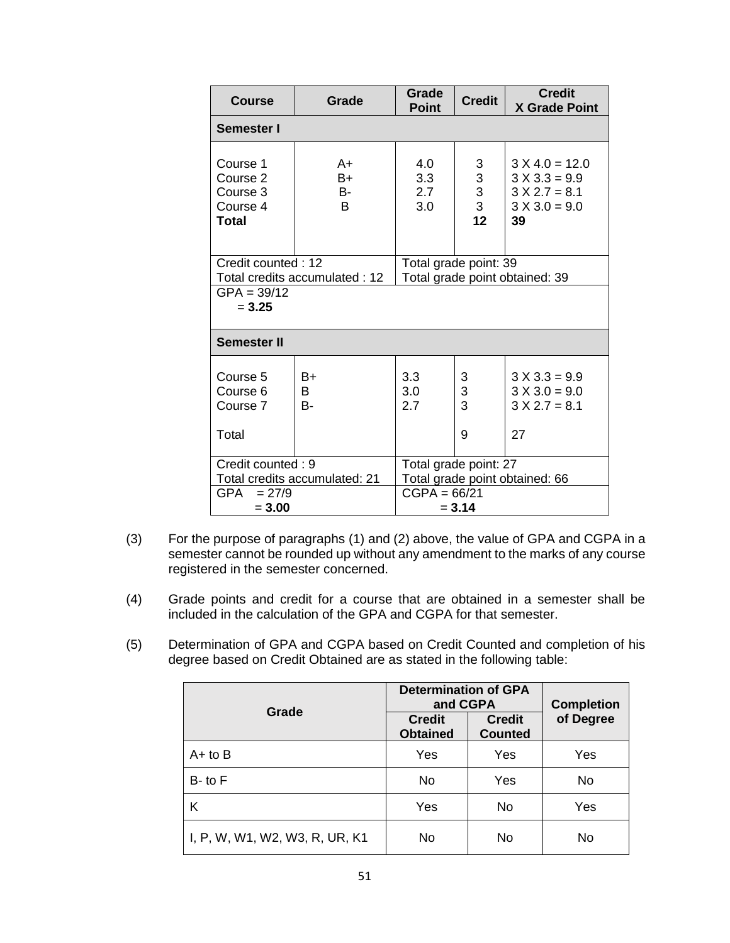| <b>Course</b>                                         | Grade               | Grade<br>Point                                          | <b>Credit</b>                                         | <b>Credit</b><br><b>X Grade Point</b>                                           |  |  |
|-------------------------------------------------------|---------------------|---------------------------------------------------------|-------------------------------------------------------|---------------------------------------------------------------------------------|--|--|
| Semester I                                            |                     |                                                         |                                                       |                                                                                 |  |  |
| Course 1<br>Course 2<br>Course 3<br>Course 4<br>Total | A+<br>B+<br>B-<br>B | 4.0<br>3.3<br>2.7<br>3.0                                | 3<br>$\begin{array}{c} 3 \\ 3 \\ 3 \end{array}$<br>12 | $3 X 4.0 = 12.0$<br>$3 X 3.3 = 9.9$<br>$3 X 2.7 = 8.1$<br>$3 X 3.0 = 9.0$<br>39 |  |  |
| Credit counted: 12<br>Total credits accumulated: 12   |                     | Total grade point: 39<br>Total grade point obtained: 39 |                                                       |                                                                                 |  |  |
| $GPA = 39/12$<br>$= 3.25$                             |                     |                                                         |                                                       |                                                                                 |  |  |
| Semester II                                           |                     |                                                         |                                                       |                                                                                 |  |  |
| Course 5<br>Course 6<br>Course 7<br>Total             | B+<br>B.<br>В-      | 3.3<br>3.0<br>2.7                                       | 3<br>3<br>3<br>9                                      | $3 X 3.3 = 9.9$<br>$3 X 3.0 = 9.0$<br>$3 X 2.7 = 8.1$<br>27                     |  |  |
| Credit counted: 9<br>Total credits accumulated: 21    |                     | Total grade point: 27<br>Total grade point obtained: 66 |                                                       |                                                                                 |  |  |
| GPA<br>$= 27/9$<br>$= 3.00$                           |                     | $CGPA = 66/21$<br>$= 3.14$                              |                                                       |                                                                                 |  |  |

- (3) For the purpose of paragraphs (1) and (2) above, the value of GPA and CGPA in a semester cannot be rounded up without any amendment to the marks of any course registered in the semester concerned.
- (4) Grade points and credit for a course that are obtained in a semester shall be included in the calculation of the GPA and CGPA for that semester.
- (5) Determination of GPA and CGPA based on Credit Counted and completion of his degree based on Credit Obtained are as stated in the following table:

|                                | <b>Determination of GPA</b><br>and CGPA | <b>Completion</b>               |           |
|--------------------------------|-----------------------------------------|---------------------------------|-----------|
| Grade                          | <b>Credit</b><br><b>Obtained</b>        | <b>Credit</b><br><b>Counted</b> | of Degree |
| $A+$ to $B$                    | Yes                                     | Yes                             | Yes       |
| $B$ - to $F$                   | <b>No</b>                               | Yes                             | No        |
| Κ                              | Yes                                     | No                              | Yes       |
| I, P, W, W1, W2, W3, R, UR, K1 | <b>No</b>                               | No                              | No        |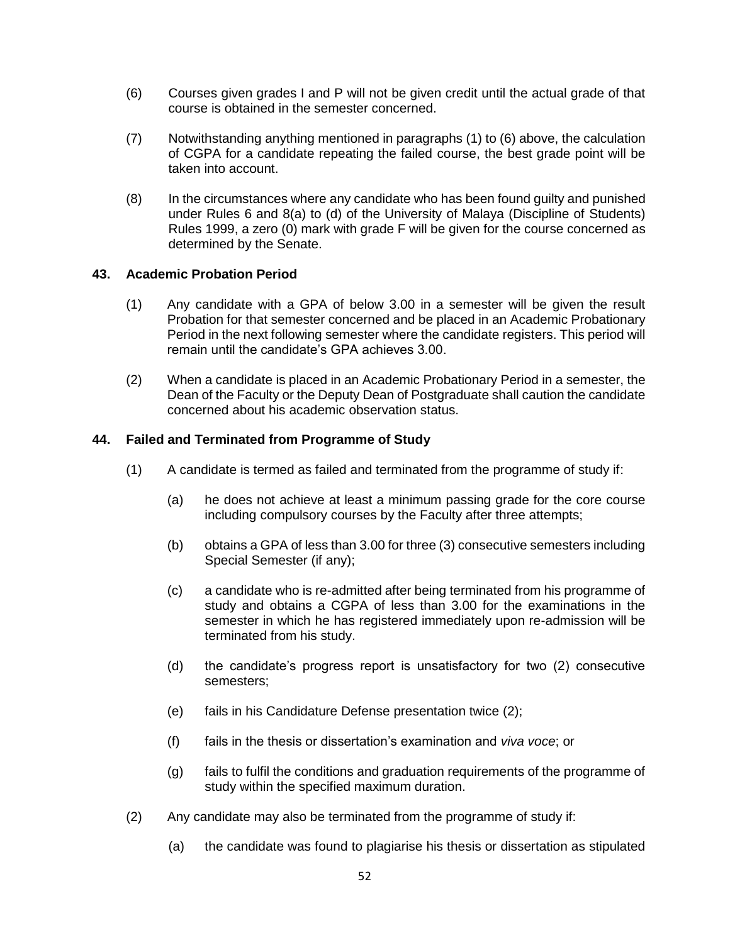- (6) Courses given grades I and P will not be given credit until the actual grade of that course is obtained in the semester concerned.
- (7) Notwithstanding anything mentioned in paragraphs (1) to (6) above, the calculation of CGPA for a candidate repeating the failed course, the best grade point will be taken into account.
- (8) In the circumstances where any candidate who has been found guilty and punished under Rules 6 and 8(a) to (d) of the University of Malaya (Discipline of Students) Rules 1999, a zero (0) mark with grade F will be given for the course concerned as determined by the Senate.

## **43. Academic Probation Period**

- (1) Any candidate with a GPA of below 3.00 in a semester will be given the result Probation for that semester concerned and be placed in an Academic Probationary Period in the next following semester where the candidate registers. This period will remain until the candidate's GPA achieves 3.00.
- (2) When a candidate is placed in an Academic Probationary Period in a semester, the Dean of the Faculty or the Deputy Dean of Postgraduate shall caution the candidate concerned about his academic observation status.

### **44. Failed and Terminated from Programme of Study**

- (1) A candidate is termed as failed and terminated from the programme of study if:
	- (a) he does not achieve at least a minimum passing grade for the core course including compulsory courses by the Faculty after three attempts;
	- (b) obtains a GPA of less than 3.00 for three (3) consecutive semesters including Special Semester (if any);
	- (c) a candidate who is re-admitted after being terminated from his programme of study and obtains a CGPA of less than 3.00 for the examinations in the semester in which he has registered immediately upon re-admission will be terminated from his study.
	- (d) the candidate's progress report is unsatisfactory for two (2) consecutive semesters;
	- (e) fails in his Candidature Defense presentation twice (2);
	- (f) fails in the thesis or dissertation's examination and *viva voce*; or
	- (g) fails to fulfil the conditions and graduation requirements of the programme of study within the specified maximum duration.
- (2) Any candidate may also be terminated from the programme of study if:
	- (a) the candidate was found to plagiarise his thesis or dissertation as stipulated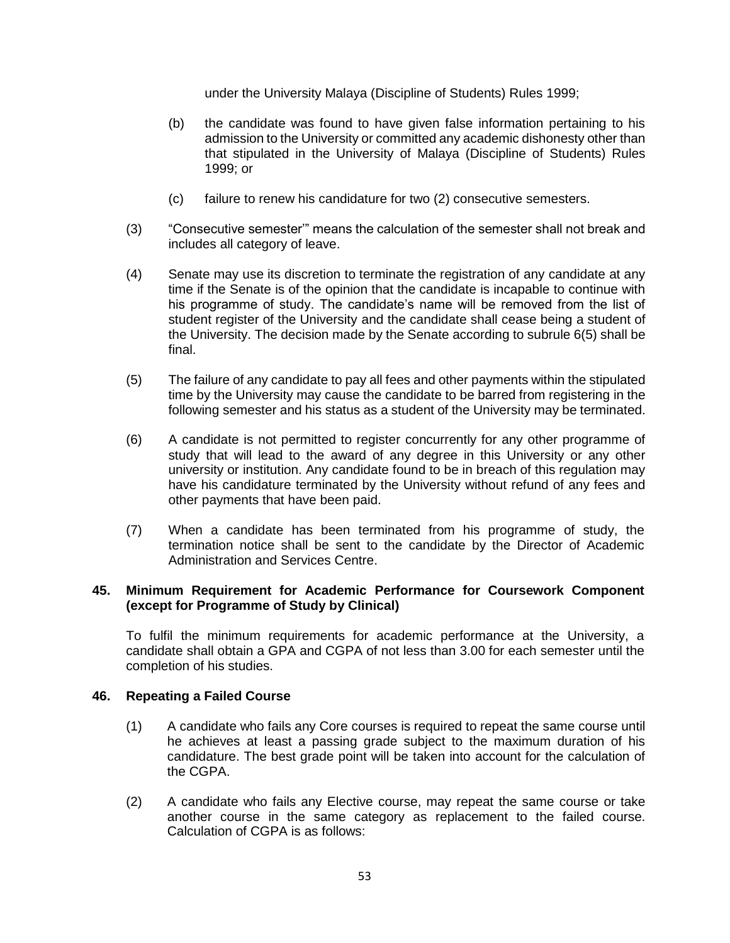under the University Malaya (Discipline of Students) Rules 1999;

- (b) the candidate was found to have given false information pertaining to his admission to the University or committed any academic dishonesty other than that stipulated in the University of Malaya (Discipline of Students) Rules 1999; or
- (c) failure to renew his candidature for two (2) consecutive semesters.
- (3) "Consecutive semester'" means the calculation of the semester shall not break and includes all category of leave.
- (4) Senate may use its discretion to terminate the registration of any candidate at any time if the Senate is of the opinion that the candidate is incapable to continue with his programme of study. The candidate's name will be removed from the list of student register of the University and the candidate shall cease being a student of the University. The decision made by the Senate according to subrule 6(5) shall be final.
- (5) The failure of any candidate to pay all fees and other payments within the stipulated time by the University may cause the candidate to be barred from registering in the following semester and his status as a student of the University may be terminated.
- (6) A candidate is not permitted to register concurrently for any other programme of study that will lead to the award of any degree in this University or any other university or institution. Any candidate found to be in breach of this regulation may have his candidature terminated by the University without refund of any fees and other payments that have been paid.
- (7) When a candidate has been terminated from his programme of study, the termination notice shall be sent to the candidate by the Director of Academic Administration and Services Centre.

## **45. Minimum Requirement for Academic Performance for Coursework Component (except for Programme of Study by Clinical)**

To fulfil the minimum requirements for academic performance at the University, a candidate shall obtain a GPA and CGPA of not less than 3.00 for each semester until the completion of his studies.

## **46. Repeating a Failed Course**

- (1) A candidate who fails any Core courses is required to repeat the same course until he achieves at least a passing grade subject to the maximum duration of his candidature. The best grade point will be taken into account for the calculation of the CGPA.
- (2) A candidate who fails any Elective course, may repeat the same course or take another course in the same category as replacement to the failed course. Calculation of CGPA is as follows: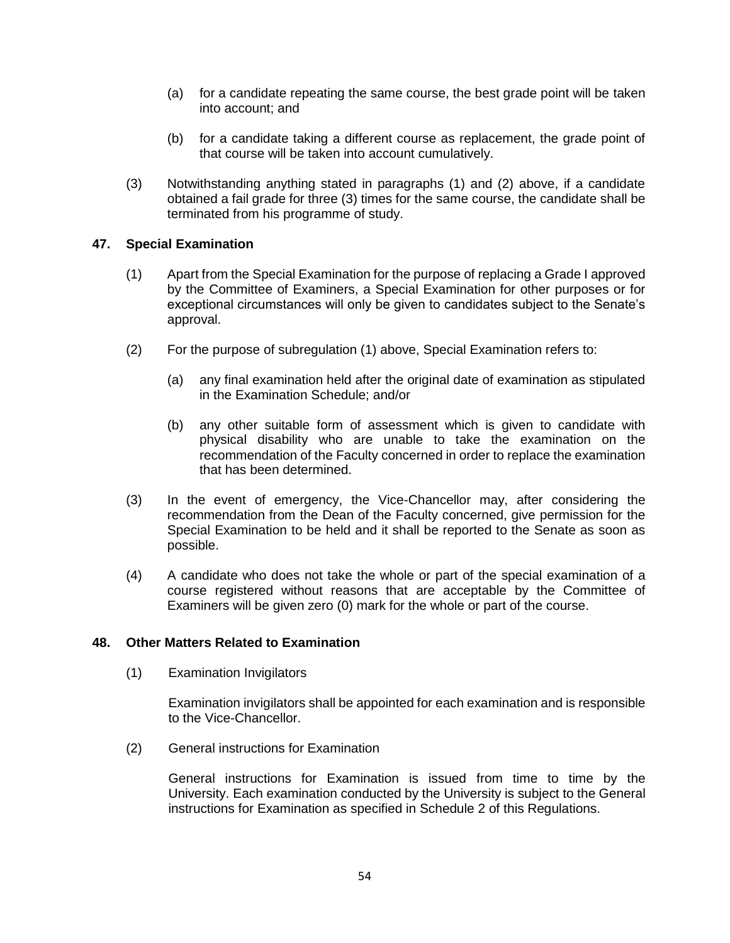- (a) for a candidate repeating the same course, the best grade point will be taken into account; and
- (b) for a candidate taking a different course as replacement, the grade point of that course will be taken into account cumulatively.
- (3) Notwithstanding anything stated in paragraphs (1) and (2) above, if a candidate obtained a fail grade for three (3) times for the same course, the candidate shall be terminated from his programme of study.

## **47. Special Examination**

- (1) Apart from the Special Examination for the purpose of replacing a Grade I approved by the Committee of Examiners, a Special Examination for other purposes or for exceptional circumstances will only be given to candidates subject to the Senate's approval.
- (2) For the purpose of subregulation (1) above, Special Examination refers to:
	- (a) any final examination held after the original date of examination as stipulated in the Examination Schedule; and/or
	- (b) any other suitable form of assessment which is given to candidate with physical disability who are unable to take the examination on the recommendation of the Faculty concerned in order to replace the examination that has been determined.
- (3) In the event of emergency, the Vice-Chancellor may, after considering the recommendation from the Dean of the Faculty concerned, give permission for the Special Examination to be held and it shall be reported to the Senate as soon as possible.
- (4) A candidate who does not take the whole or part of the special examination of a course registered without reasons that are acceptable by the Committee of Examiners will be given zero (0) mark for the whole or part of the course.

## **48. Other Matters Related to Examination**

(1) Examination Invigilators

Examination invigilators shall be appointed for each examination and is responsible to the Vice-Chancellor.

(2) General instructions for Examination

General instructions for Examination is issued from time to time by the University. Each examination conducted by the University is subject to the General instructions for Examination as specified in Schedule 2 of this Regulations.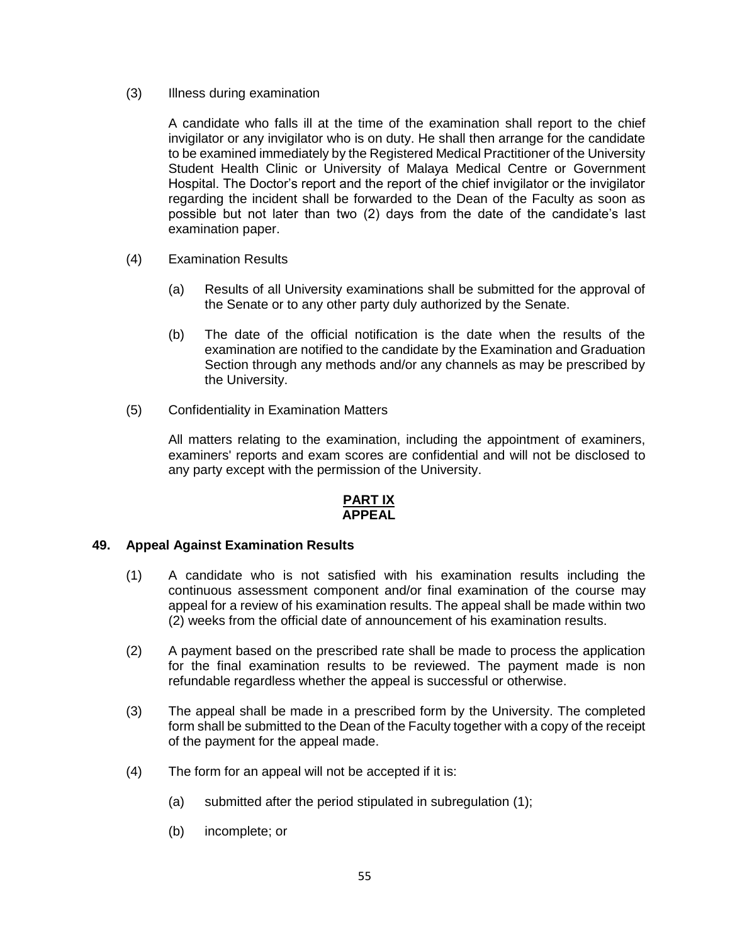(3) Illness during examination

A candidate who falls ill at the time of the examination shall report to the chief invigilator or any invigilator who is on duty. He shall then arrange for the candidate to be examined immediately by the Registered Medical Practitioner of the University Student Health Clinic or University of Malaya Medical Centre or Government Hospital. The Doctor's report and the report of the chief invigilator or the invigilator regarding the incident shall be forwarded to the Dean of the Faculty as soon as possible but not later than two (2) days from the date of the candidate's last examination paper.

- (4) Examination Results
	- (a) Results of all University examinations shall be submitted for the approval of the Senate or to any other party duly authorized by the Senate.
	- (b) The date of the official notification is the date when the results of the examination are notified to the candidate by the Examination and Graduation Section through any methods and/or any channels as may be prescribed by the University.
- (5) Confidentiality in Examination Matters

All matters relating to the examination, including the appointment of examiners, examiners' reports and exam scores are confidential and will not be disclosed to any party except with the permission of the University.

### **PART IX APPEAL**

#### **49. Appeal Against Examination Results**

- (1) A candidate who is not satisfied with his examination results including the continuous assessment component and/or final examination of the course may appeal for a review of his examination results. The appeal shall be made within two (2) weeks from the official date of announcement of his examination results.
- (2) A payment based on the prescribed rate shall be made to process the application for the final examination results to be reviewed. The payment made is non refundable regardless whether the appeal is successful or otherwise.
- (3) The appeal shall be made in a prescribed form by the University. The completed form shall be submitted to the Dean of the Faculty together with a copy of the receipt of the payment for the appeal made.
- (4) The form for an appeal will not be accepted if it is:
	- (a) submitted after the period stipulated in subregulation (1);
	- (b) incomplete; or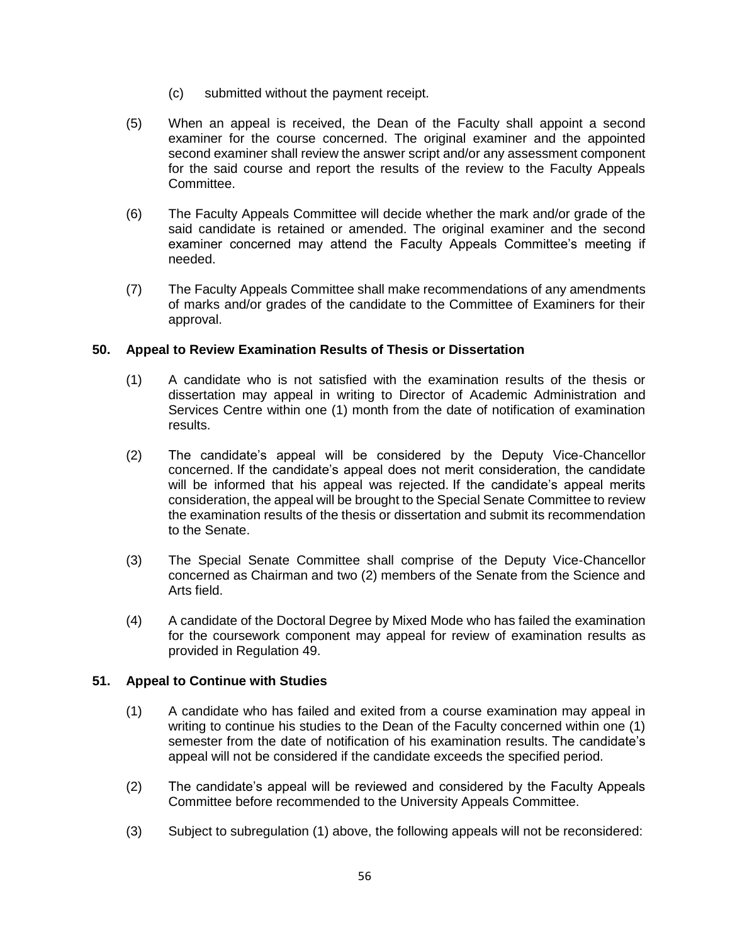- (c) submitted without the payment receipt.
- (5) When an appeal is received, the Dean of the Faculty shall appoint a second examiner for the course concerned. The original examiner and the appointed second examiner shall review the answer script and/or any assessment component for the said course and report the results of the review to the Faculty Appeals Committee.
- (6) The Faculty Appeals Committee will decide whether the mark and/or grade of the said candidate is retained or amended. The original examiner and the second examiner concerned may attend the Faculty Appeals Committee's meeting if needed.
- (7) The Faculty Appeals Committee shall make recommendations of any amendments of marks and/or grades of the candidate to the Committee of Examiners for their approval.

## **50. Appeal to Review Examination Results of Thesis or Dissertation**

- (1) A candidate who is not satisfied with the examination results of the thesis or dissertation may appeal in writing to Director of Academic Administration and Services Centre within one (1) month from the date of notification of examination results.
- (2) The candidate's appeal will be considered by the Deputy Vice-Chancellor concerned. If the candidate's appeal does not merit consideration, the candidate will be informed that his appeal was rejected. If the candidate's appeal merits consideration, the appeal will be brought to the Special Senate Committee to review the examination results of the thesis or dissertation and submit its recommendation to the Senate.
- (3) The Special Senate Committee shall comprise of the Deputy Vice-Chancellor concerned as Chairman and two (2) members of the Senate from the Science and Arts field.
- (4) A candidate of the Doctoral Degree by Mixed Mode who has failed the examination for the coursework component may appeal for review of examination results as provided in Regulation 49.

#### **51. Appeal to Continue with Studies**

- (1) A candidate who has failed and exited from a course examination may appeal in writing to continue his studies to the Dean of the Faculty concerned within one (1) semester from the date of notification of his examination results. The candidate's appeal will not be considered if the candidate exceeds the specified period.
- (2) The candidate's appeal will be reviewed and considered by the Faculty Appeals Committee before recommended to the University Appeals Committee.
- (3) Subject to subregulation (1) above, the following appeals will not be reconsidered: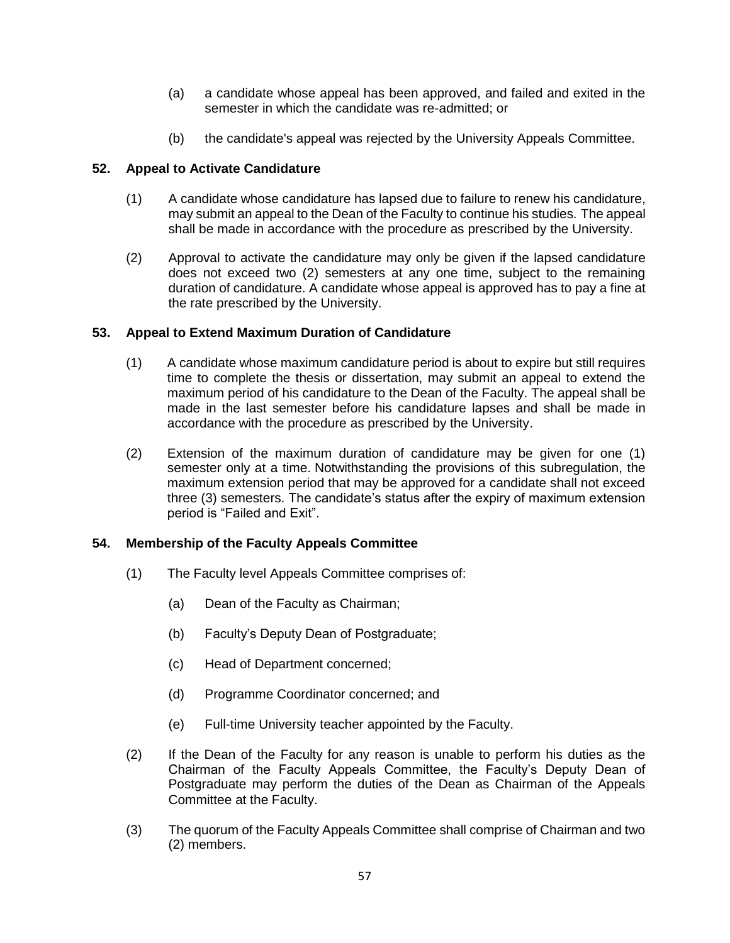- (a) a candidate whose appeal has been approved, and failed and exited in the semester in which the candidate was re-admitted; or
- (b) the candidate's appeal was rejected by the University Appeals Committee.

## **52. Appeal to Activate Candidature**

- (1) A candidate whose candidature has lapsed due to failure to renew his candidature, may submit an appeal to the Dean of the Faculty to continue his studies. The appeal shall be made in accordance with the procedure as prescribed by the University.
- (2) Approval to activate the candidature may only be given if the lapsed candidature does not exceed two (2) semesters at any one time, subject to the remaining duration of candidature. A candidate whose appeal is approved has to pay a fine at the rate prescribed by the University.

## **53. Appeal to Extend Maximum Duration of Candidature**

- (1) A candidate whose maximum candidature period is about to expire but still requires time to complete the thesis or dissertation, may submit an appeal to extend the maximum period of his candidature to the Dean of the Faculty. The appeal shall be made in the last semester before his candidature lapses and shall be made in accordance with the procedure as prescribed by the University.
- (2) Extension of the maximum duration of candidature may be given for one (1) semester only at a time. Notwithstanding the provisions of this subregulation, the maximum extension period that may be approved for a candidate shall not exceed three (3) semesters. The candidate's status after the expiry of maximum extension period is "Failed and Exit".

# **54. Membership of the Faculty Appeals Committee**

- (1) The Faculty level Appeals Committee comprises of:
	- (a) Dean of the Faculty as Chairman;
	- (b) Faculty's Deputy Dean of Postgraduate;
	- (c) Head of Department concerned;
	- (d) Programme Coordinator concerned; and
	- (e) Full-time University teacher appointed by the Faculty.
- (2) If the Dean of the Faculty for any reason is unable to perform his duties as the Chairman of the Faculty Appeals Committee, the Faculty's Deputy Dean of Postgraduate may perform the duties of the Dean as Chairman of the Appeals Committee at the Faculty.
- (3) The quorum of the Faculty Appeals Committee shall comprise of Chairman and two (2) members.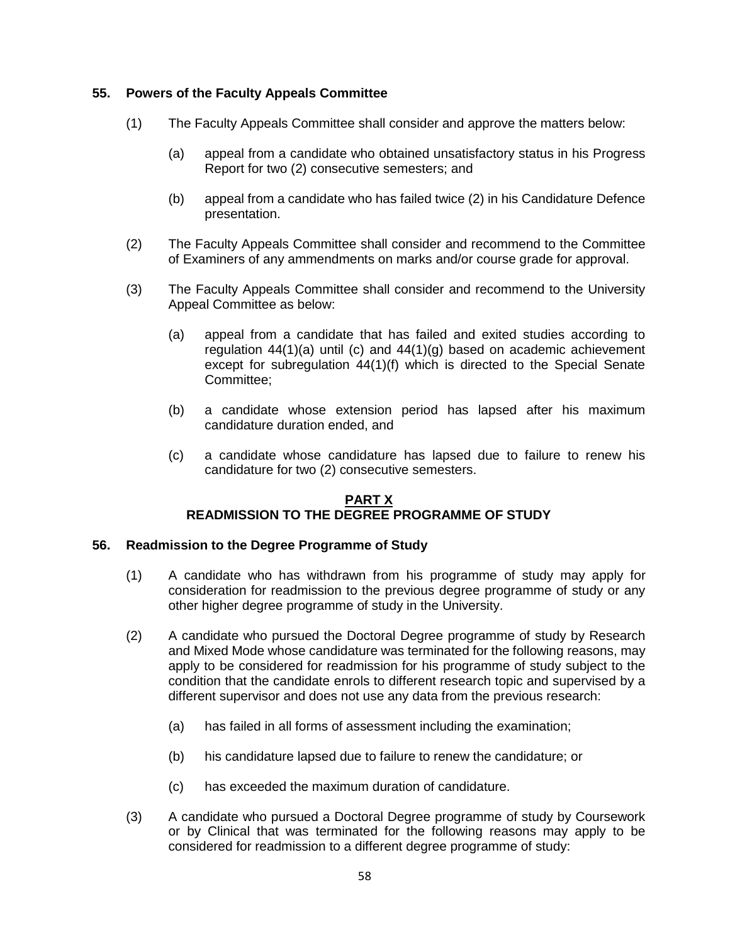### **55. Powers of the Faculty Appeals Committee**

- (1) The Faculty Appeals Committee shall consider and approve the matters below:
	- (a) appeal from a candidate who obtained unsatisfactory status in his Progress Report for two (2) consecutive semesters; and
	- (b) appeal from a candidate who has failed twice (2) in his Candidature Defence presentation.
- (2) The Faculty Appeals Committee shall consider and recommend to the Committee of Examiners of any ammendments on marks and/or course grade for approval.
- (3) The Faculty Appeals Committee shall consider and recommend to the University Appeal Committee as below:
	- (a) appeal from a candidate that has failed and exited studies according to regulation  $44(1)(a)$  until (c) and  $44(1)(g)$  based on academic achievement except for subregulation 44(1)(f) which is directed to the Special Senate Committee;
	- (b) a candidate whose extension period has lapsed after his maximum candidature duration ended, and
	- (c) a candidate whose candidature has lapsed due to failure to renew his candidature for two (2) consecutive semesters.

### **PART X READMISSION TO THE DEGREE PROGRAMME OF STUDY**

#### **56. Readmission to the Degree Programme of Study**

- (1) A candidate who has withdrawn from his programme of study may apply for consideration for readmission to the previous degree programme of study or any other higher degree programme of study in the University.
- (2) A candidate who pursued the Doctoral Degree programme of study by Research and Mixed Mode whose candidature was terminated for the following reasons, may apply to be considered for readmission for his programme of study subject to the condition that the candidate enrols to different research topic and supervised by a different supervisor and does not use any data from the previous research:
	- (a) has failed in all forms of assessment including the examination;
	- (b) his candidature lapsed due to failure to renew the candidature; or
	- (c) has exceeded the maximum duration of candidature.
- (3) A candidate who pursued a Doctoral Degree programme of study by Coursework or by Clinical that was terminated for the following reasons may apply to be considered for readmission to a different degree programme of study: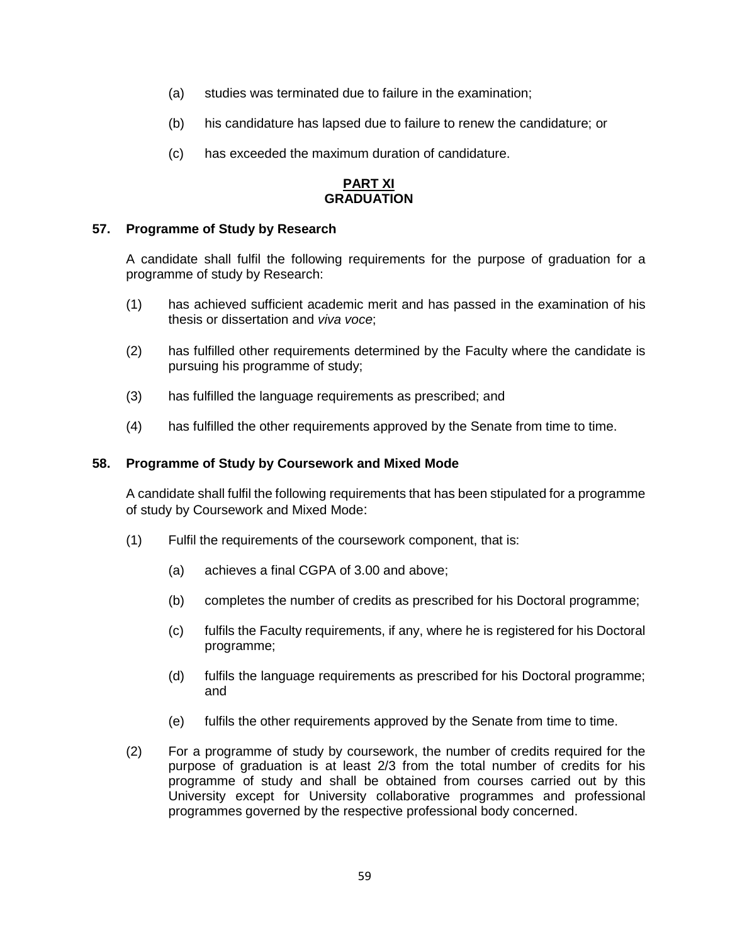- (a) studies was terminated due to failure in the examination;
- (b) his candidature has lapsed due to failure to renew the candidature; or
- (c) has exceeded the maximum duration of candidature.

#### **PART XI GRADUATION**

### **57. Programme of Study by Research**

A candidate shall fulfil the following requirements for the purpose of graduation for a programme of study by Research:

- (1) has achieved sufficient academic merit and has passed in the examination of his thesis or dissertation and *viva voce*;
- (2) has fulfilled other requirements determined by the Faculty where the candidate is pursuing his programme of study;
- (3) has fulfilled the language requirements as prescribed; and
- (4) has fulfilled the other requirements approved by the Senate from time to time.

#### **58. Programme of Study by Coursework and Mixed Mode**

A candidate shall fulfil the following requirements that has been stipulated for a programme of study by Coursework and Mixed Mode:

- (1) Fulfil the requirements of the coursework component, that is:
	- (a) achieves a final CGPA of 3.00 and above;
	- (b) completes the number of credits as prescribed for his Doctoral programme;
	- (c) fulfils the Faculty requirements, if any, where he is registered for his Doctoral programme;
	- (d) fulfils the language requirements as prescribed for his Doctoral programme; and
	- (e) fulfils the other requirements approved by the Senate from time to time.
- (2) For a programme of study by coursework, the number of credits required for the purpose of graduation is at least 2/3 from the total number of credits for his programme of study and shall be obtained from courses carried out by this University except for University collaborative programmes and professional programmes governed by the respective professional body concerned.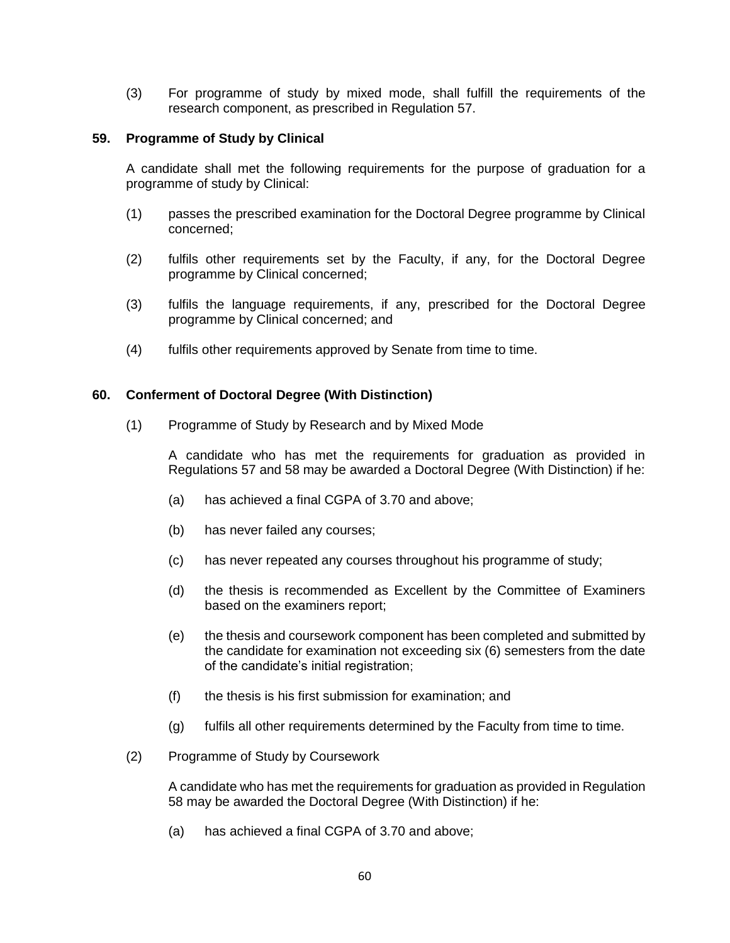(3) For programme of study by mixed mode, shall fulfill the requirements of the research component, as prescribed in Regulation 57.

### **59. Programme of Study by Clinical**

A candidate shall met the following requirements for the purpose of graduation for a programme of study by Clinical:

- (1) passes the prescribed examination for the Doctoral Degree programme by Clinical concerned;
- (2) fulfils other requirements set by the Faculty, if any, for the Doctoral Degree programme by Clinical concerned;
- (3) fulfils the language requirements, if any, prescribed for the Doctoral Degree programme by Clinical concerned; and
- (4) fulfils other requirements approved by Senate from time to time.

### **60. Conferment of Doctoral Degree (With Distinction)**

(1) Programme of Study by Research and by Mixed Mode

A candidate who has met the requirements for graduation as provided in Regulations 57 and 58 may be awarded a Doctoral Degree (With Distinction) if he:

- (a) has achieved a final CGPA of 3.70 and above;
- (b) has never failed any courses;
- (c) has never repeated any courses throughout his programme of study;
- (d) the thesis is recommended as Excellent by the Committee of Examiners based on the examiners report;
- (e) the thesis and coursework component has been completed and submitted by the candidate for examination not exceeding six (6) semesters from the date of the candidate's initial registration;
- (f) the thesis is his first submission for examination; and
- (g) fulfils all other requirements determined by the Faculty from time to time.
- (2) Programme of Study by Coursework

A candidate who has met the requirements for graduation as provided in Regulation 58 may be awarded the Doctoral Degree (With Distinction) if he:

(a) has achieved a final CGPA of 3.70 and above;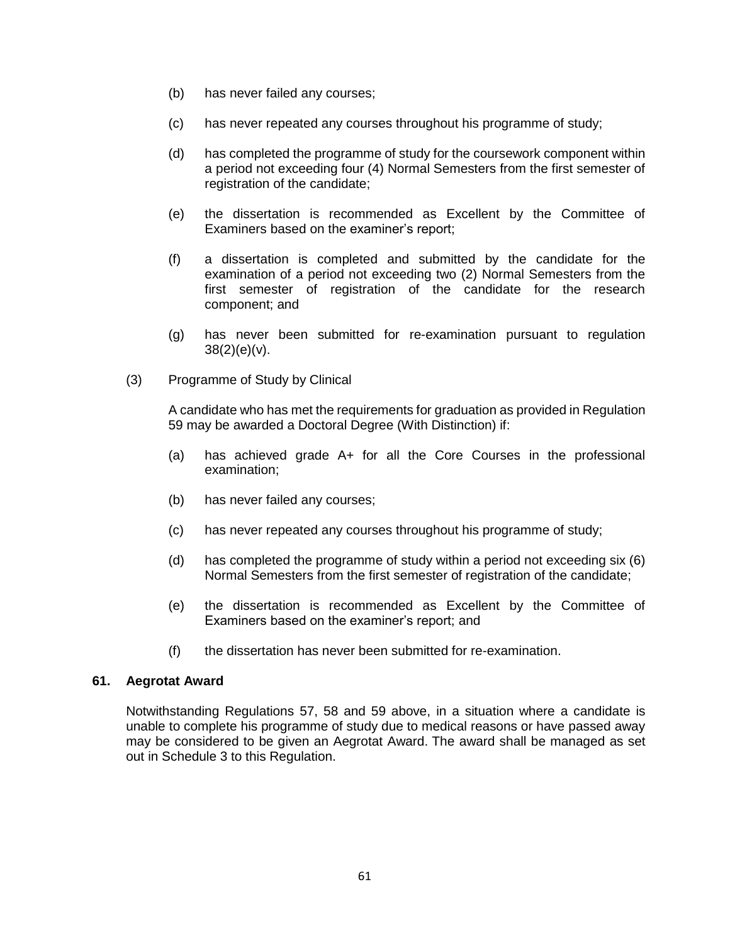- (b) has never failed any courses;
- (c) has never repeated any courses throughout his programme of study;
- (d) has completed the programme of study for the coursework component within a period not exceeding four (4) Normal Semesters from the first semester of registration of the candidate;
- (e) the dissertation is recommended as Excellent by the Committee of Examiners based on the examiner's report;
- (f) a dissertation is completed and submitted by the candidate for the examination of a period not exceeding two (2) Normal Semesters from the first semester of registration of the candidate for the research component; and
- (g) has never been submitted for re-examination pursuant to regulation  $38(2)(e)(v)$ .
- (3) Programme of Study by Clinical

A candidate who has met the requirements for graduation as provided in Regulation 59 may be awarded a Doctoral Degree (With Distinction) if:

- (a) has achieved grade A+ for all the Core Courses in the professional examination;
- (b) has never failed any courses;
- (c) has never repeated any courses throughout his programme of study;
- (d) has completed the programme of study within a period not exceeding six (6) Normal Semesters from the first semester of registration of the candidate;
- (e) the dissertation is recommended as Excellent by the Committee of Examiners based on the examiner's report; and
- (f) the dissertation has never been submitted for re-examination.

#### **61. Aegrotat Award**

Notwithstanding Regulations 57, 58 and 59 above, in a situation where a candidate is unable to complete his programme of study due to medical reasons or have passed away may be considered to be given an Aegrotat Award. The award shall be managed as set out in Schedule 3 to this Regulation.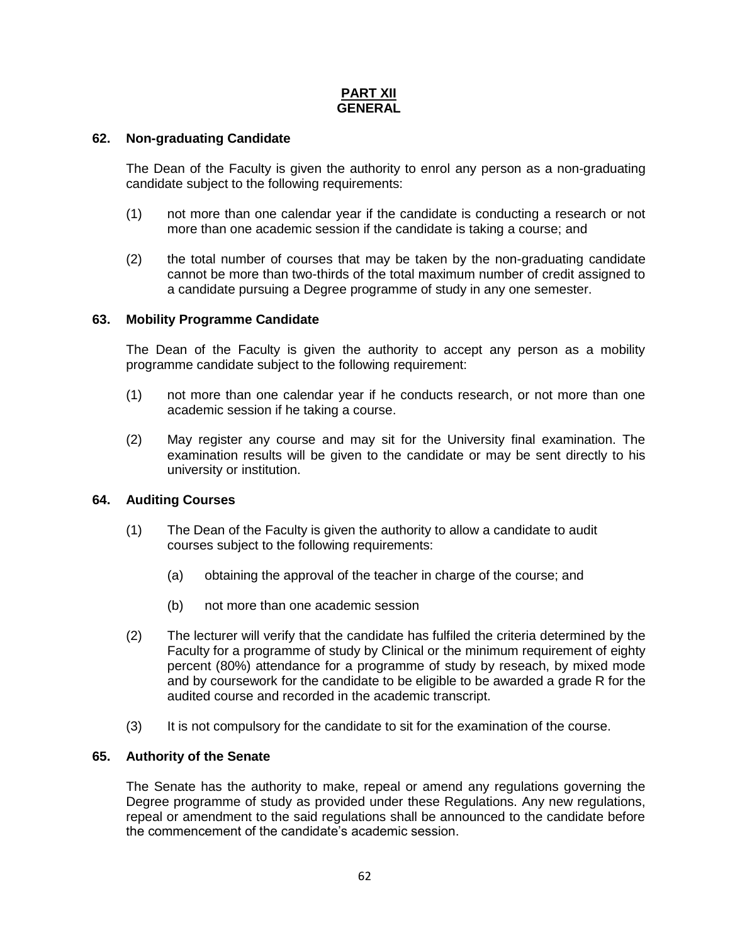## **PART XII GENERAL**

### **62. Non-graduating Candidate**

The Dean of the Faculty is given the authority to enrol any person as a non-graduating candidate subject to the following requirements:

- (1) not more than one calendar year if the candidate is conducting a research or not more than one academic session if the candidate is taking a course; and
- (2) the total number of courses that may be taken by the non-graduating candidate cannot be more than two-thirds of the total maximum number of credit assigned to a candidate pursuing a Degree programme of study in any one semester.

### **63. Mobility Programme Candidate**

The Dean of the Faculty is given the authority to accept any person as a mobility programme candidate subject to the following requirement:

- (1) not more than one calendar year if he conducts research, or not more than one academic session if he taking a course.
- (2) May register any course and may sit for the University final examination. The examination results will be given to the candidate or may be sent directly to his university or institution.

#### **64. Auditing Courses**

- (1) The Dean of the Faculty is given the authority to allow a candidate to audit courses subject to the following requirements:
	- (a) obtaining the approval of the teacher in charge of the course; and
	- (b) not more than one academic session
- (2) The lecturer will verify that the candidate has fulfiled the criteria determined by the Faculty for a programme of study by Clinical or the minimum requirement of eighty percent (80%) attendance for a programme of study by reseach, by mixed mode and by coursework for the candidate to be eligible to be awarded a grade R for the audited course and recorded in the academic transcript.
- (3) It is not compulsory for the candidate to sit for the examination of the course.

#### **65. Authority of the Senate**

The Senate has the authority to make, repeal or amend any regulations governing the Degree programme of study as provided under these Regulations. Any new regulations, repeal or amendment to the said regulations shall be announced to the candidate before the commencement of the candidate's academic session.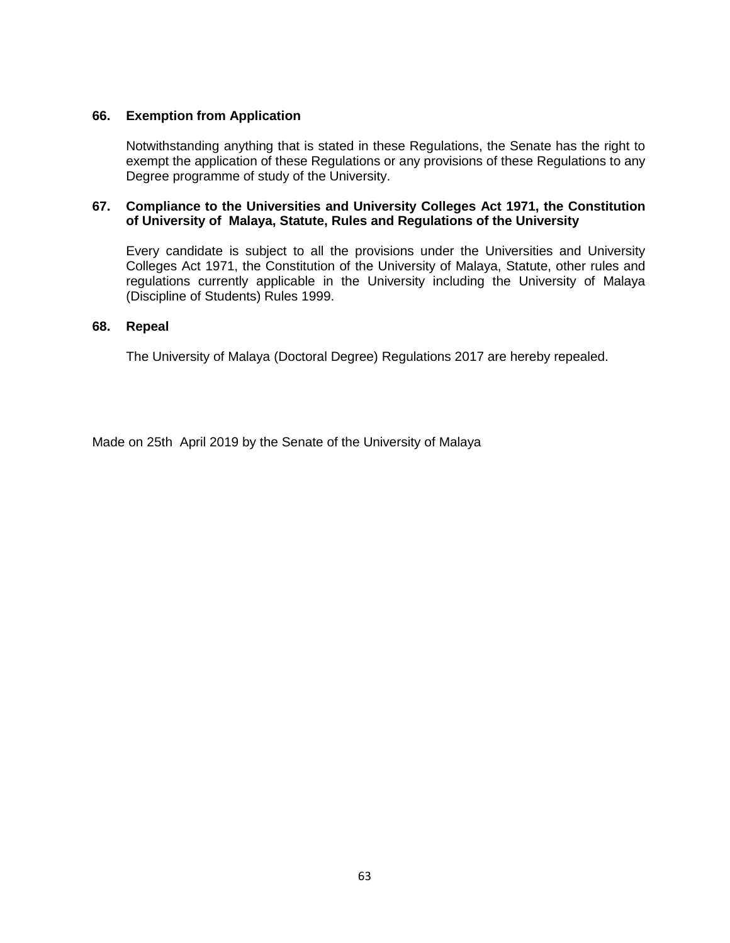### **66. Exemption from Application**

Notwithstanding anything that is stated in these Regulations, the Senate has the right to exempt the application of these Regulations or any provisions of these Regulations to any Degree programme of study of the University.

### **67. Compliance to the Universities and University Colleges Act 1971, the Constitution of University of Malaya, Statute, Rules and Regulations of the University**

Every candidate is subject to all the provisions under the Universities and University Colleges Act 1971, the Constitution of the University of Malaya, Statute, other rules and regulations currently applicable in the University including the University of Malaya (Discipline of Students) Rules 1999.

### **68. Repeal**

The University of Malaya (Doctoral Degree) Regulations 2017 are hereby repealed.

Made on 25th April 2019 by the Senate of the University of Malaya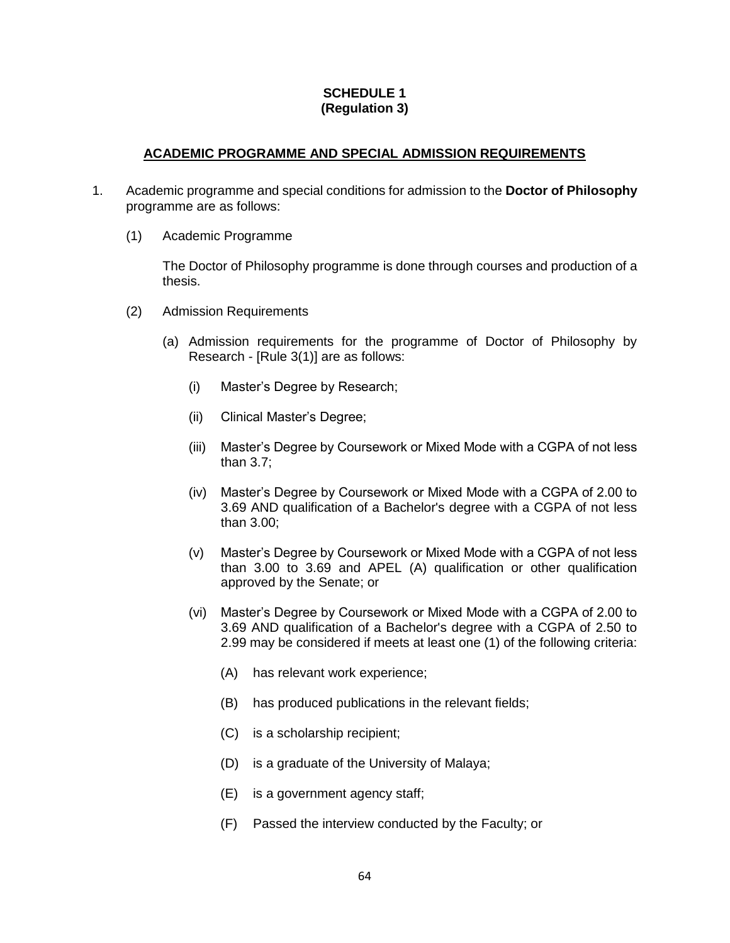## **SCHEDULE 1 (Regulation 3)**

## **ACADEMIC PROGRAMME AND SPECIAL ADMISSION REQUIREMENTS**

- 1. Academic programme and special conditions for admission to the **Doctor of Philosophy** programme are as follows:
	- (1) Academic Programme

The Doctor of Philosophy programme is done through courses and production of a thesis.

- (2) Admission Requirements
	- (a) Admission requirements for the programme of Doctor of Philosophy by Research - [Rule 3(1)] are as follows:
		- (i) Master's Degree by Research;
		- (ii) Clinical Master's Degree;
		- (iii) Master's Degree by Coursework or Mixed Mode with a CGPA of not less than 3.7;
		- (iv) Master's Degree by Coursework or Mixed Mode with a CGPA of 2.00 to 3.69 AND qualification of a Bachelor's degree with a CGPA of not less than 3.00;
		- (v) Master's Degree by Coursework or Mixed Mode with a CGPA of not less than 3.00 to 3.69 and APEL (A) qualification or other qualification approved by the Senate; or
		- (vi) Master's Degree by Coursework or Mixed Mode with a CGPA of 2.00 to 3.69 AND qualification of a Bachelor's degree with a CGPA of 2.50 to 2.99 may be considered if meets at least one (1) of the following criteria:
			- (A) has relevant work experience;
			- (B) has produced publications in the relevant fields;
			- (C) is a scholarship recipient;
			- (D) is a graduate of the University of Malaya;
			- (E) is a government agency staff;
			- (F) Passed the interview conducted by the Faculty; or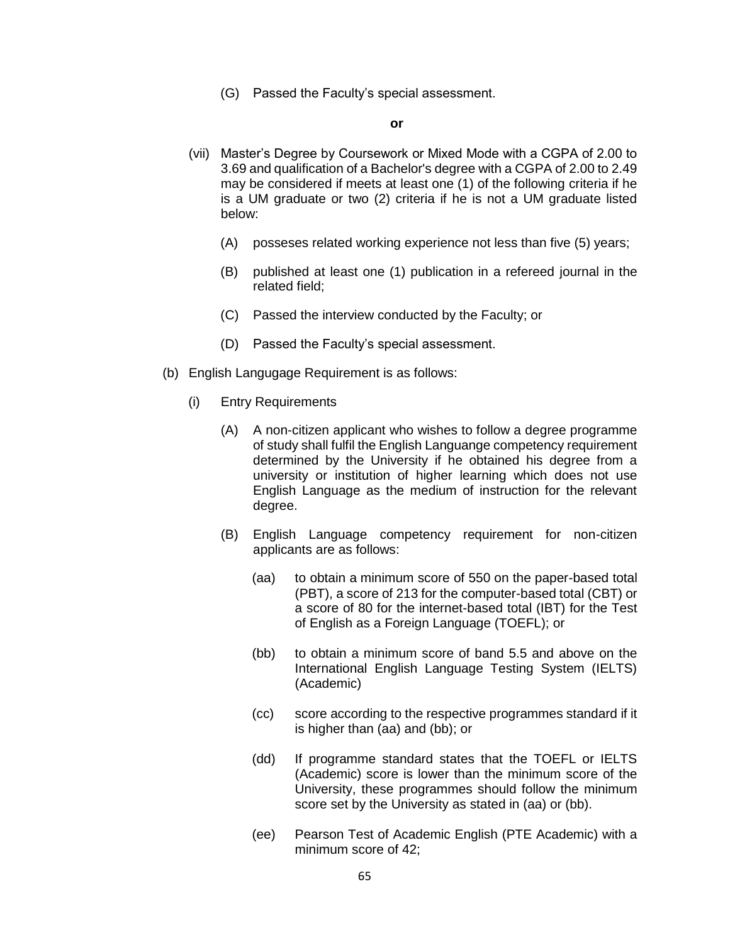(G) Passed the Faculty's special assessment.

#### **or**

- (vii) Master's Degree by Coursework or Mixed Mode with a CGPA of 2.00 to 3.69 and qualification of a Bachelor's degree with a CGPA of 2.00 to 2.49 may be considered if meets at least one (1) of the following criteria if he is a UM graduate or two (2) criteria if he is not a UM graduate listed below:
	- (A) posseses related working experience not less than five (5) years;
	- (B) published at least one (1) publication in a refereed journal in the related field;
	- (C) Passed the interview conducted by the Faculty; or
	- (D) Passed the Faculty's special assessment.
- (b) English Langugage Requirement is as follows:
	- (i) Entry Requirements
		- (A) A non-citizen applicant who wishes to follow a degree programme of study shall fulfil the English Languange competency requirement determined by the University if he obtained his degree from a university or institution of higher learning which does not use English Language as the medium of instruction for the relevant degree.
		- (B) English Language competency requirement for non-citizen applicants are as follows:
			- (aa) to obtain a minimum score of 550 on the paper-based total (PBT), a score of 213 for the computer-based total (CBT) or a score of 80 for the internet-based total (IBT) for the Test of English as a Foreign Language (TOEFL); or
			- (bb) to obtain a minimum score of band 5.5 and above on the International English Language Testing System (IELTS) (Academic)
			- (cc) score according to the respective programmes standard if it is higher than (aa) and (bb); or
			- (dd) If programme standard states that the TOEFL or IELTS (Academic) score is lower than the minimum score of the University, these programmes should follow the minimum score set by the University as stated in (aa) or (bb).
			- (ee) Pearson Test of Academic English (PTE Academic) with a minimum score of 42;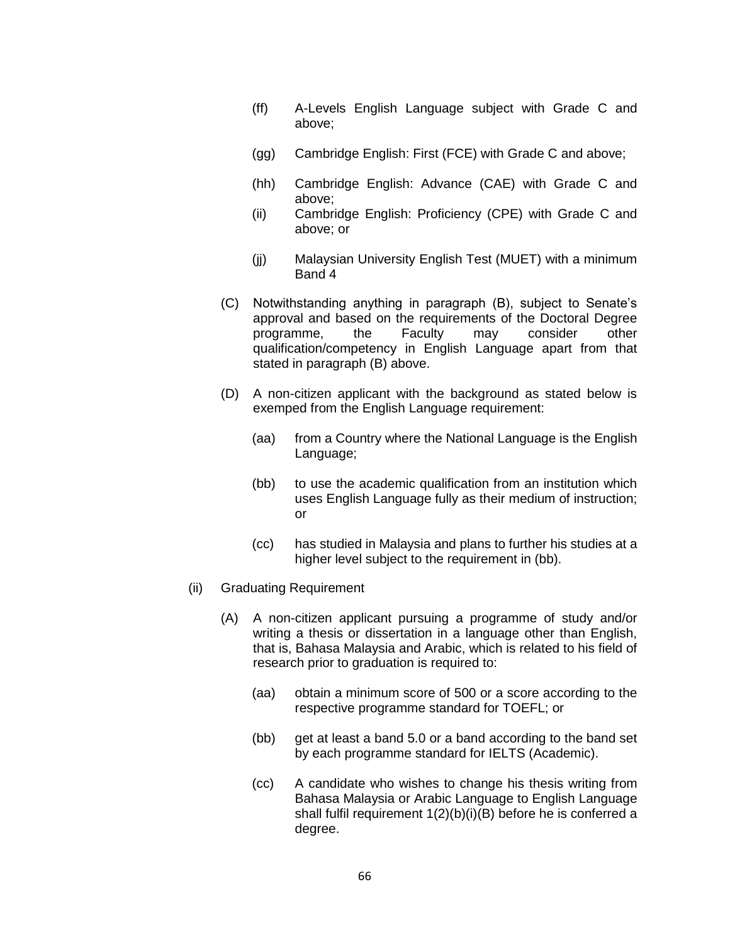- (ff) A-Levels English Language subject with Grade C and above;
- (gg) Cambridge English: First (FCE) with Grade C and above;
- (hh) Cambridge English: Advance (CAE) with Grade C and above;
- (ii) Cambridge English: Proficiency (CPE) with Grade C and above; or
- (jj) Malaysian University English Test (MUET) with a minimum Band 4
- (C) Notwithstanding anything in paragraph (B), subject to Senate's approval and based on the requirements of the Doctoral Degree programme, the Faculty may consider other qualification/competency in English Language apart from that stated in paragraph (B) above.
- (D) A non-citizen applicant with the background as stated below is exemped from the English Language requirement:
	- (aa) from a Country where the National Language is the English Language;
	- (bb) to use the academic qualification from an institution which uses English Language fully as their medium of instruction; or
	- (cc) has studied in Malaysia and plans to further his studies at a higher level subject to the requirement in (bb).
- (ii) Graduating Requirement
	- (A) A non-citizen applicant pursuing a programme of study and/or writing a thesis or dissertation in a language other than English, that is, Bahasa Malaysia and Arabic, which is related to his field of research prior to graduation is required to:
		- (aa) obtain a minimum score of 500 or a score according to the respective programme standard for TOEFL; or
		- (bb) get at least a band 5.0 or a band according to the band set by each programme standard for IELTS (Academic).
		- (cc) A candidate who wishes to change his thesis writing from Bahasa Malaysia or Arabic Language to English Language shall fulfil requirement 1(2)(b)(i)(B) before he is conferred a degree.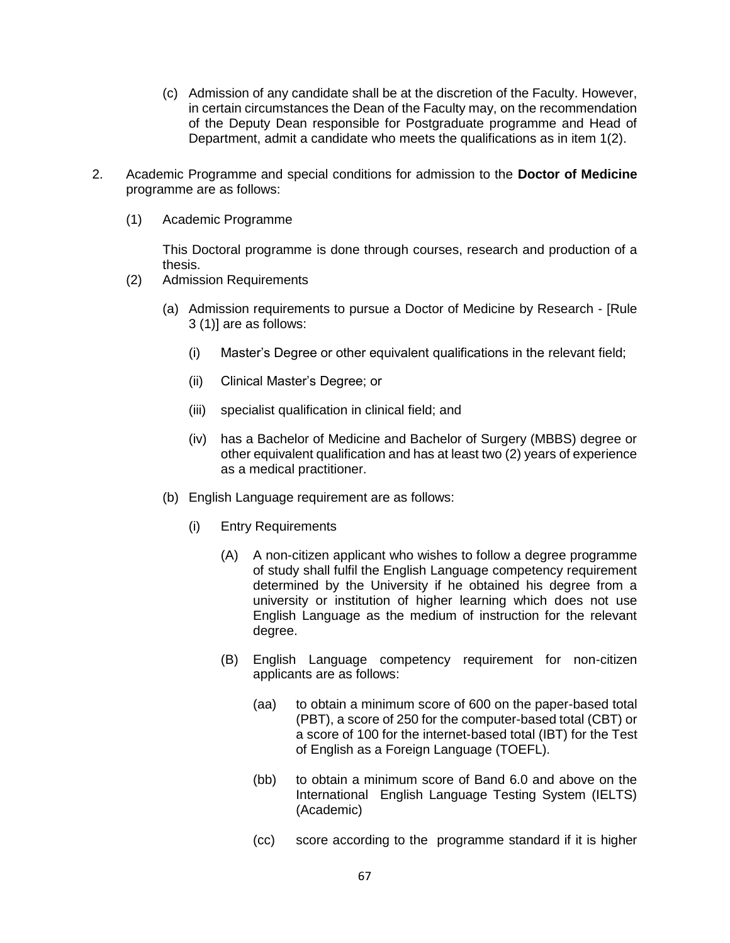- (c) Admission of any candidate shall be at the discretion of the Faculty. However, in certain circumstances the Dean of the Faculty may, on the recommendation of the Deputy Dean responsible for Postgraduate programme and Head of Department, admit a candidate who meets the qualifications as in item 1(2).
- 2. Academic Programme and special conditions for admission to the **Doctor of Medicine** programme are as follows:
	- (1) Academic Programme

This Doctoral programme is done through courses, research and production of a thesis.

- (2) Admission Requirements
	- (a) Admission requirements to pursue a Doctor of Medicine by Research [Rule 3 (1)] are as follows:
		- (i) Master's Degree or other equivalent qualifications in the relevant field;
		- (ii) Clinical Master's Degree; or
		- (iii) specialist qualification in clinical field; and
		- (iv) has a Bachelor of Medicine and Bachelor of Surgery (MBBS) degree or other equivalent qualification and has at least two (2) years of experience as a medical practitioner.
	- (b) English Language requirement are as follows:
		- (i) Entry Requirements
			- (A) A non-citizen applicant who wishes to follow a degree programme of study shall fulfil the English Language competency requirement determined by the University if he obtained his degree from a university or institution of higher learning which does not use English Language as the medium of instruction for the relevant degree.
			- (B) English Language competency requirement for non-citizen applicants are as follows:
				- (aa) to obtain a minimum score of 600 on the paper-based total (PBT), a score of 250 for the computer-based total (CBT) or a score of 100 for the internet-based total (IBT) for the Test of English as a Foreign Language (TOEFL).
				- (bb) to obtain a minimum score of Band 6.0 and above on the International English Language Testing System (IELTS) (Academic)
				- (cc) score according to the programme standard if it is higher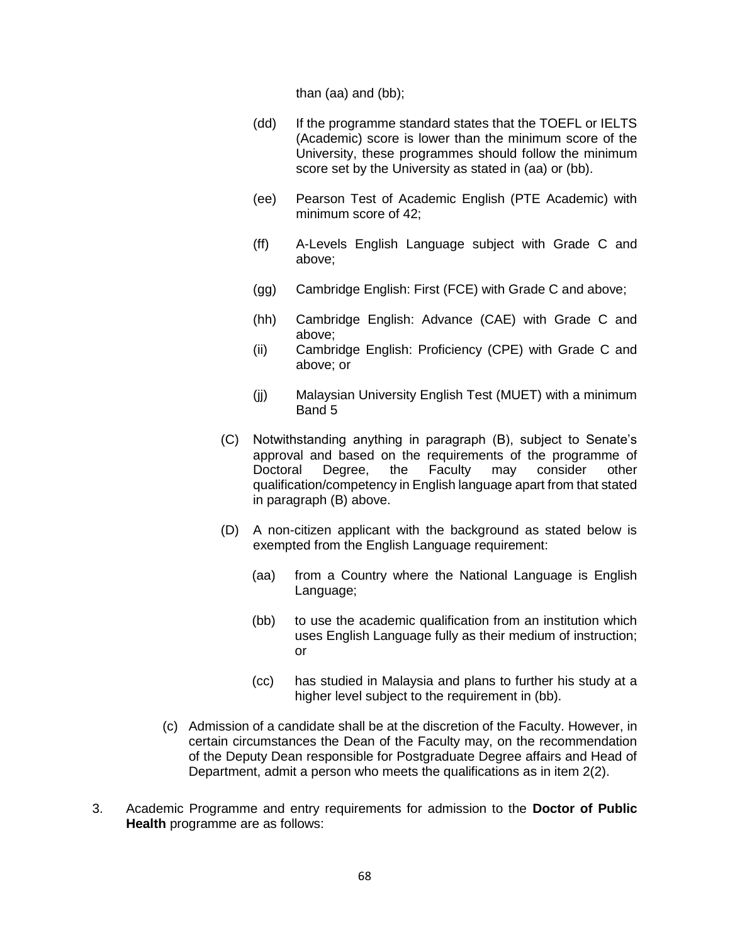than (aa) and (bb);

- (dd) If the programme standard states that the TOEFL or IELTS (Academic) score is lower than the minimum score of the University, these programmes should follow the minimum score set by the University as stated in (aa) or (bb).
- (ee) Pearson Test of Academic English (PTE Academic) with minimum score of 42;
- (ff) A-Levels English Language subject with Grade C and above;
- (gg) Cambridge English: First (FCE) with Grade C and above;
- (hh) Cambridge English: Advance (CAE) with Grade C and above;
- (ii) Cambridge English: Proficiency (CPE) with Grade C and above; or
- (jj) Malaysian University English Test (MUET) with a minimum Band 5
- (C) Notwithstanding anything in paragraph (B), subject to Senate's approval and based on the requirements of the programme of Doctoral Degree, the Faculty may consider other qualification/competency in English language apart from that stated in paragraph (B) above.
- (D) A non-citizen applicant with the background as stated below is exempted from the English Language requirement:
	- (aa) from a Country where the National Language is English Language;
	- (bb) to use the academic qualification from an institution which uses English Language fully as their medium of instruction; or
	- (cc) has studied in Malaysia and plans to further his study at a higher level subject to the requirement in (bb).
- (c) Admission of a candidate shall be at the discretion of the Faculty. However, in certain circumstances the Dean of the Faculty may, on the recommendation of the Deputy Dean responsible for Postgraduate Degree affairs and Head of Department, admit a person who meets the qualifications as in item 2(2).
- 3. Academic Programme and entry requirements for admission to the **Doctor of Public Health** programme are as follows: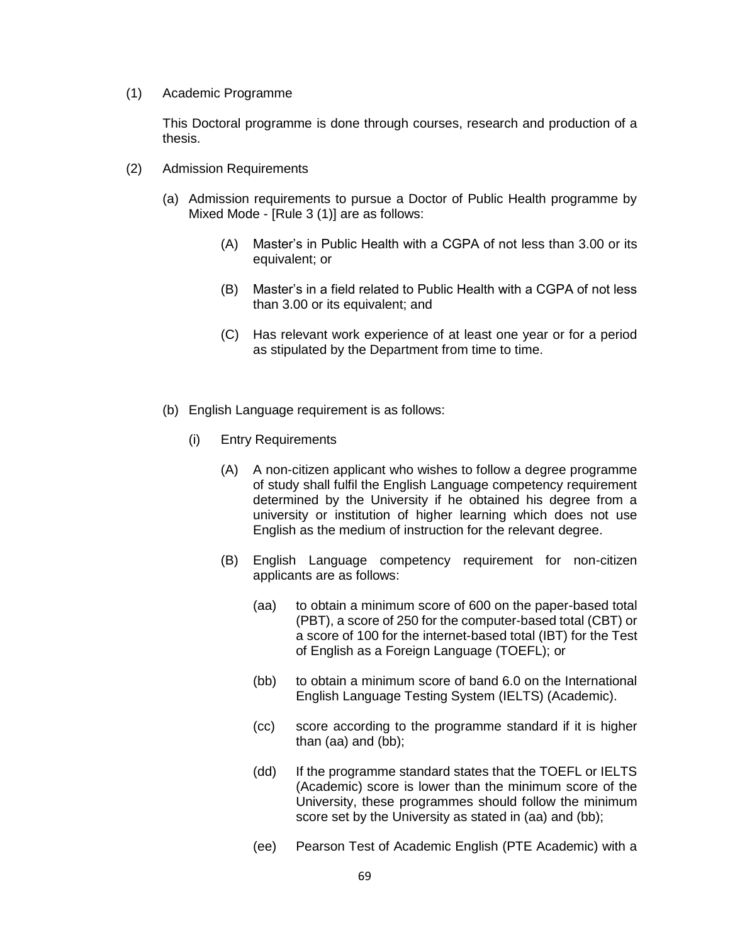(1) Academic Programme

This Doctoral programme is done through courses, research and production of a thesis.

- (2) Admission Requirements
	- (a) Admission requirements to pursue a Doctor of Public Health programme by Mixed Mode - [Rule 3 (1)] are as follows:
		- (A) Master's in Public Health with a CGPA of not less than 3.00 or its equivalent; or
		- (B) Master's in a field related to Public Health with a CGPA of not less than 3.00 or its equivalent; and
		- (C) Has relevant work experience of at least one year or for a period as stipulated by the Department from time to time.
	- (b) English Language requirement is as follows:
		- (i) Entry Requirements
			- (A) A non-citizen applicant who wishes to follow a degree programme of study shall fulfil the English Language competency requirement determined by the University if he obtained his degree from a university or institution of higher learning which does not use English as the medium of instruction for the relevant degree.
			- (B) English Language competency requirement for non-citizen applicants are as follows:
				- (aa) to obtain a minimum score of 600 on the paper-based total (PBT), a score of 250 for the computer-based total (CBT) or a score of 100 for the internet-based total (IBT) for the Test of English as a Foreign Language (TOEFL); or
				- (bb) to obtain a minimum score of band 6.0 on the International English Language Testing System (IELTS) (Academic).
				- (cc) score according to the programme standard if it is higher than (aa) and (bb);
				- (dd) If the programme standard states that the TOEFL or IELTS (Academic) score is lower than the minimum score of the University, these programmes should follow the minimum score set by the University as stated in (aa) and (bb);
				- (ee) Pearson Test of Academic English (PTE Academic) with a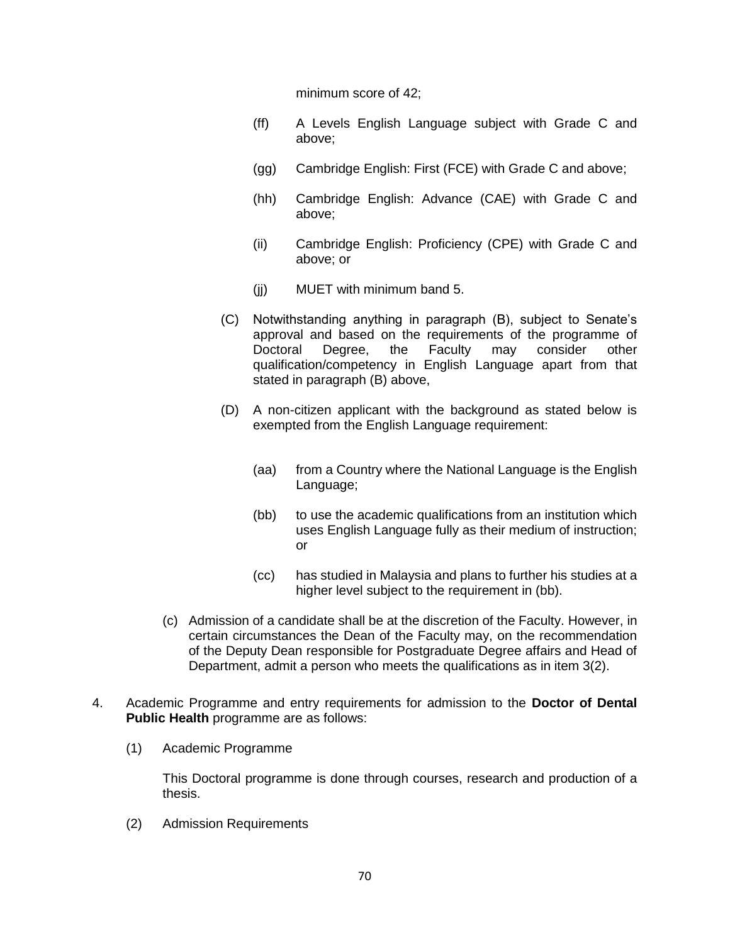minimum score of 42;

- (ff) A Levels English Language subject with Grade C and above;
- (gg) Cambridge English: First (FCE) with Grade C and above;
- (hh) Cambridge English: Advance (CAE) with Grade C and above;
- (ii) Cambridge English: Proficiency (CPE) with Grade C and above; or
- (jj) MUET with minimum band 5.
- (C) Notwithstanding anything in paragraph (B), subject to Senate's approval and based on the requirements of the programme of Doctoral Degree, the Faculty may consider other qualification/competency in English Language apart from that stated in paragraph (B) above,
- (D) A non-citizen applicant with the background as stated below is exempted from the English Language requirement:
	- (aa) from a Country where the National Language is the English Language;
	- (bb) to use the academic qualifications from an institution which uses English Language fully as their medium of instruction; or
	- (cc) has studied in Malaysia and plans to further his studies at a higher level subject to the requirement in (bb).
- (c) Admission of a candidate shall be at the discretion of the Faculty. However, in certain circumstances the Dean of the Faculty may, on the recommendation of the Deputy Dean responsible for Postgraduate Degree affairs and Head of Department, admit a person who meets the qualifications as in item 3(2).
- 4. Academic Programme and entry requirements for admission to the **Doctor of Dental Public Health** programme are as follows:
	- (1) Academic Programme

This Doctoral programme is done through courses, research and production of a thesis.

(2) Admission Requirements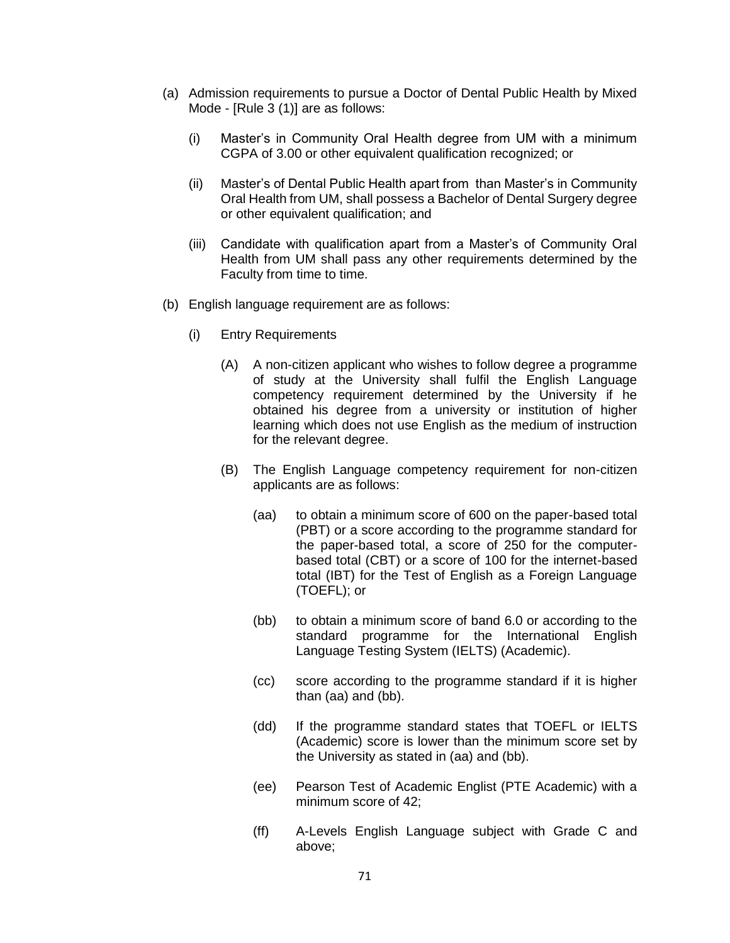- (a) Admission requirements to pursue a Doctor of Dental Public Health by Mixed Mode - [Rule 3 (1)] are as follows:
	- (i) Master's in Community Oral Health degree from UM with a minimum CGPA of 3.00 or other equivalent qualification recognized; or
	- (ii) Master's of Dental Public Health apart from than Master's in Community Oral Health from UM, shall possess a Bachelor of Dental Surgery degree or other equivalent qualification; and
	- (iii) Candidate with qualification apart from a Master's of Community Oral Health from UM shall pass any other requirements determined by the Faculty from time to time.
- (b) English language requirement are as follows:
	- (i) Entry Requirements
		- (A) A non-citizen applicant who wishes to follow degree a programme of study at the University shall fulfil the English Language competency requirement determined by the University if he obtained his degree from a university or institution of higher learning which does not use English as the medium of instruction for the relevant degree.
		- (B) The English Language competency requirement for non-citizen applicants are as follows:
			- (aa) to obtain a minimum score of 600 on the paper-based total (PBT) or a score according to the programme standard for the paper-based total, a score of 250 for the computerbased total (CBT) or a score of 100 for the internet-based total (IBT) for the Test of English as a Foreign Language (TOEFL); or
			- (bb) to obtain a minimum score of band 6.0 or according to the standard programme for the International English Language Testing System (IELTS) (Academic).
			- (cc) score according to the programme standard if it is higher than (aa) and (bb).
			- (dd) If the programme standard states that TOEFL or IELTS (Academic) score is lower than the minimum score set by the University as stated in (aa) and (bb).
			- (ee) Pearson Test of Academic Englist (PTE Academic) with a minimum score of 42;
			- (ff) A-Levels English Language subject with Grade C and above;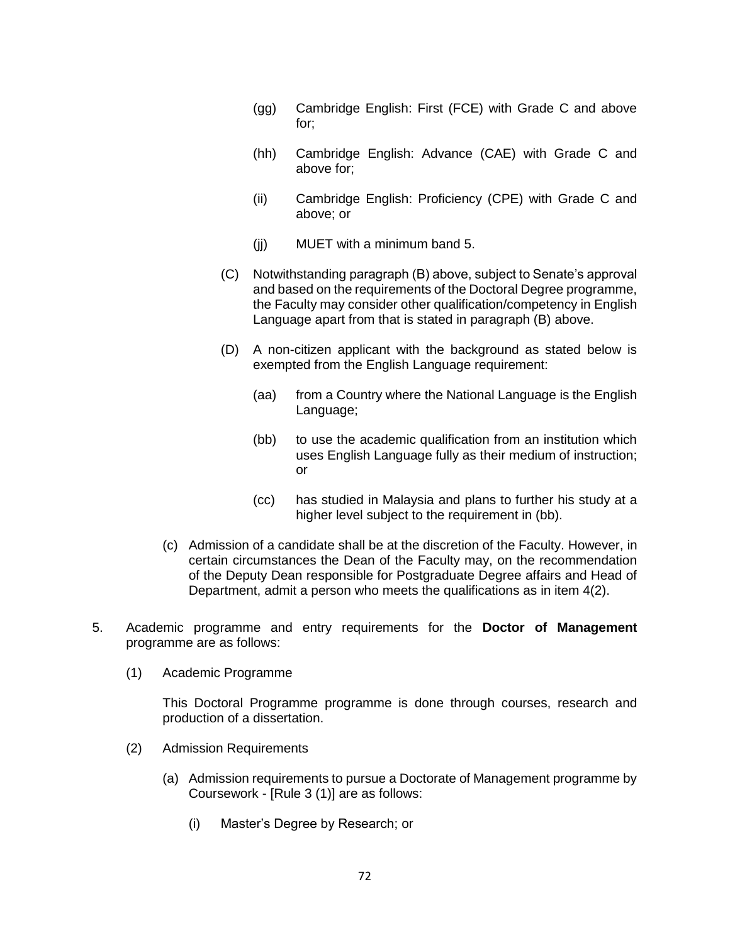- (gg) Cambridge English: First (FCE) with Grade C and above for;
- (hh) Cambridge English: Advance (CAE) with Grade C and above for;
- (ii) Cambridge English: Proficiency (CPE) with Grade C and above; or
- $(ii)$  MUET with a minimum band 5.
- (C) Notwithstanding paragraph (B) above, subject to Senate's approval and based on the requirements of the Doctoral Degree programme, the Faculty may consider other qualification/competency in English Language apart from that is stated in paragraph (B) above.
- (D) A non-citizen applicant with the background as stated below is exempted from the English Language requirement:
	- (aa) from a Country where the National Language is the English Language;
	- (bb) to use the academic qualification from an institution which uses English Language fully as their medium of instruction; or
	- (cc) has studied in Malaysia and plans to further his study at a higher level subject to the requirement in (bb).
- (c) Admission of a candidate shall be at the discretion of the Faculty. However, in certain circumstances the Dean of the Faculty may, on the recommendation of the Deputy Dean responsible for Postgraduate Degree affairs and Head of Department, admit a person who meets the qualifications as in item 4(2).
- 5. Academic programme and entry requirements for the **Doctor of Management**  programme are as follows:
	- (1) Academic Programme

This Doctoral Programme programme is done through courses, research and production of a dissertation.

- (2) Admission Requirements
	- (a) Admission requirements to pursue a Doctorate of Management programme by Coursework - [Rule 3 (1)] are as follows:
		- (i) Master's Degree by Research; or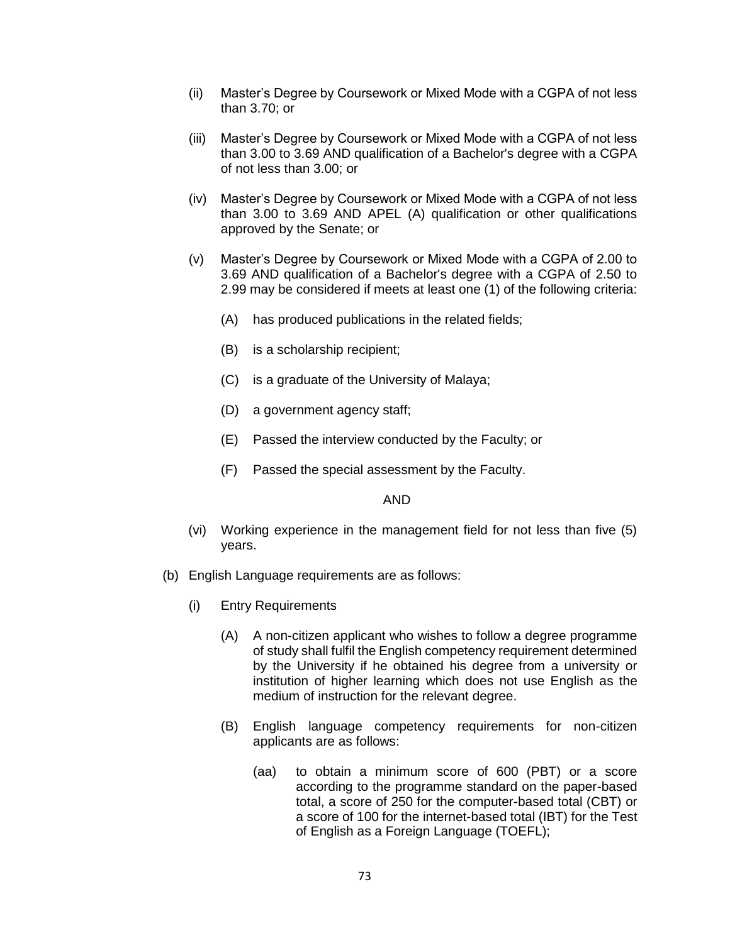- (ii) Master's Degree by Coursework or Mixed Mode with a CGPA of not less than 3.70; or
- (iii) Master's Degree by Coursework or Mixed Mode with a CGPA of not less than 3.00 to 3.69 AND qualification of a Bachelor's degree with a CGPA of not less than 3.00; or
- (iv) Master's Degree by Coursework or Mixed Mode with a CGPA of not less than 3.00 to 3.69 AND APEL (A) qualification or other qualifications approved by the Senate; or
- (v) Master's Degree by Coursework or Mixed Mode with a CGPA of 2.00 to 3.69 AND qualification of a Bachelor's degree with a CGPA of 2.50 to 2.99 may be considered if meets at least one (1) of the following criteria:
	- (A) has produced publications in the related fields;
	- (B) is a scholarship recipient;
	- (C) is a graduate of the University of Malaya;
	- (D) a government agency staff;
	- (E) Passed the interview conducted by the Faculty; or
	- (F) Passed the special assessment by the Faculty.

#### AND

- (vi) Working experience in the management field for not less than five (5) years.
- (b) English Language requirements are as follows:
	- (i) Entry Requirements
		- (A) A non-citizen applicant who wishes to follow a degree programme of study shall fulfil the English competency requirement determined by the University if he obtained his degree from a university or institution of higher learning which does not use English as the medium of instruction for the relevant degree.
		- (B) English language competency requirements for non-citizen applicants are as follows:
			- (aa) to obtain a minimum score of 600 (PBT) or a score according to the programme standard on the paper-based total, a score of 250 for the computer-based total (CBT) or a score of 100 for the internet-based total (IBT) for the Test of English as a Foreign Language (TOEFL);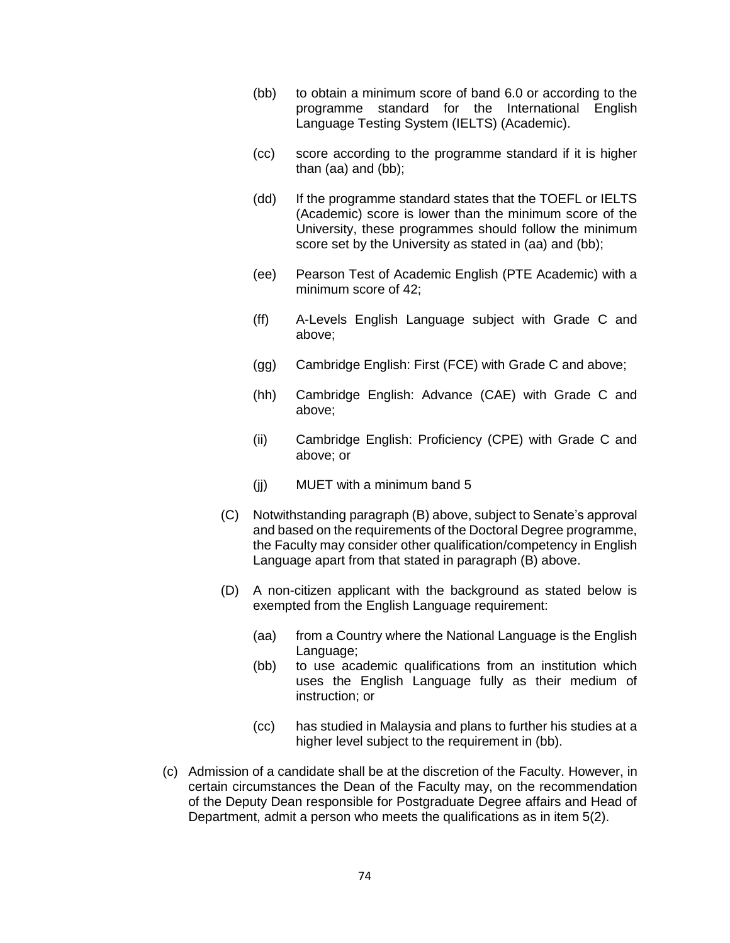- (bb) to obtain a minimum score of band 6.0 or according to the programme standard for the International English Language Testing System (IELTS) (Academic).
- (cc) score according to the programme standard if it is higher than (aa) and (bb);
- (dd) If the programme standard states that the TOEFL or IELTS (Academic) score is lower than the minimum score of the University, these programmes should follow the minimum score set by the University as stated in (aa) and (bb);
- (ee) Pearson Test of Academic English (PTE Academic) with a minimum score of 42;
- (ff) A-Levels English Language subject with Grade C and above;
- (gg) Cambridge English: First (FCE) with Grade C and above;
- (hh) Cambridge English: Advance (CAE) with Grade C and above;
- (ii) Cambridge English: Proficiency (CPE) with Grade C and above; or
- (jj) MUET with a minimum band 5
- (C) Notwithstanding paragraph (B) above, subject to Senate's approval and based on the requirements of the Doctoral Degree programme, the Faculty may consider other qualification/competency in English Language apart from that stated in paragraph (B) above.
- (D) A non-citizen applicant with the background as stated below is exempted from the English Language requirement:
	- (aa) from a Country where the National Language is the English Language;
	- (bb) to use academic qualifications from an institution which uses the English Language fully as their medium of instruction; or
	- (cc) has studied in Malaysia and plans to further his studies at a higher level subject to the requirement in (bb).
- (c) Admission of a candidate shall be at the discretion of the Faculty. However, in certain circumstances the Dean of the Faculty may, on the recommendation of the Deputy Dean responsible for Postgraduate Degree affairs and Head of Department, admit a person who meets the qualifications as in item 5(2).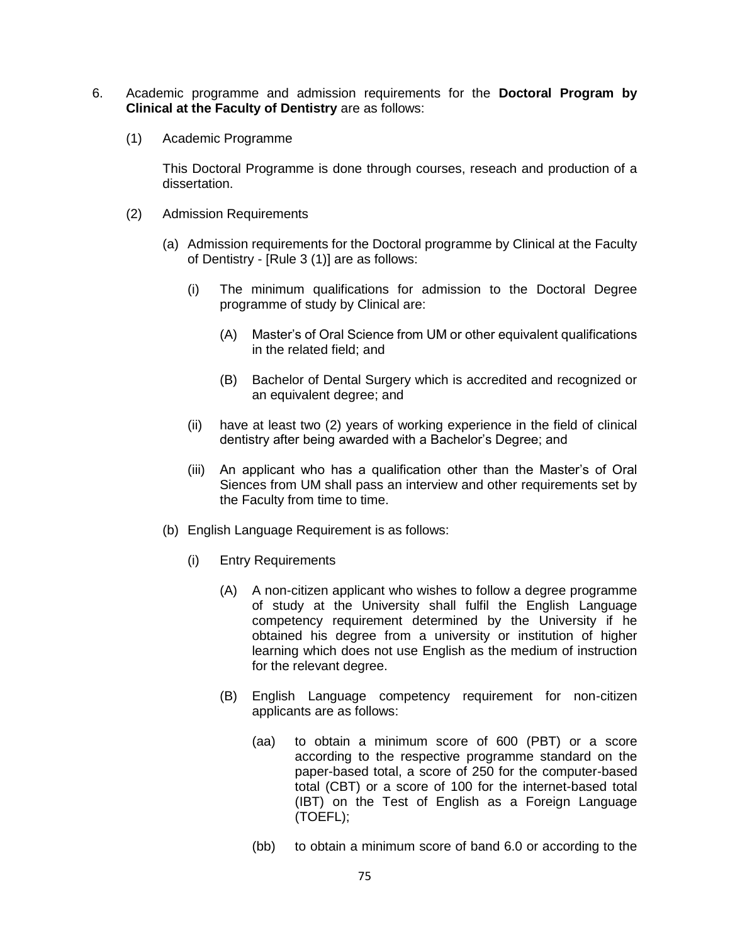- 6. Academic programme and admission requirements for the **Doctoral Program by Clinical at the Faculty of Dentistry** are as follows:
	- (1) Academic Programme

This Doctoral Programme is done through courses, reseach and production of a dissertation.

- (2) Admission Requirements
	- (a) Admission requirements for the Doctoral programme by Clinical at the Faculty of Dentistry - [Rule 3 (1)] are as follows:
		- (i) The minimum qualifications for admission to the Doctoral Degree programme of study by Clinical are:
			- (A) Master's of Oral Science from UM or other equivalent qualifications in the related field; and
			- (B) Bachelor of Dental Surgery which is accredited and recognized or an equivalent degree; and
		- (ii) have at least two (2) years of working experience in the field of clinical dentistry after being awarded with a Bachelor's Degree; and
		- (iii) An applicant who has a qualification other than the Master's of Oral Siences from UM shall pass an interview and other requirements set by the Faculty from time to time.
	- (b) English Language Requirement is as follows:
		- (i) Entry Requirements
			- (A) A non-citizen applicant who wishes to follow a degree programme of study at the University shall fulfil the English Language competency requirement determined by the University if he obtained his degree from a university or institution of higher learning which does not use English as the medium of instruction for the relevant degree.
			- (B) English Language competency requirement for non-citizen applicants are as follows:
				- (aa) to obtain a minimum score of 600 (PBT) or a score according to the respective programme standard on the paper-based total, a score of 250 for the computer-based total (CBT) or a score of 100 for the internet-based total (IBT) on the Test of English as a Foreign Language (TOEFL);
				- (bb) to obtain a minimum score of band 6.0 or according to the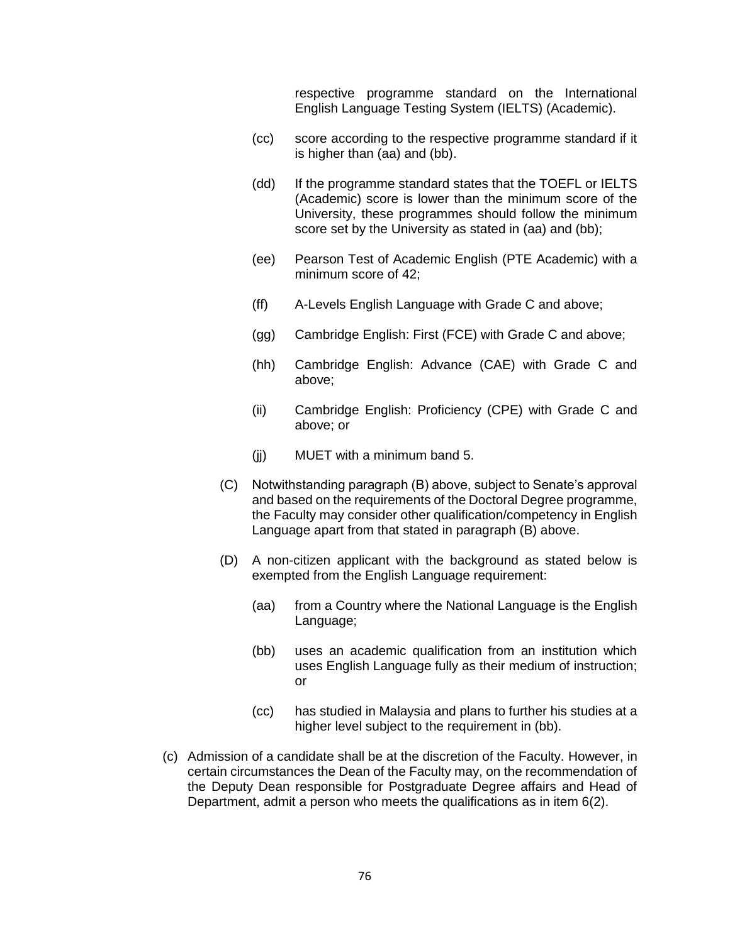respective programme standard on the International English Language Testing System (IELTS) (Academic).

- (cc) score according to the respective programme standard if it is higher than (aa) and (bb).
- (dd) If the programme standard states that the TOEFL or IELTS (Academic) score is lower than the minimum score of the University, these programmes should follow the minimum score set by the University as stated in (aa) and (bb);
- (ee) Pearson Test of Academic English (PTE Academic) with a minimum score of 42;
- (ff) A-Levels English Language with Grade C and above;
- (gg) Cambridge English: First (FCE) with Grade C and above;
- (hh) Cambridge English: Advance (CAE) with Grade C and above;
- (ii) Cambridge English: Proficiency (CPE) with Grade C and above; or
- (jj) MUET with a minimum band 5.
- (C) Notwithstanding paragraph (B) above, subject to Senate's approval and based on the requirements of the Doctoral Degree programme, the Faculty may consider other qualification/competency in English Language apart from that stated in paragraph (B) above.
- (D) A non-citizen applicant with the background as stated below is exempted from the English Language requirement:
	- (aa) from a Country where the National Language is the English Language;
	- (bb) uses an academic qualification from an institution which uses English Language fully as their medium of instruction; or
	- (cc) has studied in Malaysia and plans to further his studies at a higher level subject to the requirement in (bb).
- (c) Admission of a candidate shall be at the discretion of the Faculty. However, in certain circumstances the Dean of the Faculty may, on the recommendation of the Deputy Dean responsible for Postgraduate Degree affairs and Head of Department, admit a person who meets the qualifications as in item 6(2).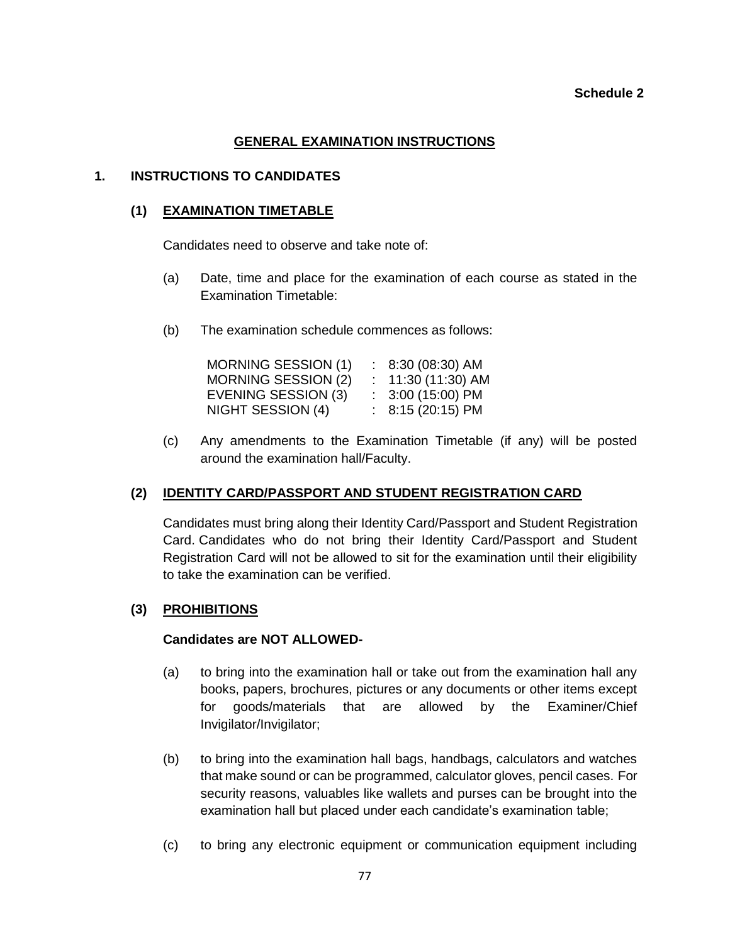#### **Schedule 2**

### **GENERAL EXAMINATION INSTRUCTIONS**

### **1. INSTRUCTIONS TO CANDIDATES**

### **(1) EXAMINATION TIMETABLE**

Candidates need to observe and take note of:

- (a) Date, time and place for the examination of each course as stated in the Examination Timetable:
- (b) The examination schedule commences as follows:

| $: 8:30(08:30)$ AM  |
|---------------------|
| $: 11:30(11:30)$ AM |
| $: 3:00(15:00)$ PM  |
| $: 8:15(20:15)$ PM  |
|                     |

(c) Any amendments to the Examination Timetable (if any) will be posted around the examination hall/Faculty.

## **(2) IDENTITY CARD/PASSPORT AND STUDENT REGISTRATION CARD**

Candidates must bring along their Identity Card/Passport and Student Registration Card. Candidates who do not bring their Identity Card/Passport and Student Registration Card will not be allowed to sit for the examination until their eligibility to take the examination can be verified.

#### **(3) PROHIBITIONS**

#### **Candidates are NOT ALLOWED-**

- (a) to bring into the examination hall or take out from the examination hall any books, papers, brochures, pictures or any documents or other items except for goods/materials that are allowed by the Examiner/Chief Invigilator/Invigilator;
- (b) to bring into the examination hall bags, handbags, calculators and watches that make sound or can be programmed, calculator gloves, pencil cases. For security reasons, valuables like wallets and purses can be brought into the examination hall but placed under each candidate's examination table;
- (c) to bring any electronic equipment or communication equipment including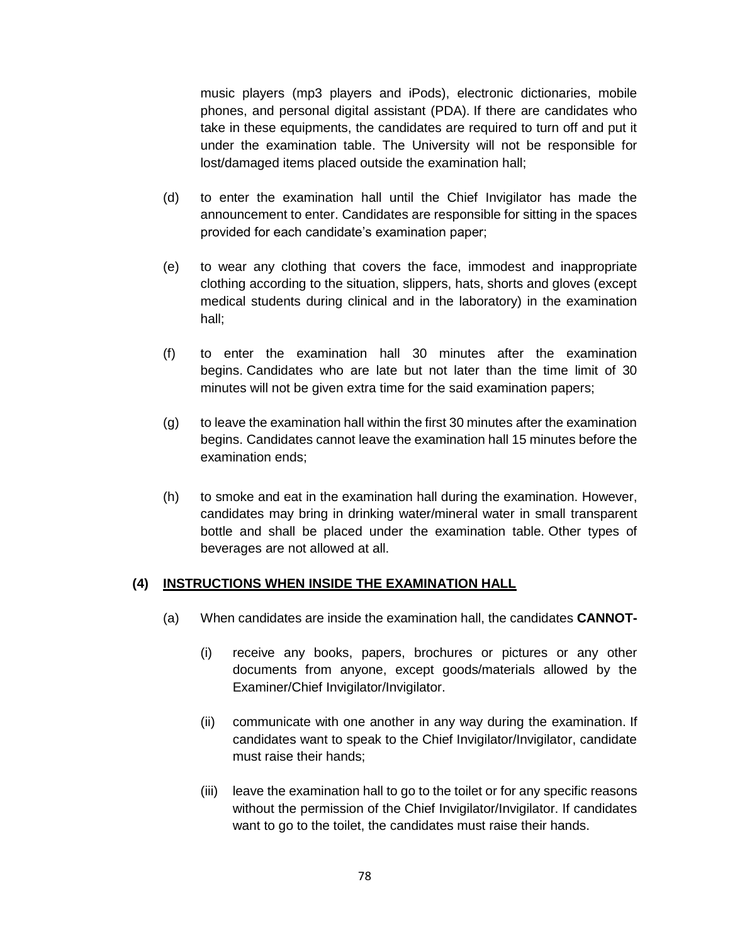music players (mp3 players and iPods), electronic dictionaries, mobile phones, and personal digital assistant (PDA). If there are candidates who take in these equipments, the candidates are required to turn off and put it under the examination table. The University will not be responsible for lost/damaged items placed outside the examination hall;

- (d) to enter the examination hall until the Chief Invigilator has made the announcement to enter. Candidates are responsible for sitting in the spaces provided for each candidate's examination paper;
- (e) to wear any clothing that covers the face, immodest and inappropriate clothing according to the situation, slippers, hats, shorts and gloves (except medical students during clinical and in the laboratory) in the examination hall;
- (f) to enter the examination hall 30 minutes after the examination begins. Candidates who are late but not later than the time limit of 30 minutes will not be given extra time for the said examination papers;
- (g) to leave the examination hall within the first 30 minutes after the examination begins. Candidates cannot leave the examination hall 15 minutes before the examination ends;
- (h) to smoke and eat in the examination hall during the examination. However, candidates may bring in drinking water/mineral water in small transparent bottle and shall be placed under the examination table. Other types of beverages are not allowed at all.

## **(4) INSTRUCTIONS WHEN INSIDE THE EXAMINATION HALL**

- (a) When candidates are inside the examination hall, the candidates **CANNOT-**
	- (i) receive any books, papers, brochures or pictures or any other documents from anyone, except goods/materials allowed by the Examiner/Chief Invigilator/Invigilator.
	- (ii) communicate with one another in any way during the examination. If candidates want to speak to the Chief Invigilator/Invigilator, candidate must raise their hands;
	- (iii) leave the examination hall to go to the toilet or for any specific reasons without the permission of the Chief Invigilator/Invigilator. If candidates want to go to the toilet, the candidates must raise their hands.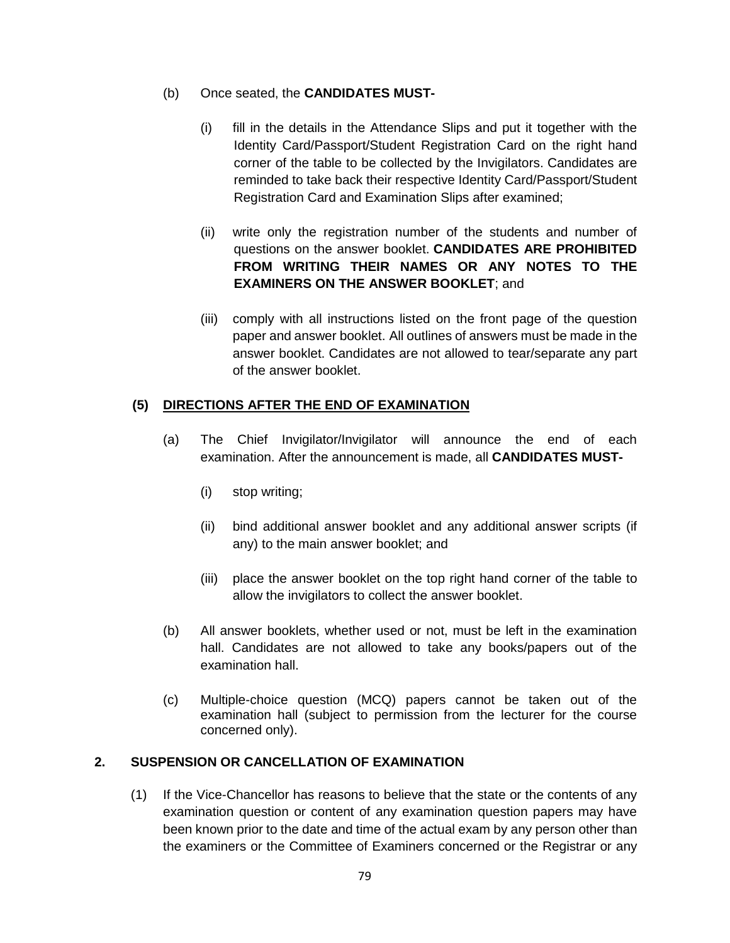## (b) Once seated, the **CANDIDATES MUST-**

- (i) fill in the details in the Attendance Slips and put it together with the Identity Card/Passport/Student Registration Card on the right hand corner of the table to be collected by the Invigilators. Candidates are reminded to take back their respective Identity Card/Passport/Student Registration Card and Examination Slips after examined;
- (ii) write only the registration number of the students and number of questions on the answer booklet. **CANDIDATES ARE PROHIBITED FROM WRITING THEIR NAMES OR ANY NOTES TO THE EXAMINERS ON THE ANSWER BOOKLET**; and
- (iii) comply with all instructions listed on the front page of the question paper and answer booklet. All outlines of answers must be made in the answer booklet. Candidates are not allowed to tear/separate any part of the answer booklet.

# **(5) DIRECTIONS AFTER THE END OF EXAMINATION**

- (a) The Chief Invigilator/Invigilator will announce the end of each examination. After the announcement is made, all **CANDIDATES MUST-**
	- (i) stop writing;
	- (ii) bind additional answer booklet and any additional answer scripts (if any) to the main answer booklet; and
	- (iii) place the answer booklet on the top right hand corner of the table to allow the invigilators to collect the answer booklet.
- (b) All answer booklets, whether used or not, must be left in the examination hall. Candidates are not allowed to take any books/papers out of the examination hall.
- (c) Multiple-choice question (MCQ) papers cannot be taken out of the examination hall (subject to permission from the lecturer for the course concerned only).

## **2. SUSPENSION OR CANCELLATION OF EXAMINATION**

(1) If the Vice-Chancellor has reasons to believe that the state or the contents of any examination question or content of any examination question papers may have been known prior to the date and time of the actual exam by any person other than the examiners or the Committee of Examiners concerned or the Registrar or any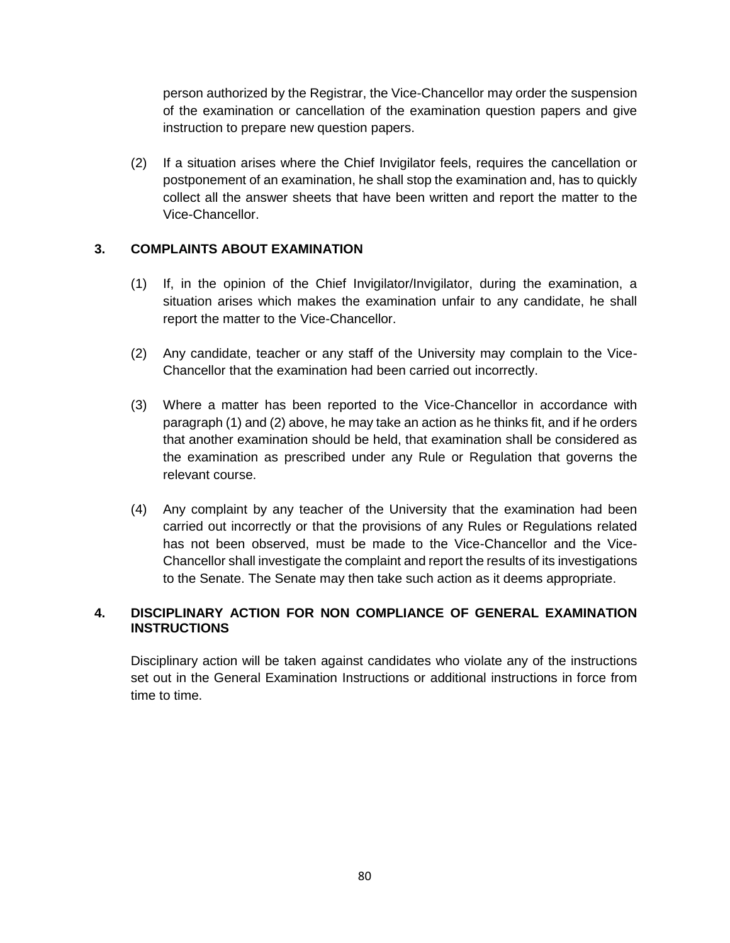person authorized by the Registrar, the Vice-Chancellor may order the suspension of the examination or cancellation of the examination question papers and give instruction to prepare new question papers.

(2) If a situation arises where the Chief Invigilator feels, requires the cancellation or postponement of an examination, he shall stop the examination and, has to quickly collect all the answer sheets that have been written and report the matter to the Vice-Chancellor.

# **3. COMPLAINTS ABOUT EXAMINATION**

- (1) If, in the opinion of the Chief Invigilator/Invigilator, during the examination, a situation arises which makes the examination unfair to any candidate, he shall report the matter to the Vice-Chancellor.
- (2) Any candidate, teacher or any staff of the University may complain to the Vice-Chancellor that the examination had been carried out incorrectly.
- (3) Where a matter has been reported to the Vice-Chancellor in accordance with paragraph (1) and (2) above, he may take an action as he thinks fit, and if he orders that another examination should be held, that examination shall be considered as the examination as prescribed under any Rule or Regulation that governs the relevant course.
- (4) Any complaint by any teacher of the University that the examination had been carried out incorrectly or that the provisions of any Rules or Regulations related has not been observed, must be made to the Vice-Chancellor and the Vice-Chancellor shall investigate the complaint and report the results of its investigations to the Senate. The Senate may then take such action as it deems appropriate.

# **4. DISCIPLINARY ACTION FOR NON COMPLIANCE OF GENERAL EXAMINATION INSTRUCTIONS**

Disciplinary action will be taken against candidates who violate any of the instructions set out in the General Examination Instructions or additional instructions in force from time to time.